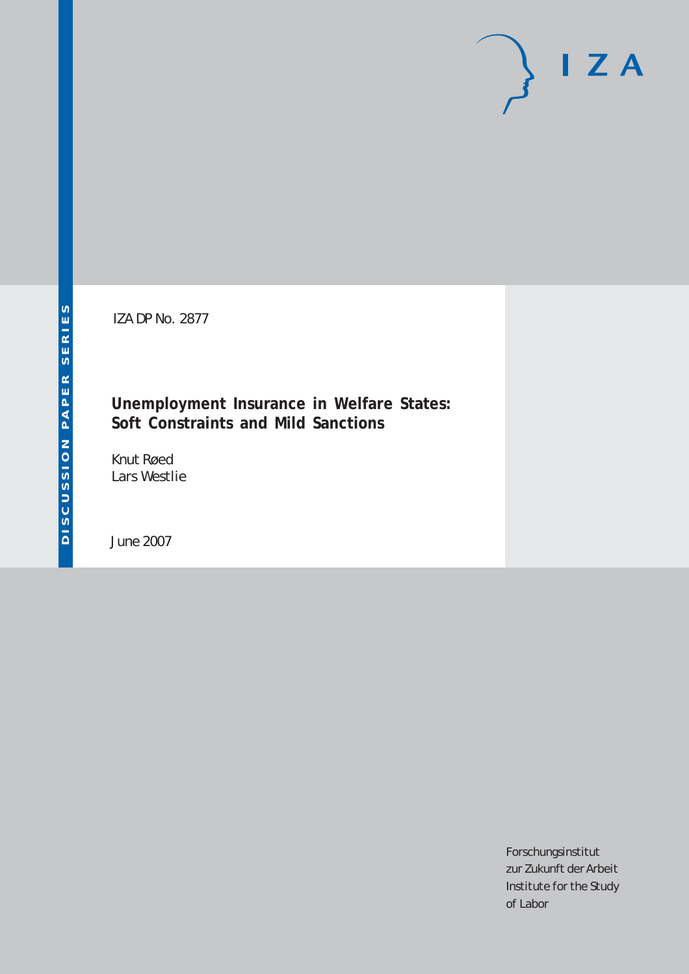IZA DP No. 2877

# **Unemployment Insurance in Welfare States: Soft Constraints and Mild Sanctions**

Knut Røed Lars Westlie

June 2007

Forschungsinstitut zur Zukunft der Arbeit Institute for the Study of Labor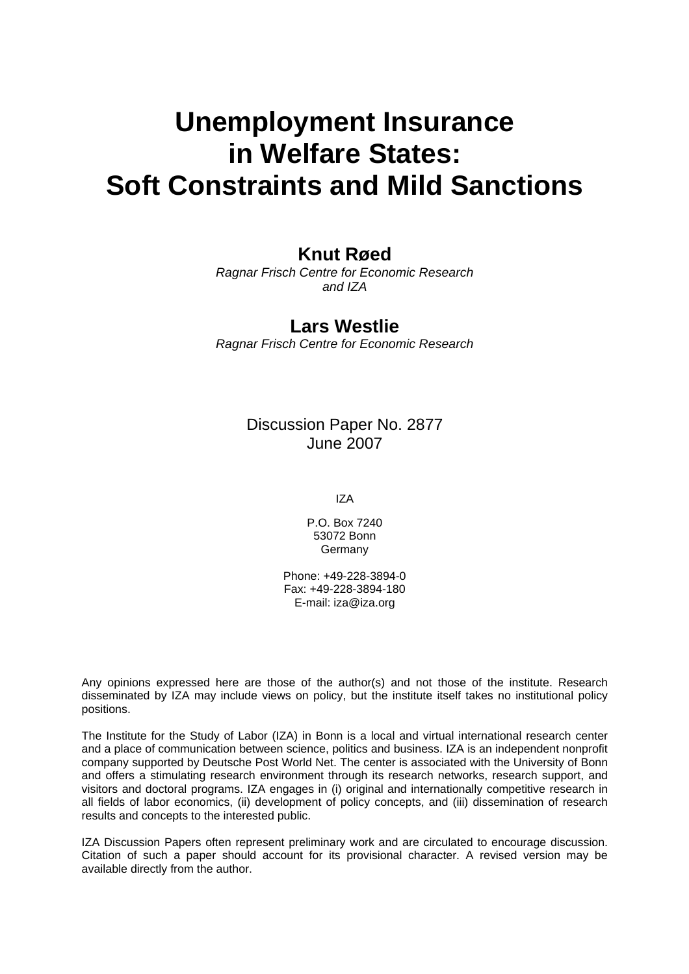# **Unemployment Insurance in Welfare States: Soft Constraints and Mild Sanctions**

# **Knut Røed**

*Ragnar Frisch Centre for Economic Research and IZA* 

### **Lars Westlie**

*Ragnar Frisch Centre for Economic Research* 

# Discussion Paper No. 2877 June 2007

IZA

P.O. Box 7240 53072 Bonn Germany

Phone: +49-228-3894-0 Fax: +49-228-3894-180 E-mail: [iza@iza.org](mailto:iza@iza.org)

Any opinions expressed here are those of the author(s) and not those of the institute. Research disseminated by IZA may include views on policy, but the institute itself takes no institutional policy positions.

The Institute for the Study of Labor (IZA) in Bonn is a local and virtual international research center and a place of communication between science, politics and business. IZA is an independent nonprofit company supported by Deutsche Post World Net. The center is associated with the University of Bonn and offers a stimulating research environment through its research networks, research support, and visitors and doctoral programs. IZA engages in (i) original and internationally competitive research in all fields of labor economics, (ii) development of policy concepts, and (iii) dissemination of research results and concepts to the interested public.

IZA Discussion Papers often represent preliminary work and are circulated to encourage discussion. Citation of such a paper should account for its provisional character. A revised version may be available directly from the author.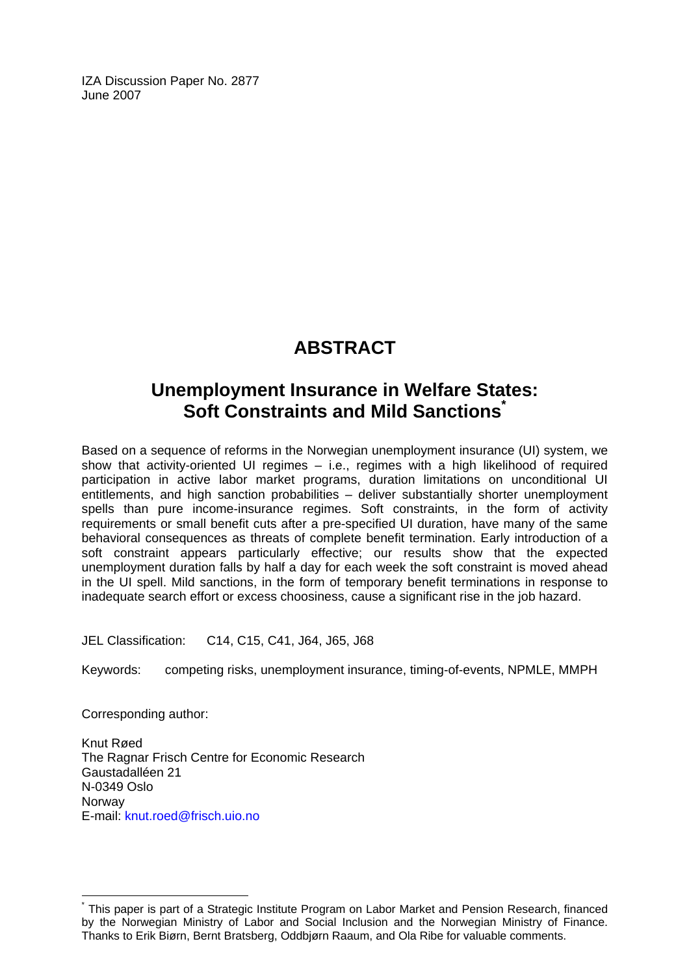IZA Discussion Paper No. 2877 June 2007

# **ABSTRACT**

# **Unemployment Insurance in Welfare States: Soft Constraints and Mild Sanction[s\\*](#page-2-0)**

Based on a sequence of reforms in the Norwegian unemployment insurance (UI) system, we show that activity-oriented UI regimes – i.e., regimes with a high likelihood of required participation in active labor market programs, duration limitations on unconditional UI entitlements, and high sanction probabilities – deliver substantially shorter unemployment spells than pure income-insurance regimes. Soft constraints, in the form of activity requirements or small benefit cuts after a pre-specified UI duration, have many of the same behavioral consequences as threats of complete benefit termination. Early introduction of a soft constraint appears particularly effective; our results show that the expected unemployment duration falls by half a day for each week the soft constraint is moved ahead in the UI spell. Mild sanctions, in the form of temporary benefit terminations in response to inadequate search effort or excess choosiness, cause a significant rise in the job hazard.

JEL Classification: C14, C15, C41, J64, J65, J68

Keywords: competing risks, unemployment insurance, timing-of-events, NPMLE, MMPH

Corresponding author:

 $\overline{a}$ 

Knut Røed The Ragnar Frisch Centre for Economic Research Gaustadalléen 21 N-0349 Oslo Norway E-mail: [knut.roed@frisch.uio.no](mailto:knut.roed@frisch.uio.no)

<span id="page-2-0"></span><sup>\*</sup> This paper is part of a Strategic Institute Program on Labor Market and Pension Research, financed by the Norwegian Ministry of Labor and Social Inclusion and the Norwegian Ministry of Finance. Thanks to Erik Biørn, Bernt Bratsberg, Oddbjørn Raaum, and Ola Ribe for valuable comments.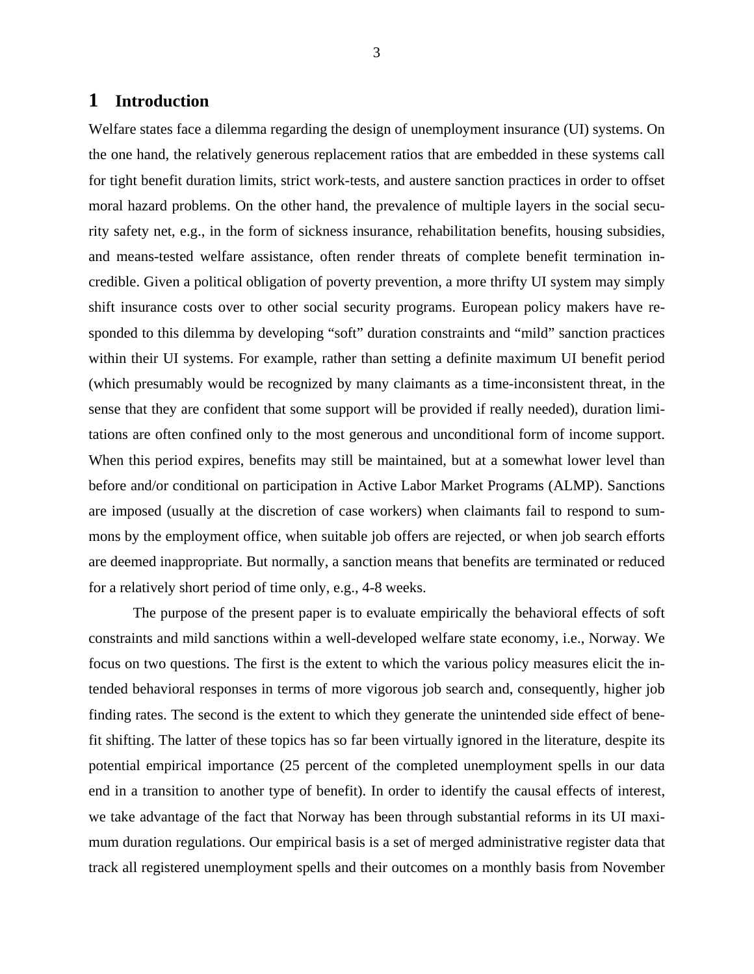### **1 Introduction**

Welfare states face a dilemma regarding the design of unemployment insurance (UI) systems. On the one hand, the relatively generous replacement ratios that are embedded in these systems call for tight benefit duration limits, strict work-tests, and austere sanction practices in order to offset moral hazard problems. On the other hand, the prevalence of multiple layers in the social security safety net, e.g., in the form of sickness insurance, rehabilitation benefits, housing subsidies, and means-tested welfare assistance, often render threats of complete benefit termination incredible. Given a political obligation of poverty prevention, a more thrifty UI system may simply shift insurance costs over to other social security programs. European policy makers have responded to this dilemma by developing "soft" duration constraints and "mild" sanction practices within their UI systems. For example, rather than setting a definite maximum UI benefit period (which presumably would be recognized by many claimants as a time-inconsistent threat, in the sense that they are confident that some support will be provided if really needed), duration limitations are often confined only to the most generous and unconditional form of income support. When this period expires, benefits may still be maintained, but at a somewhat lower level than before and/or conditional on participation in Active Labor Market Programs (ALMP). Sanctions are imposed (usually at the discretion of case workers) when claimants fail to respond to summons by the employment office, when suitable job offers are rejected, or when job search efforts are deemed inappropriate. But normally, a sanction means that benefits are terminated or reduced for a relatively short period of time only, e.g., 4-8 weeks.

The purpose of the present paper is to evaluate empirically the behavioral effects of soft constraints and mild sanctions within a well-developed welfare state economy, i.e., Norway. We focus on two questions. The first is the extent to which the various policy measures elicit the intended behavioral responses in terms of more vigorous job search and, consequently, higher job finding rates. The second is the extent to which they generate the unintended side effect of benefit shifting. The latter of these topics has so far been virtually ignored in the literature, despite its potential empirical importance (25 percent of the completed unemployment spells in our data end in a transition to another type of benefit). In order to identify the causal effects of interest, we take advantage of the fact that Norway has been through substantial reforms in its UI maximum duration regulations. Our empirical basis is a set of merged administrative register data that track all registered unemployment spells and their outcomes on a monthly basis from November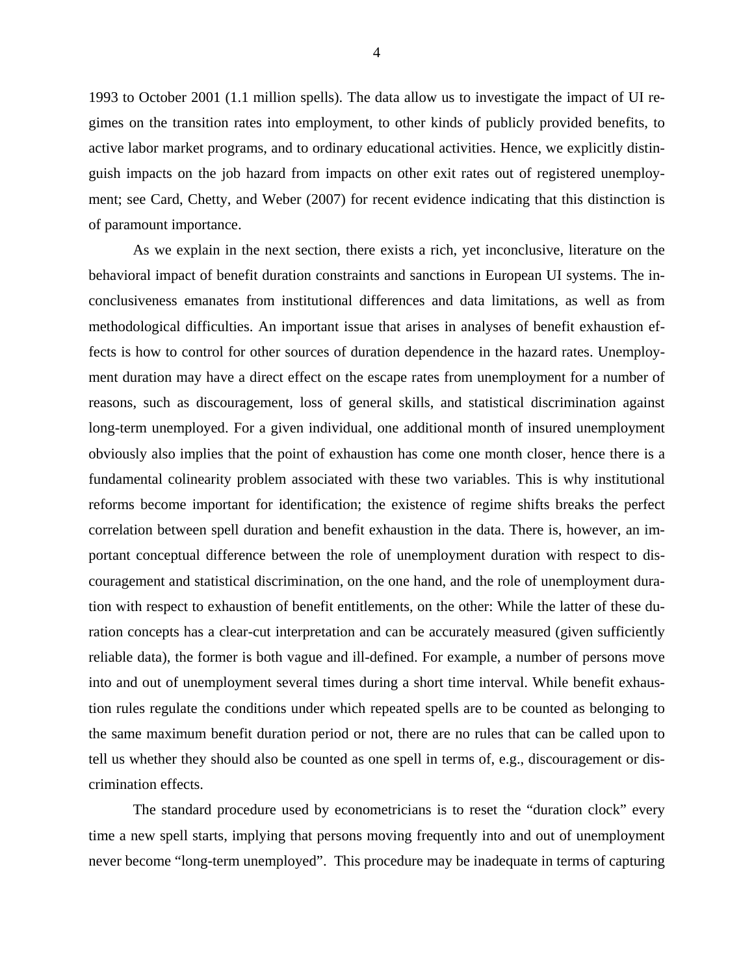1993 to October 2001 (1.1 million spells). The data allow us to investigate the impact of UI regimes on the transition rates into employment, to other kinds of publicly provided benefits, to active labor market programs, and to ordinary educational activities. Hence, we explicitly distinguish impacts on the job hazard from impacts on other exit rates out of registered unemployment; see Card, Chetty, and Weber (2007) for recent evidence indicating that this distinction is of paramount importance.

As we explain in the next section, there exists a rich, yet inconclusive, literature on the behavioral impact of benefit duration constraints and sanctions in European UI systems. The inconclusiveness emanates from institutional differences and data limitations, as well as from methodological difficulties. An important issue that arises in analyses of benefit exhaustion effects is how to control for other sources of duration dependence in the hazard rates. Unemployment duration may have a direct effect on the escape rates from unemployment for a number of reasons, such as discouragement, loss of general skills, and statistical discrimination against long-term unemployed. For a given individual, one additional month of insured unemployment obviously also implies that the point of exhaustion has come one month closer, hence there is a fundamental colinearity problem associated with these two variables. This is why institutional reforms become important for identification; the existence of regime shifts breaks the perfect correlation between spell duration and benefit exhaustion in the data. There is, however, an important conceptual difference between the role of unemployment duration with respect to discouragement and statistical discrimination, on the one hand, and the role of unemployment duration with respect to exhaustion of benefit entitlements, on the other: While the latter of these duration concepts has a clear-cut interpretation and can be accurately measured (given sufficiently reliable data), the former is both vague and ill-defined. For example, a number of persons move into and out of unemployment several times during a short time interval. While benefit exhaustion rules regulate the conditions under which repeated spells are to be counted as belonging to the same maximum benefit duration period or not, there are no rules that can be called upon to tell us whether they should also be counted as one spell in terms of, e.g., discouragement or discrimination effects.

The standard procedure used by econometricians is to reset the "duration clock" every time a new spell starts, implying that persons moving frequently into and out of unemployment never become "long-term unemployed". This procedure may be inadequate in terms of capturing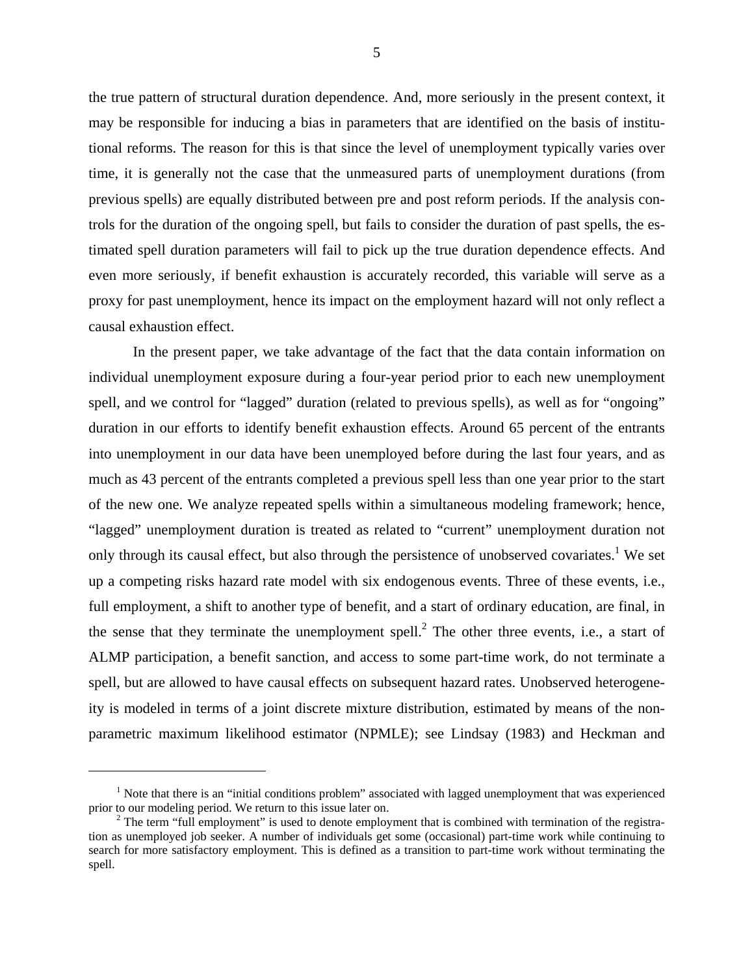the true pattern of structural duration dependence. And, more seriously in the present context, it may be responsible for inducing a bias in parameters that are identified on the basis of institutional reforms. The reason for this is that since the level of unemployment typically varies over time, it is generally not the case that the unmeasured parts of unemployment durations (from previous spells) are equally distributed between pre and post reform periods. If the analysis controls for the duration of the ongoing spell, but fails to consider the duration of past spells, the estimated spell duration parameters will fail to pick up the true duration dependence effects. And even more seriously, if benefit exhaustion is accurately recorded, this variable will serve as a proxy for past unemployment, hence its impact on the employment hazard will not only reflect a causal exhaustion effect.

In the present paper, we take advantage of the fact that the data contain information on individual unemployment exposure during a four-year period prior to each new unemployment spell, and we control for "lagged" duration (related to previous spells), as well as for "ongoing" duration in our efforts to identify benefit exhaustion effects. Around 65 percent of the entrants into unemployment in our data have been unemployed before during the last four years, and as much as 43 percent of the entrants completed a previous spell less than one year prior to the start of the new one. We analyze repeated spells within a simultaneous modeling framework; hence, "lagged" unemployment duration is treated as related to "current" unemployment duration not only through its causal effect, but also through the persistence of unobserved covariates.<sup>[1](#page-5-0)</sup> We set up a competing risks hazard rate model with six endogenous events. Three of these events, i.e., full employment, a shift to another type of benefit, and a start of ordinary education, are final, in the sense that they terminate the unemployment spell.<sup>[2](#page-5-1)</sup> The other three events, i.e., a start of ALMP participation, a benefit sanction, and access to some part-time work, do not terminate a spell, but are allowed to have causal effects on subsequent hazard rates. Unobserved heterogeneity is modeled in terms of a joint discrete mixture distribution, estimated by means of the nonparametric maximum likelihood estimator (NPMLE); see Lindsay (1983) and Heckman and

 $\overline{a}$ 

<span id="page-5-0"></span><sup>&</sup>lt;sup>1</sup> Note that there is an "initial conditions problem" associated with lagged unemployment that was experienced prior to our modeling period. We return to this issue later on. 2

<span id="page-5-1"></span> $2$  The term "full employment" is used to denote employment that is combined with termination of the registration as unemployed job seeker. A number of individuals get some (occasional) part-time work while continuing to search for more satisfactory employment. This is defined as a transition to part-time work without terminating the spell.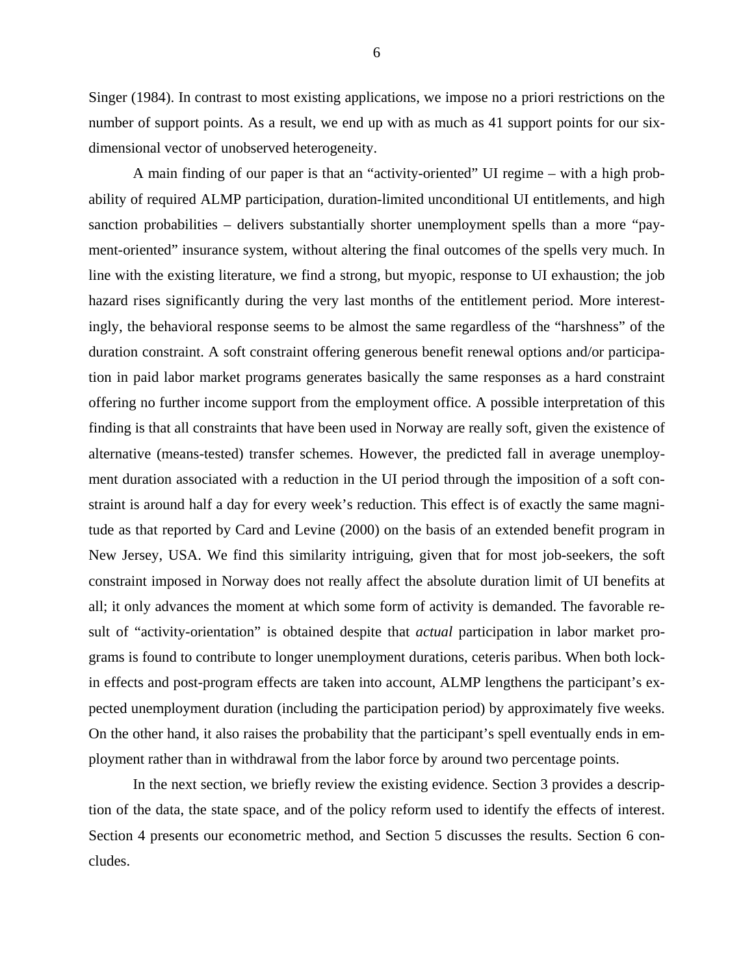Singer (1984). In contrast to most existing applications, we impose no a priori restrictions on the number of support points. As a result, we end up with as much as 41 support points for our sixdimensional vector of unobserved heterogeneity.

A main finding of our paper is that an "activity-oriented" UI regime – with a high probability of required ALMP participation, duration-limited unconditional UI entitlements, and high sanction probabilities – delivers substantially shorter unemployment spells than a more "payment-oriented" insurance system, without altering the final outcomes of the spells very much. In line with the existing literature, we find a strong, but myopic, response to UI exhaustion; the job hazard rises significantly during the very last months of the entitlement period. More interestingly, the behavioral response seems to be almost the same regardless of the "harshness" of the duration constraint. A soft constraint offering generous benefit renewal options and/or participation in paid labor market programs generates basically the same responses as a hard constraint offering no further income support from the employment office. A possible interpretation of this finding is that all constraints that have been used in Norway are really soft, given the existence of alternative (means-tested) transfer schemes. However, the predicted fall in average unemployment duration associated with a reduction in the UI period through the imposition of a soft constraint is around half a day for every week's reduction. This effect is of exactly the same magnitude as that reported by Card and Levine (2000) on the basis of an extended benefit program in New Jersey, USA. We find this similarity intriguing, given that for most job-seekers, the soft constraint imposed in Norway does not really affect the absolute duration limit of UI benefits at all; it only advances the moment at which some form of activity is demanded. The favorable result of "activity-orientation" is obtained despite that *actual* participation in labor market programs is found to contribute to longer unemployment durations, ceteris paribus. When both lockin effects and post-program effects are taken into account, ALMP lengthens the participant's expected unemployment duration (including the participation period) by approximately five weeks. On the other hand, it also raises the probability that the participant's spell eventually ends in employment rather than in withdrawal from the labor force by around two percentage points.

In the next section, we briefly review the existing evidence. Section 3 provides a description of the data, the state space, and of the policy reform used to identify the effects of interest. Section 4 presents our econometric method, and Section 5 discusses the results. Section 6 concludes.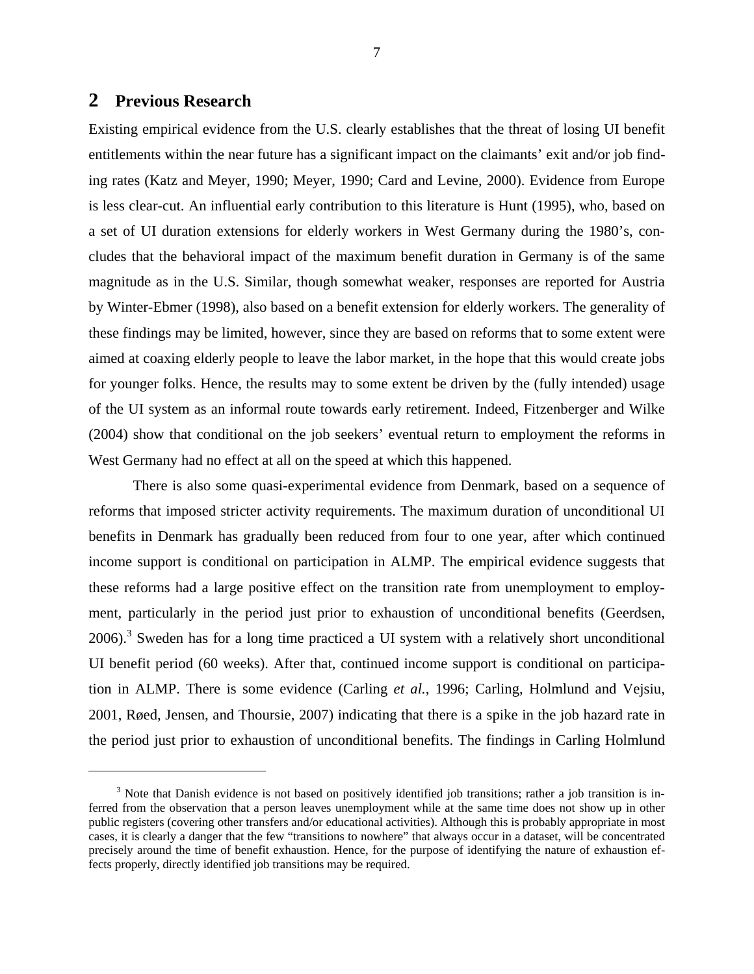### **2 Previous Research**

<u>.</u>

Existing empirical evidence from the U.S. clearly establishes that the threat of losing UI benefit entitlements within the near future has a significant impact on the claimants' exit and/or job finding rates (Katz and Meyer, 1990; Meyer, 1990; Card and Levine, 2000). Evidence from Europe is less clear-cut. An influential early contribution to this literature is Hunt (1995), who, based on a set of UI duration extensions for elderly workers in West Germany during the 1980's, concludes that the behavioral impact of the maximum benefit duration in Germany is of the same magnitude as in the U.S. Similar, though somewhat weaker, responses are reported for Austria by Winter-Ebmer (1998), also based on a benefit extension for elderly workers. The generality of these findings may be limited, however, since they are based on reforms that to some extent were aimed at coaxing elderly people to leave the labor market, in the hope that this would create jobs for younger folks. Hence, the results may to some extent be driven by the (fully intended) usage of the UI system as an informal route towards early retirement. Indeed, Fitzenberger and Wilke (2004) show that conditional on the job seekers' eventual return to employment the reforms in West Germany had no effect at all on the speed at which this happened.

There is also some quasi-experimental evidence from Denmark, based on a sequence of reforms that imposed stricter activity requirements. The maximum duration of unconditional UI benefits in Denmark has gradually been reduced from four to one year, after which continued income support is conditional on participation in ALMP. The empirical evidence suggests that these reforms had a large positive effect on the transition rate from unemployment to employment, particularly in the period just prior to exhaustion of unconditional benefits (Geerdsen,  $2006$ ).<sup>[3](#page-7-0)</sup> Sweden has for a long time practiced a UI system with a relatively short unconditional UI benefit period (60 weeks). After that, continued income support is conditional on participation in ALMP. There is some evidence (Carling *et al.*, 1996; Carling, Holmlund and Vejsiu, 2001, Røed, Jensen, and Thoursie, 2007) indicating that there is a spike in the job hazard rate in the period just prior to exhaustion of unconditional benefits. The findings in Carling Holmlund

<span id="page-7-0"></span> $3$  Note that Danish evidence is not based on positively identified job transitions; rather a job transition is inferred from the observation that a person leaves unemployment while at the same time does not show up in other public registers (covering other transfers and/or educational activities). Although this is probably appropriate in most cases, it is clearly a danger that the few "transitions to nowhere" that always occur in a dataset, will be concentrated precisely around the time of benefit exhaustion. Hence, for the purpose of identifying the nature of exhaustion effects properly, directly identified job transitions may be required.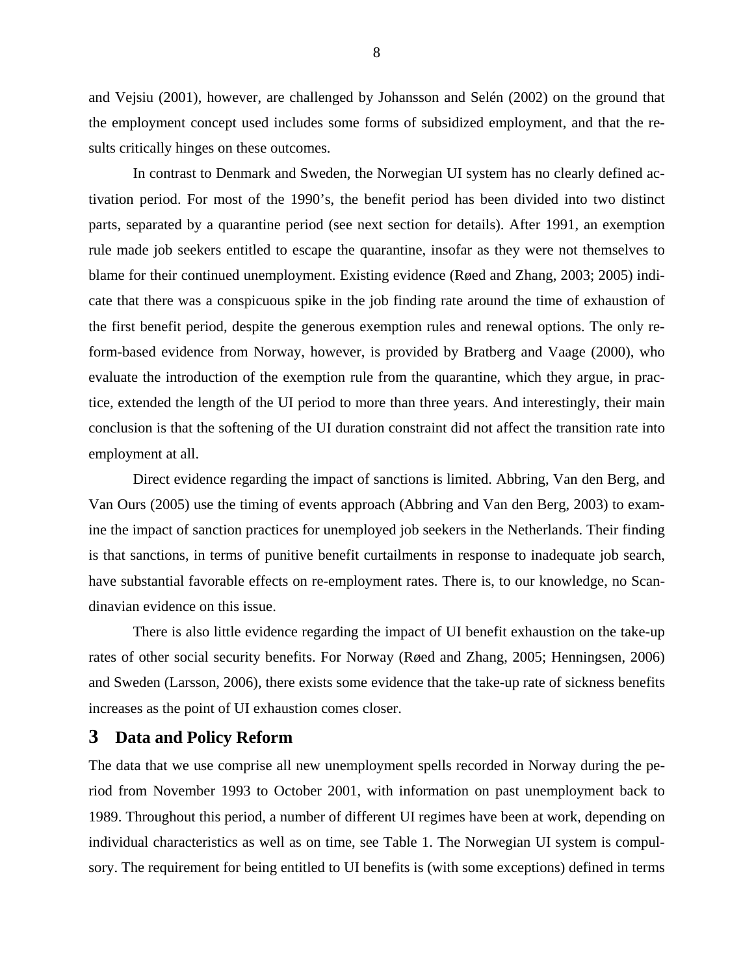and Vejsiu (2001), however, are challenged by Johansson and Selén (2002) on the ground that the employment concept used includes some forms of subsidized employment, and that the results critically hinges on these outcomes.

In contrast to Denmark and Sweden, the Norwegian UI system has no clearly defined activation period. For most of the 1990's, the benefit period has been divided into two distinct parts, separated by a quarantine period (see next section for details). After 1991, an exemption rule made job seekers entitled to escape the quarantine, insofar as they were not themselves to blame for their continued unemployment. Existing evidence (Røed and Zhang, 2003; 2005) indicate that there was a conspicuous spike in the job finding rate around the time of exhaustion of the first benefit period, despite the generous exemption rules and renewal options. The only reform-based evidence from Norway, however, is provided by Bratberg and Vaage (2000), who evaluate the introduction of the exemption rule from the quarantine, which they argue, in practice, extended the length of the UI period to more than three years. And interestingly, their main conclusion is that the softening of the UI duration constraint did not affect the transition rate into employment at all.

Direct evidence regarding the impact of sanctions is limited. Abbring, Van den Berg, and Van Ours (2005) use the timing of events approach (Abbring and Van den Berg, 2003) to examine the impact of sanction practices for unemployed job seekers in the Netherlands. Their finding is that sanctions, in terms of punitive benefit curtailments in response to inadequate job search, have substantial favorable effects on re-employment rates. There is, to our knowledge, no Scandinavian evidence on this issue.

There is also little evidence regarding the impact of UI benefit exhaustion on the take-up rates of other social security benefits. For Norway (Røed and Zhang, 2005; Henningsen, 2006) and Sweden (Larsson, 2006), there exists some evidence that the take-up rate of sickness benefits increases as the point of UI exhaustion comes closer.

### **3 Data and Policy Reform**

The data that we use comprise all new unemployment spells recorded in Norway during the period from November 1993 to October 2001, with information on past unemployment back to 1989. Throughout this period, a number of different UI regimes have been at work, depending on individual characteristics as well as on time, see Table 1. The Norwegian UI system is compulsory. The requirement for being entitled to UI benefits is (with some exceptions) defined in terms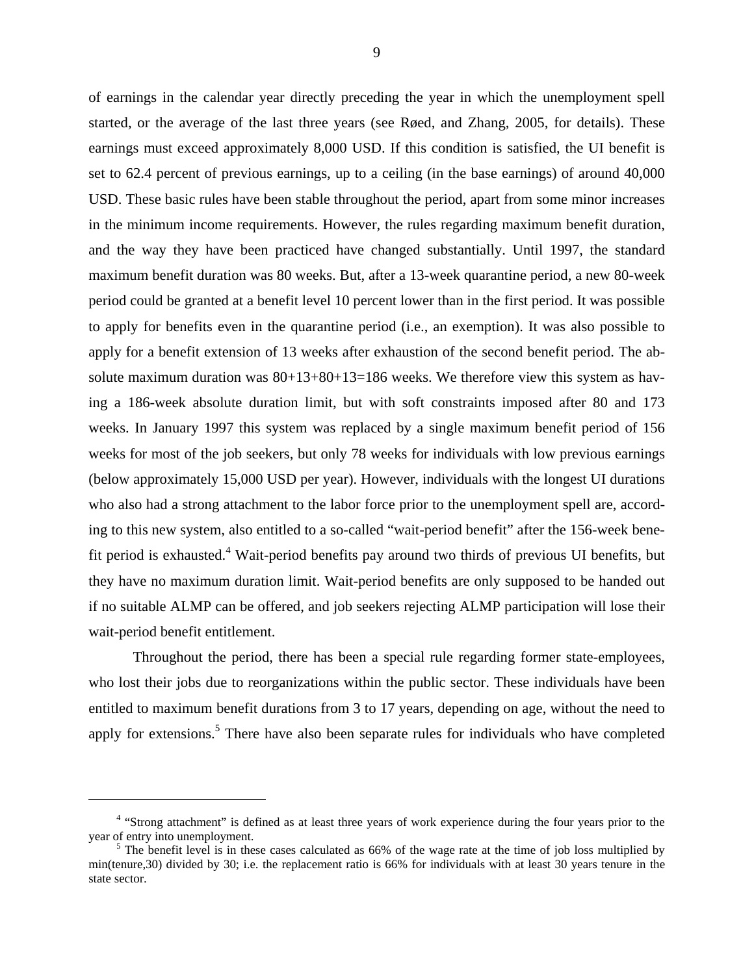of earnings in the calendar year directly preceding the year in which the unemployment spell started, or the average of the last three years (see Røed, and Zhang, 2005, for details). These earnings must exceed approximately 8,000 USD. If this condition is satisfied, the UI benefit is set to 62.4 percent of previous earnings, up to a ceiling (in the base earnings) of around 40,000 USD. These basic rules have been stable throughout the period, apart from some minor increases in the minimum income requirements. However, the rules regarding maximum benefit duration, and the way they have been practiced have changed substantially. Until 1997, the standard maximum benefit duration was 80 weeks. But, after a 13-week quarantine period, a new 80-week period could be granted at a benefit level 10 percent lower than in the first period. It was possible to apply for benefits even in the quarantine period (i.e., an exemption). It was also possible to apply for a benefit extension of 13 weeks after exhaustion of the second benefit period. The absolute maximum duration was  $80+13+80+13=186$  weeks. We therefore view this system as having a 186-week absolute duration limit, but with soft constraints imposed after 80 and 173 weeks. In January 1997 this system was replaced by a single maximum benefit period of 156 weeks for most of the job seekers, but only 78 weeks for individuals with low previous earnings (below approximately 15,000 USD per year). However, individuals with the longest UI durations who also had a strong attachment to the labor force prior to the unemployment spell are, according to this new system, also entitled to a so-called "wait-period benefit" after the 156-week bene-fit period is exhausted.<sup>[4](#page-9-0)</sup> Wait-period benefits pay around two thirds of previous UI benefits, but they have no maximum duration limit. Wait-period benefits are only supposed to be handed out if no suitable ALMP can be offered, and job seekers rejecting ALMP participation will lose their

Throughout the period, there has been a special rule regarding former state-employees, who lost their jobs due to reorganizations within the public sector. These individuals have been entitled to maximum benefit durations from 3 to 17 years, depending on age, without the need to apply for extensions.<sup>[5](#page-9-1)</sup> There have also been separate rules for individuals who have completed

wait-period benefit entitlement.

 $\overline{a}$ 

<span id="page-9-0"></span><sup>&</sup>lt;sup>4</sup> "Strong attachment" is defined as at least three years of work experience during the four years prior to the year of entry into unemployment.

<span id="page-9-1"></span> $5$  The benefit level is in these cases calculated as 66% of the wage rate at the time of job loss multiplied by min(tenure,30) divided by 30; i.e. the replacement ratio is 66% for individuals with at least 30 years tenure in the state sector.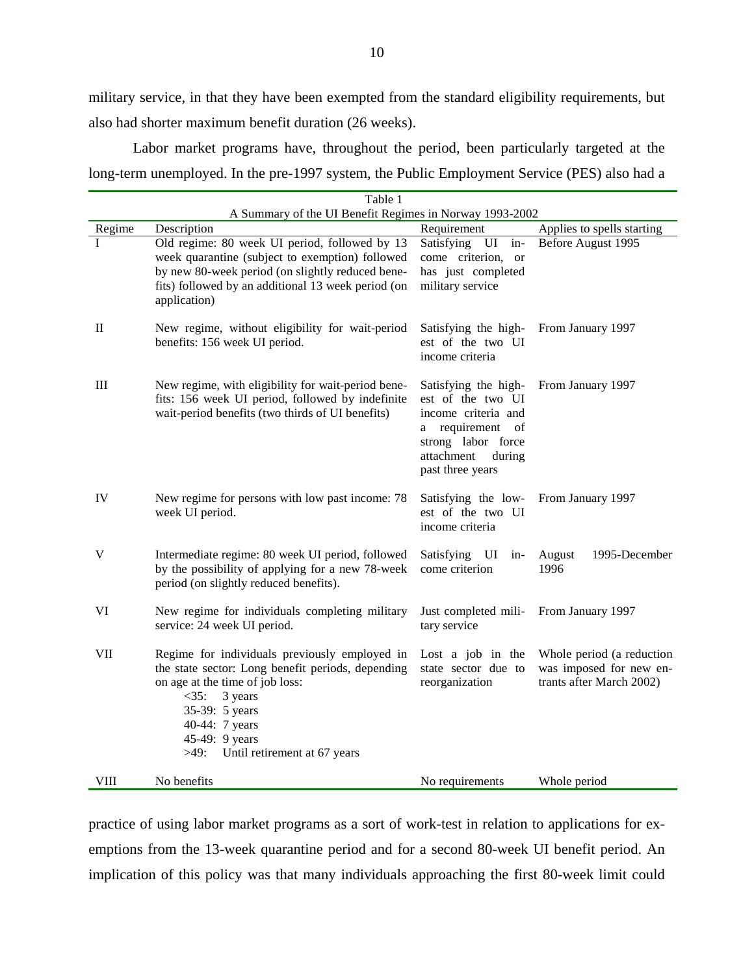military service, in that they have been exempted from the standard eligibility requirements, but also had shorter maximum benefit duration (26 weeks).

Labor market programs have, throughout the period, been particularly targeted at the long-term unemployed. In the pre-1997 system, the Public Employment Service (PES) also had a

|             | Table 1                                                                                                                                                                                                                                                   |                                                                                                                                                        |                                                                                  |
|-------------|-----------------------------------------------------------------------------------------------------------------------------------------------------------------------------------------------------------------------------------------------------------|--------------------------------------------------------------------------------------------------------------------------------------------------------|----------------------------------------------------------------------------------|
|             | A Summary of the UI Benefit Regimes in Norway 1993-2002                                                                                                                                                                                                   |                                                                                                                                                        |                                                                                  |
| Regime      | Description                                                                                                                                                                                                                                               | Requirement                                                                                                                                            | Applies to spells starting                                                       |
| T           | Old regime: 80 week UI period, followed by 13<br>week quarantine (subject to exemption) followed<br>by new 80-week period (on slightly reduced bene-<br>fits) followed by an additional 13 week period (on<br>application)                                | Satisfying<br>$UI$ in-<br>come criterion,<br><sub>or</sub><br>has just completed<br>military service                                                   | Before August 1995                                                               |
| $\rm II$    | New regime, without eligibility for wait-period<br>benefits: 156 week UI period.                                                                                                                                                                          | Satisfying the high-<br>est of the two UI<br>income criteria                                                                                           | From January 1997                                                                |
| $\rm III$   | New regime, with eligibility for wait-period bene-<br>fits: 156 week UI period, followed by indefinite<br>wait-period benefits (two thirds of UI benefits)                                                                                                | Satisfying the high-<br>est of the two UI<br>income criteria and<br>a requirement of<br>strong labor force<br>attachment<br>during<br>past three years | From January 1997                                                                |
| IV          | New regime for persons with low past income: 78<br>week UI period.                                                                                                                                                                                        | Satisfying the low-<br>est of the two UI<br>income criteria                                                                                            | From January 1997                                                                |
| V           | Intermediate regime: 80 week UI period, followed<br>by the possibility of applying for a new 78-week<br>period (on slightly reduced benefits).                                                                                                            | Satisfying<br>UI<br>$in-$<br>come criterion                                                                                                            | August<br>1995-December<br>1996                                                  |
| VI          | New regime for individuals completing military<br>service: 24 week UI period.                                                                                                                                                                             | Just completed mili-<br>tary service                                                                                                                   | From January 1997                                                                |
| VII         | Regime for individuals previously employed in<br>the state sector: Long benefit periods, depending<br>on age at the time of job loss:<br>$<$ 35:<br>3 years<br>35-39: 5 years<br>40-44: 7 years<br>45-49: 9 years<br>Until retirement at 67 years<br>>49: | Lost a job in the<br>state sector due to<br>reorganization                                                                                             | Whole period (a reduction<br>was imposed for new en-<br>trants after March 2002) |
| <b>VIII</b> | No benefits                                                                                                                                                                                                                                               | No requirements                                                                                                                                        | Whole period                                                                     |

practice of using labor market programs as a sort of work-test in relation to applications for exemptions from the 13-week quarantine period and for a second 80-week UI benefit period. An implication of this policy was that many individuals approaching the first 80-week limit could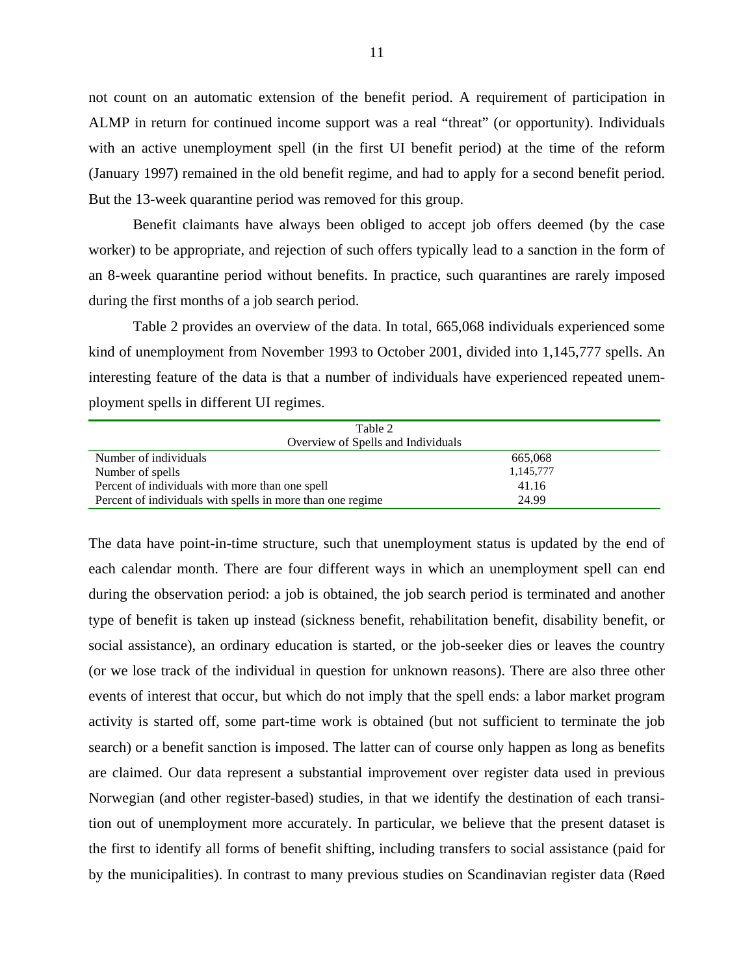not count on an automatic extension of the benefit period. A requirement of participation in ALMP in return for continued income support was a real "threat" (or opportunity). Individuals with an active unemployment spell (in the first UI benefit period) at the time of the reform (January 1997) remained in the old benefit regime, and had to apply for a second benefit period. But the 13-week quarantine period was removed for this group.

Benefit claimants have always been obliged to accept job offers deemed (by the case worker) to be appropriate, and rejection of such offers typically lead to a sanction in the form of an 8-week quarantine period without benefits. In practice, such quarantines are rarely imposed during the first months of a job search period.

Table 2 provides an overview of the data. In total, 665,068 individuals experienced some kind of unemployment from November 1993 to October 2001, divided into 1,145,777 spells. An interesting feature of the data is that a number of individuals have experienced repeated unemployment spells in different UI regimes.

| Table 2                                                    |           |
|------------------------------------------------------------|-----------|
| Overview of Spells and Individuals                         |           |
| Number of individuals                                      | 665,068   |
| Number of spells                                           | 1,145,777 |
| Percent of individuals with more than one spell            | 41.16     |
| Percent of individuals with spells in more than one regime | 24.99     |

The data have point-in-time structure, such that unemployment status is updated by the end of each calendar month. There are four different ways in which an unemployment spell can end during the observation period: a job is obtained, the job search period is terminated and another type of benefit is taken up instead (sickness benefit, rehabilitation benefit, disability benefit, or social assistance), an ordinary education is started, or the job-seeker dies or leaves the country (or we lose track of the individual in question for unknown reasons). There are also three other events of interest that occur, but which do not imply that the spell ends: a labor market program activity is started off, some part-time work is obtained (but not sufficient to terminate the job search) or a benefit sanction is imposed. The latter can of course only happen as long as benefits are claimed. Our data represent a substantial improvement over register data used in previous Norwegian (and other register-based) studies, in that we identify the destination of each transition out of unemployment more accurately. In particular, we believe that the present dataset is the first to identify all forms of benefit shifting, including transfers to social assistance (paid for by the municipalities). In contrast to many previous studies on Scandinavian register data (Røed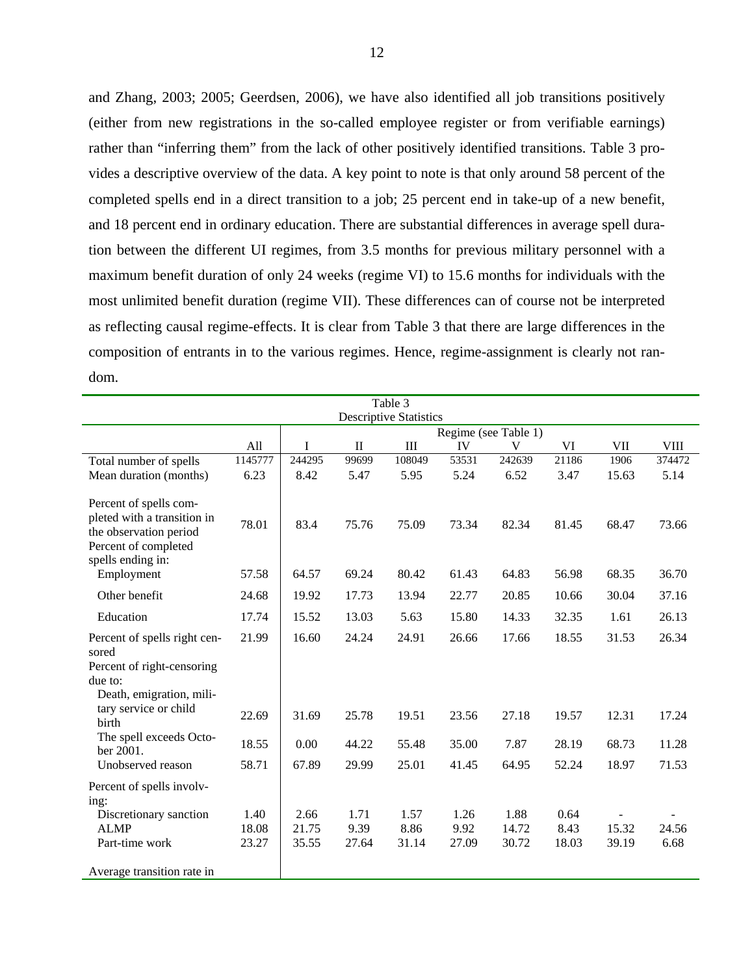and Zhang, 2003; 2005; Geerdsen, 2006), we have also identified all job transitions positively (either from new registrations in the so-called employee register or from verifiable earnings) rather than "inferring them" from the lack of other positively identified transitions. Table 3 provides a descriptive overview of the data. A key point to note is that only around 58 percent of the completed spells end in a direct transition to a job; 25 percent end in take-up of a new benefit, and 18 percent end in ordinary education. There are substantial differences in average spell duration between the different UI regimes, from 3.5 months for previous military personnel with a maximum benefit duration of only 24 weeks (regime VI) to 15.6 months for individuals with the most unlimited benefit duration (regime VII). These differences can of course not be interpreted as reflecting causal regime-effects. It is clear from Table 3 that there are large differences in the composition of entrants in to the various regimes. Hence, regime-assignment is clearly not random.

|                                                                                                                              |                               |        |              | Table 3   |       |                      |       |       |             |  |  |
|------------------------------------------------------------------------------------------------------------------------------|-------------------------------|--------|--------------|-----------|-------|----------------------|-------|-------|-------------|--|--|
|                                                                                                                              | <b>Descriptive Statistics</b> |        |              |           |       |                      |       |       |             |  |  |
|                                                                                                                              |                               |        |              |           |       | Regime (see Table 1) |       |       |             |  |  |
|                                                                                                                              | All                           | T      | $\mathbf{I}$ | $\rm III$ | IV    | V                    | VI    | VII   | <b>VIII</b> |  |  |
| Total number of spells                                                                                                       | 1145777                       | 244295 | 99699        | 108049    | 53531 | 242639               | 21186 | 1906  | 374472      |  |  |
| Mean duration (months)                                                                                                       | 6.23                          | 8.42   | 5.47         | 5.95      | 5.24  | 6.52                 | 3.47  | 15.63 | 5.14        |  |  |
| Percent of spells com-<br>pleted with a transition in<br>the observation period<br>Percent of completed<br>spells ending in: | 78.01                         | 83.4   | 75.76        | 75.09     | 73.34 | 82.34                | 81.45 | 68.47 | 73.66       |  |  |
| Employment                                                                                                                   | 57.58                         | 64.57  | 69.24        | 80.42     | 61.43 | 64.83                | 56.98 | 68.35 | 36.70       |  |  |
| Other benefit                                                                                                                | 24.68                         | 19.92  | 17.73        | 13.94     | 22.77 | 20.85                | 10.66 | 30.04 | 37.16       |  |  |
| Education                                                                                                                    | 17.74                         | 15.52  | 13.03        | 5.63      | 15.80 | 14.33                | 32.35 | 1.61  | 26.13       |  |  |
| Percent of spells right cen-<br>sored<br>Percent of right-censoring<br>due to:<br>Death, emigration, mili-                   | 21.99                         | 16.60  | 24.24        | 24.91     | 26.66 | 17.66                | 18.55 | 31.53 | 26.34       |  |  |
| tary service or child<br>birth                                                                                               | 22.69                         | 31.69  | 25.78        | 19.51     | 23.56 | 27.18                | 19.57 | 12.31 | 17.24       |  |  |
| The spell exceeds Octo-<br>ber 2001.                                                                                         | 18.55                         | 0.00   | 44.22        | 55.48     | 35.00 | 7.87                 | 28.19 | 68.73 | 11.28       |  |  |
| Unobserved reason                                                                                                            | 58.71                         | 67.89  | 29.99        | 25.01     | 41.45 | 64.95                | 52.24 | 18.97 | 71.53       |  |  |
| Percent of spells involv-<br>ing:                                                                                            |                               |        |              |           |       |                      |       |       |             |  |  |
| Discretionary sanction                                                                                                       | 1.40                          | 2.66   | 1.71         | 1.57      | 1.26  | 1.88                 | 0.64  |       |             |  |  |
| <b>ALMP</b>                                                                                                                  | 18.08                         | 21.75  | 9.39         | 8.86      | 9.92  | 14.72                | 8.43  | 15.32 | 24.56       |  |  |
| Part-time work                                                                                                               | 23.27                         | 35.55  | 27.64        | 31.14     | 27.09 | 30.72                | 18.03 | 39.19 | 6.68        |  |  |
| Average transition rate in                                                                                                   |                               |        |              |           |       |                      |       |       |             |  |  |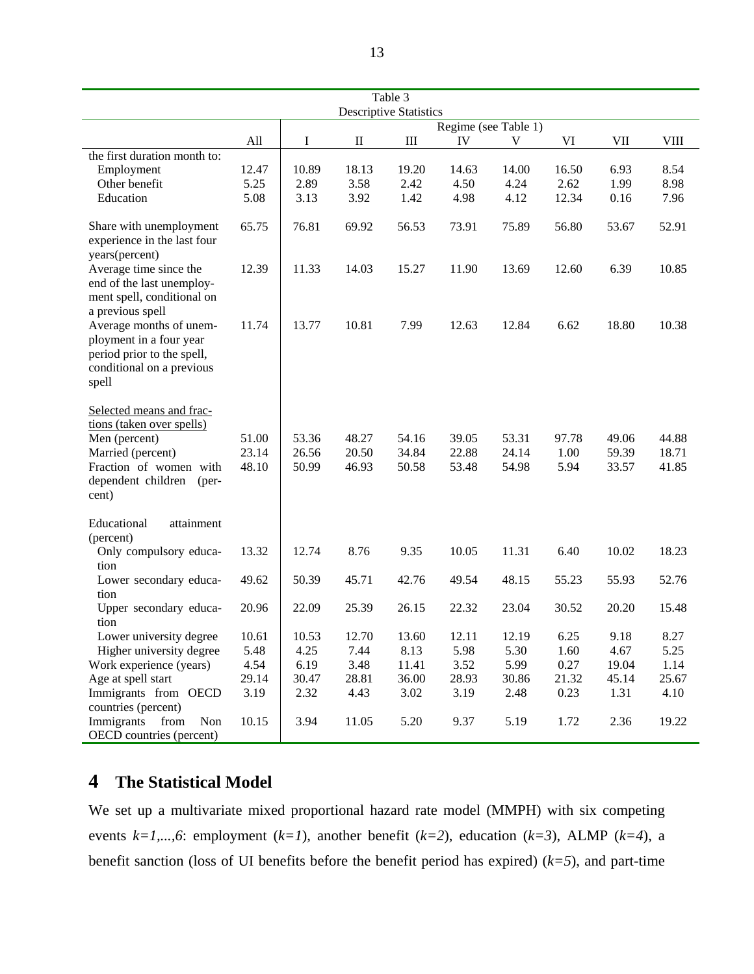| Table 3                                                                                                                                                         |                         |                         |                         |                               |                         |                           |                       |                         |                         |  |  |
|-----------------------------------------------------------------------------------------------------------------------------------------------------------------|-------------------------|-------------------------|-------------------------|-------------------------------|-------------------------|---------------------------|-----------------------|-------------------------|-------------------------|--|--|
|                                                                                                                                                                 |                         |                         |                         | <b>Descriptive Statistics</b> |                         |                           |                       |                         |                         |  |  |
|                                                                                                                                                                 | All                     | Ι                       | $\rm _{II}$             | $\rm III$                     | IV                      | Regime (see Table 1)<br>V | VI                    | $\rm{VII}$              | VIII                    |  |  |
| the first duration month to:<br>Employment                                                                                                                      | 12.47                   | 10.89                   | 18.13                   | 19.20                         | 14.63                   | 14.00                     | 16.50                 | 6.93                    | 8.54                    |  |  |
| Other benefit<br>Education                                                                                                                                      | 5.25<br>5.08            | 2.89<br>3.13            | 3.58<br>3.92            | 2.42<br>1.42                  | 4.50<br>4.98            | 4.24<br>4.12              | 2.62<br>12.34         | 1.99<br>0.16            | 8.98<br>7.96            |  |  |
| Share with unemployment<br>experience in the last four<br>years(percent)                                                                                        | 65.75                   | 76.81                   | 69.92                   | 56.53                         | 73.91                   | 75.89                     | 56.80                 | 53.67                   | 52.91                   |  |  |
| Average time since the<br>end of the last unemploy-<br>ment spell, conditional on<br>a previous spell                                                           | 12.39                   | 11.33                   | 14.03                   | 15.27                         | 11.90                   | 13.69                     | 12.60                 | 6.39                    | 10.85                   |  |  |
| Average months of unem-<br>ployment in a four year<br>period prior to the spell,<br>conditional on a previous<br>spell                                          | 11.74                   | 13.77                   | 10.81                   | 7.99                          | 12.63                   | 12.84                     | 6.62                  | 18.80                   | 10.38                   |  |  |
| Selected means and frac-<br>tions (taken over spells)<br>Men (percent)<br>Married (percent)<br>Fraction of women with<br>dependent children<br>$(per-$<br>cent) | 51.00<br>23.14<br>48.10 | 53.36<br>26.56<br>50.99 | 48.27<br>20.50<br>46.93 | 54.16<br>34.84<br>50.58       | 39.05<br>22.88<br>53.48 | 53.31<br>24.14<br>54.98   | 97.78<br>1.00<br>5.94 | 49.06<br>59.39<br>33.57 | 44.88<br>18.71<br>41.85 |  |  |
| Educational<br>attainment<br>(percent)                                                                                                                          |                         |                         |                         |                               |                         |                           |                       |                         |                         |  |  |
| Only compulsory educa-<br>tion                                                                                                                                  | 13.32                   | 12.74                   | 8.76                    | 9.35                          | 10.05                   | 11.31                     | 6.40                  | 10.02                   | 18.23                   |  |  |
| Lower secondary educa-<br>tion                                                                                                                                  | 49.62                   | 50.39                   | 45.71                   | 42.76                         | 49.54                   | 48.15                     | 55.23                 | 55.93                   | 52.76                   |  |  |
| Upper secondary educa-<br>tion                                                                                                                                  | 20.96                   | 22.09                   | 25.39                   | 26.15                         | 22.32                   | 23.04                     | 30.52                 | 20.20                   | 15.48                   |  |  |
| Lower university degree                                                                                                                                         | 10.61                   | 10.53                   | 12.70                   | 13.60                         | 12.11                   | 12.19                     | 6.25                  | 9.18                    | 8.27                    |  |  |
| Higher university degree                                                                                                                                        | 5.48                    | 4.25                    | 7.44                    | 8.13                          | 5.98                    | 5.30                      | 1.60                  | 4.67                    | 5.25                    |  |  |
| Work experience (years)                                                                                                                                         | 4.54                    | 6.19                    | 3.48                    | 11.41                         | 3.52                    | 5.99                      | 0.27                  | 19.04                   | 1.14                    |  |  |
| Age at spell start                                                                                                                                              | 29.14                   | 30.47                   | 28.81                   | 36.00                         | 28.93                   | 30.86                     | 21.32                 | 45.14                   | 25.67                   |  |  |
| Immigrants from OECD<br>countries (percent)                                                                                                                     | 3.19                    | 2.32                    | 4.43                    | 3.02                          | 3.19                    | 2.48                      | 0.23                  | 1.31                    | 4.10                    |  |  |
| Immigrants<br>from<br>Non<br>OECD countries (percent)                                                                                                           | 10.15                   | 3.94                    | 11.05                   | 5.20                          | 9.37                    | 5.19                      | 1.72                  | 2.36                    | 19.22                   |  |  |

# **4 The Statistical Model**

We set up a multivariate mixed proportional hazard rate model (MMPH) with six competing events *k=1,...,6*: employment (*k=1*), another benefit (*k=2*), education (*k=3*), ALMP (*k=4*), a benefit sanction (loss of UI benefits before the benefit period has expired) (*k=5*), and part-time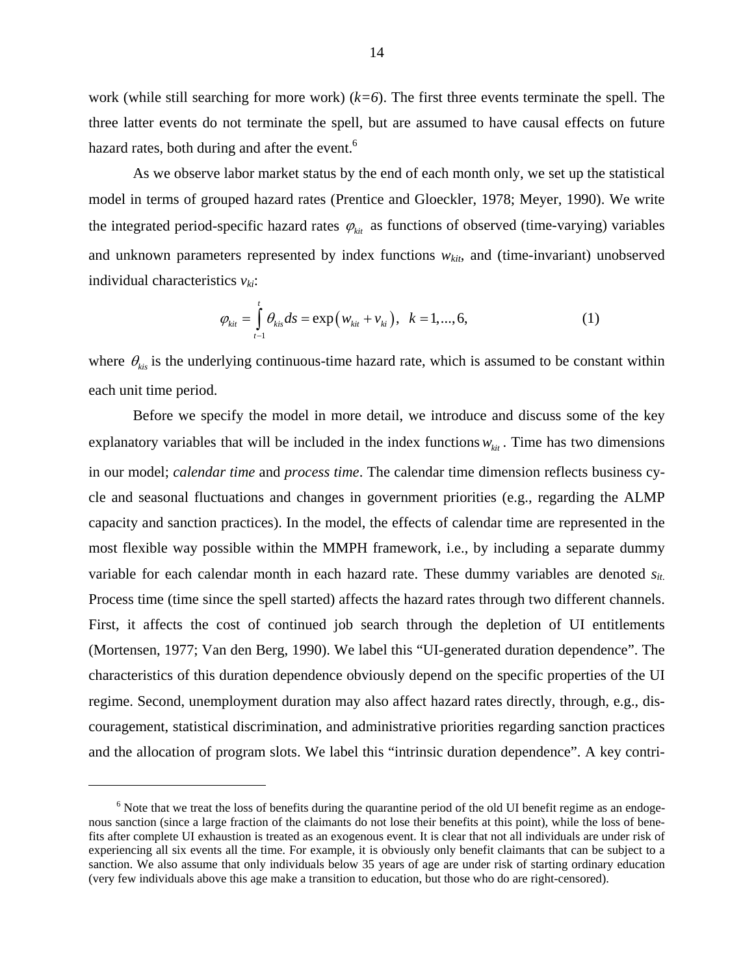work (while still searching for more work) (*k=6*). The first three events terminate the spell. The three latter events do not terminate the spell, but are assumed to have causal effects on future hazard rates, both during and after the event.<sup>[6](#page-14-0)</sup>

As we observe labor market status by the end of each month only, we set up the statistical model in terms of grouped hazard rates (Prentice and Gloeckler, 1978; Meyer, 1990). We write the integrated period-specific hazard rates  $\varphi_{\text{kit}}$  as functions of observed (time-varying) variables and unknown parameters represented by index functions  $w_{kit}$ , and (time-invariant) unobserved individual characteristics  $v_{ki}$ :

$$
\varphi_{\text{kit}} = \int_{t-1}^{t} \theta_{\text{kis}} ds = \exp(w_{\text{kit}} + v_{\text{ki}}), \ \ k = 1, ..., 6,
$$
 (1)

where  $\theta_{\text{kis}}$  is the underlying continuous-time hazard rate, which is assumed to be constant within each unit time period.

Before we specify the model in more detail, we introduce and discuss some of the key explanatory variables that will be included in the index functions  $w_{\text{kit}}$ . Time has two dimensions in our model; *calendar time* and *process time*. The calendar time dimension reflects business cycle and seasonal fluctuations and changes in government priorities (e.g., regarding the ALMP capacity and sanction practices). In the model, the effects of calendar time are represented in the most flexible way possible within the MMPH framework, i.e., by including a separate dummy variable for each calendar month in each hazard rate. These dummy variables are denoted  $s_{it}$ . Process time (time since the spell started) affects the hazard rates through two different channels. First, it affects the cost of continued job search through the depletion of UI entitlements (Mortensen, 1977; Van den Berg, 1990). We label this "UI-generated duration dependence". The characteristics of this duration dependence obviously depend on the specific properties of the UI regime. Second, unemployment duration may also affect hazard rates directly, through, e.g., discouragement, statistical discrimination, and administrative priorities regarding sanction practices and the allocation of program slots. We label this "intrinsic duration dependence". A key contri-

1

<span id="page-14-0"></span> $6$  Note that we treat the loss of benefits during the quarantine period of the old UI benefit regime as an endogenous sanction (since a large fraction of the claimants do not lose their benefits at this point), while the loss of benefits after complete UI exhaustion is treated as an exogenous event. It is clear that not all individuals are under risk of experiencing all six events all the time. For example, it is obviously only benefit claimants that can be subject to a sanction. We also assume that only individuals below 35 years of age are under risk of starting ordinary education (very few individuals above this age make a transition to education, but those who do are right-censored).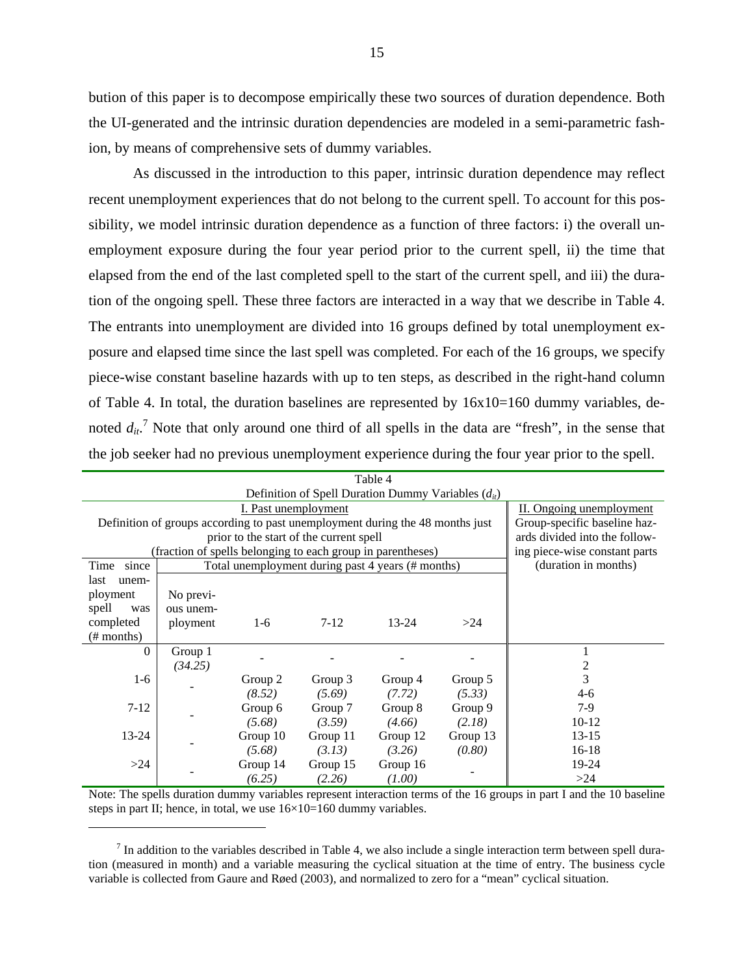bution of this paper is to decompose empirically these two sources of duration dependence. Both the UI-generated and the intrinsic duration dependencies are modeled in a semi-parametric fashion, by means of comprehensive sets of dummy variables.

As discussed in the introduction to this paper, intrinsic duration dependence may reflect recent unemployment experiences that do not belong to the current spell. To account for this possibility, we model intrinsic duration dependence as a function of three factors: i) the overall unemployment exposure during the four year period prior to the current spell, ii) the time that elapsed from the end of the last completed spell to the start of the current spell, and iii) the duration of the ongoing spell. These three factors are interacted in a way that we describe in Table 4. The entrants into unemployment are divided into 16 groups defined by total unemployment exposure and elapsed time since the last spell was completed. For each of the 16 groups, we specify piece-wise constant baseline hazards with up to ten steps, as described in the right-hand column of Table 4. In total, the duration baselines are represented by  $16x10=160$  dummy variables, denoted  $d_{it}$ <sup>[7](#page-15-0)</sup>. Note that only around one third of all spells in the data are "fresh", in the sense that the job seeker had no previous unemployment experience during the four year prior to the spell.

|               |                                                                               | Definition of Spell Duration Dummy Variables $(d_{it})$ |                          |                                                   |          |                      |
|---------------|-------------------------------------------------------------------------------|---------------------------------------------------------|--------------------------|---------------------------------------------------|----------|----------------------|
|               |                                                                               |                                                         | II. Ongoing unemployment |                                                   |          |                      |
|               | Definition of groups according to past unemployment during the 48 months just | Group-specific baseline haz-                            |                          |                                                   |          |                      |
|               | prior to the start of the current spell                                       | ards divided into the follow-                           |                          |                                                   |          |                      |
|               | (fraction of spells belonging to each group in parentheses)                   | ing piece-wise constant parts                           |                          |                                                   |          |                      |
| since<br>Time |                                                                               |                                                         |                          | Total unemployment during past 4 years (# months) |          | (duration in months) |
| last<br>unem- |                                                                               |                                                         |                          |                                                   |          |                      |
| ployment      | No previ-                                                                     |                                                         |                          |                                                   |          |                      |
| spell<br>was  | ous unem-                                                                     |                                                         |                          |                                                   |          |                      |
| completed     | ployment                                                                      | $1-6$                                                   | $7 - 12$                 | $13 - 24$                                         | $>24$    |                      |
| $(\#$ months) |                                                                               |                                                         |                          |                                                   |          |                      |
| $\Omega$      | Group 1                                                                       |                                                         |                          |                                                   |          |                      |
|               | (34.25)                                                                       |                                                         |                          |                                                   |          | $\boldsymbol{2}$     |
| $1-6$         |                                                                               | Group 2                                                 | Group 3                  | Group 4                                           | Group 5  | 3                    |
|               |                                                                               | (8.52)                                                  | (5.69)                   | (7.72)                                            | (5.33)   | $4-6$                |
| $7 - 12$      |                                                                               | Group 6                                                 | Group 7                  | Group 8                                           | Group 9  | $7-9$                |
|               |                                                                               | (5.68)                                                  | (3.59)                   | (4.66)                                            | (2.18)   | $10-12$              |
| 13-24         |                                                                               | Group 10                                                | Group 11                 | Group 12                                          | Group 13 | $13 - 15$            |
|               |                                                                               | (5.68)                                                  | (0.80)                   | $16-18$                                           |          |                      |
| >24           |                                                                               | Group 14                                                | Group 15                 | Group 16                                          |          | 19-24                |
|               |                                                                               | (6.25)                                                  | (2.26)                   | (1.00)                                            |          | >24                  |

Note: The spells duration dummy variables represent interaction terms of the 16 groups in part I and the 10 baseline steps in part II; hence, in total, we use  $16\times10=160$  dummy variables.

 $\overline{a}$ 

<span id="page-15-0"></span> $<sup>7</sup>$  In addition to the variables described in Table 4, we also include a single interaction term between spell dura-</sup> tion (measured in month) and a variable measuring the cyclical situation at the time of entry. The business cycle variable is collected from Gaure and Røed (2003), and normalized to zero for a "mean" cyclical situation.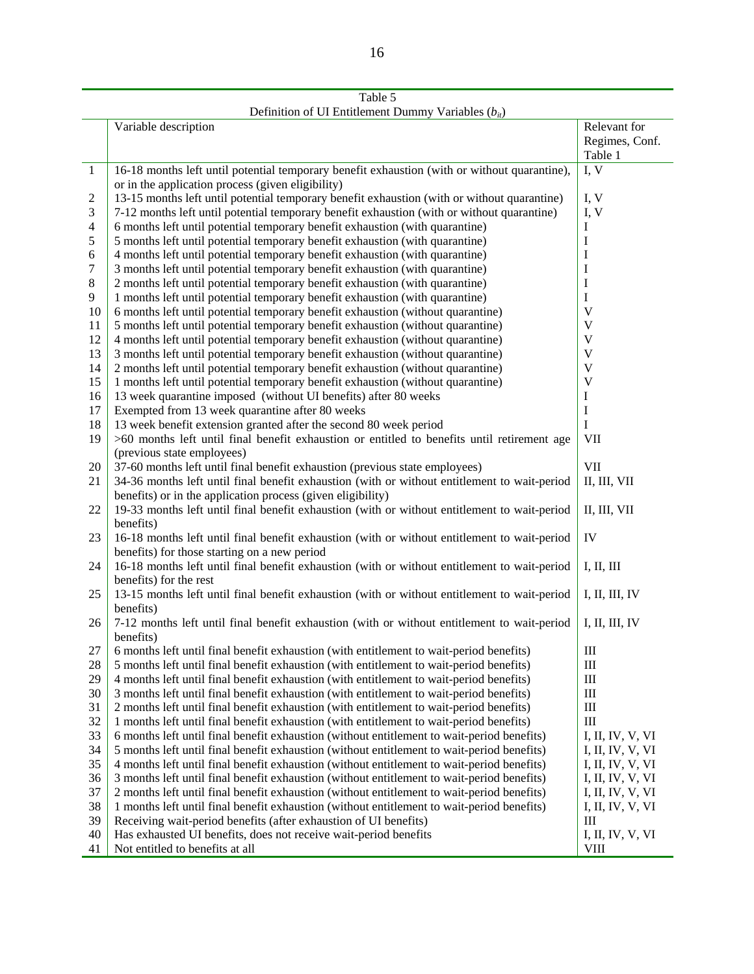|       | Deminion of CT Emmement Dumini<br>v arraonos $(v_{it})$                                      |                           |
|-------|----------------------------------------------------------------------------------------------|---------------------------|
|       | Variable description                                                                         | Relevant for              |
|       |                                                                                              | Regimes, Conf.            |
|       |                                                                                              | Table 1                   |
| 1     | 16-18 months left until potential temporary benefit exhaustion (with or without quarantine), | I, V                      |
|       | or in the application process (given eligibility)                                            |                           |
| 2     | 13-15 months left until potential temporary benefit exhaustion (with or without quarantine)  | I, V                      |
| 3     | 7-12 months left until potential temporary benefit exhaustion (with or without quarantine)   | I, V                      |
| 4     | 6 months left until potential temporary benefit exhaustion (with quarantine)                 | I                         |
| 5     | 5 months left until potential temporary benefit exhaustion (with quarantine)                 |                           |
|       |                                                                                              | $\mathbf I$               |
| 6     | 4 months left until potential temporary benefit exhaustion (with quarantine)                 | 1                         |
| 7     | 3 months left until potential temporary benefit exhaustion (with quarantine)                 | I                         |
| $8\,$ | 2 months left until potential temporary benefit exhaustion (with quarantine)                 | I                         |
| 9     | 1 months left until potential temporary benefit exhaustion (with quarantine)                 | I                         |
| 10    | 6 months left until potential temporary benefit exhaustion (without quarantine)              | V                         |
| 11    | 5 months left until potential temporary benefit exhaustion (without quarantine)              | $\mathbf{V}$              |
| 12    | 4 months left until potential temporary benefit exhaustion (without quarantine)              | $\ensuremath{\mathsf{V}}$ |
| 13    | 3 months left until potential temporary benefit exhaustion (without quarantine)              | $\mathbf V$               |
| 14    | 2 months left until potential temporary benefit exhaustion (without quarantine)              | $\mathbf V$               |
| 15    | 1 months left until potential temporary benefit exhaustion (without quarantine)              | $\mathbf V$               |
| 16    | 13 week quarantine imposed (without UI benefits) after 80 weeks                              | I                         |
| 17    | Exempted from 13 week quarantine after 80 weeks                                              | I                         |
| 18    | 13 week benefit extension granted after the second 80 week period                            | I                         |
| 19    | >60 months left until final benefit exhaustion or entitled to benefits until retirement age  | <b>VII</b>                |
|       | (previous state employees)                                                                   |                           |
| 20    | 37-60 months left until final benefit exhaustion (previous state employees)                  | <b>VII</b>                |
| 21    | 34-36 months left until final benefit exhaustion (with or without entitlement to wait-period | II, III, VII              |
|       | benefits) or in the application process (given eligibility)                                  |                           |
| 22    | 19-33 months left until final benefit exhaustion (with or without entitlement to wait-period | II, III, VII              |
|       | benefits)                                                                                    |                           |
| 23    | 16-18 months left until final benefit exhaustion (with or without entitlement to wait-period | IV                        |
|       |                                                                                              |                           |
|       | benefits) for those starting on a new period                                                 |                           |
| 24    | 16-18 months left until final benefit exhaustion (with or without entitlement to wait-period | I, II, III                |
|       | benefits) for the rest                                                                       |                           |
| 25    | 13-15 months left until final benefit exhaustion (with or without entitlement to wait-period | I, II, III, IV            |
|       | benefits)                                                                                    |                           |
| 26    | 7-12 months left until final benefit exhaustion (with or without entitlement to wait-period  | I, II, III, IV            |
|       | benefits)                                                                                    |                           |
| 27    | 6 months left until final benefit exhaustion (with entitlement to wait-period benefits)      | Ш                         |
| 28    | 5 months left until final benefit exhaustion (with entitlement to wait-period benefits)      | $\rm III$                 |
| 29    | 4 months left until final benefit exhaustion (with entitlement to wait-period benefits)      | $\rm III$                 |
| 30    | 3 months left until final benefit exhaustion (with entitlement to wait-period benefits)      | $\rm III$                 |
| 31    | 2 months left until final benefit exhaustion (with entitlement to wait-period benefits)      | $\rm III$                 |
| 32    | 1 months left until final benefit exhaustion (with entitlement to wait-period benefits)      | $\rm III$                 |
| 33    | 6 months left until final benefit exhaustion (without entitlement to wait-period benefits)   | I, II, IV, V, VI          |
| 34    | 5 months left until final benefit exhaustion (without entitlement to wait-period benefits)   | I, II, IV, V, VI          |
| 35    | 4 months left until final benefit exhaustion (without entitlement to wait-period benefits)   | I, II, IV, V, VI          |
| 36    | 3 months left until final benefit exhaustion (without entitlement to wait-period benefits)   | I, II, IV, V, VI          |
| 37    | 2 months left until final benefit exhaustion (without entitlement to wait-period benefits)   | I, II, IV, V, VI          |
| 38    | 1 months left until final benefit exhaustion (without entitlement to wait-period benefits)   | I, II, IV, V, VI          |
| 39    | Receiving wait-period benefits (after exhaustion of UI benefits)                             | Ш                         |
| 40    | Has exhausted UI benefits, does not receive wait-period benefits                             | I, II, IV, V, VI          |
|       |                                                                                              | <b>VIII</b>               |
| 41    | Not entitled to benefits at all                                                              |                           |

Table 5 Definition of UI Entitlement Dummy Variables ( $b_{it}$ )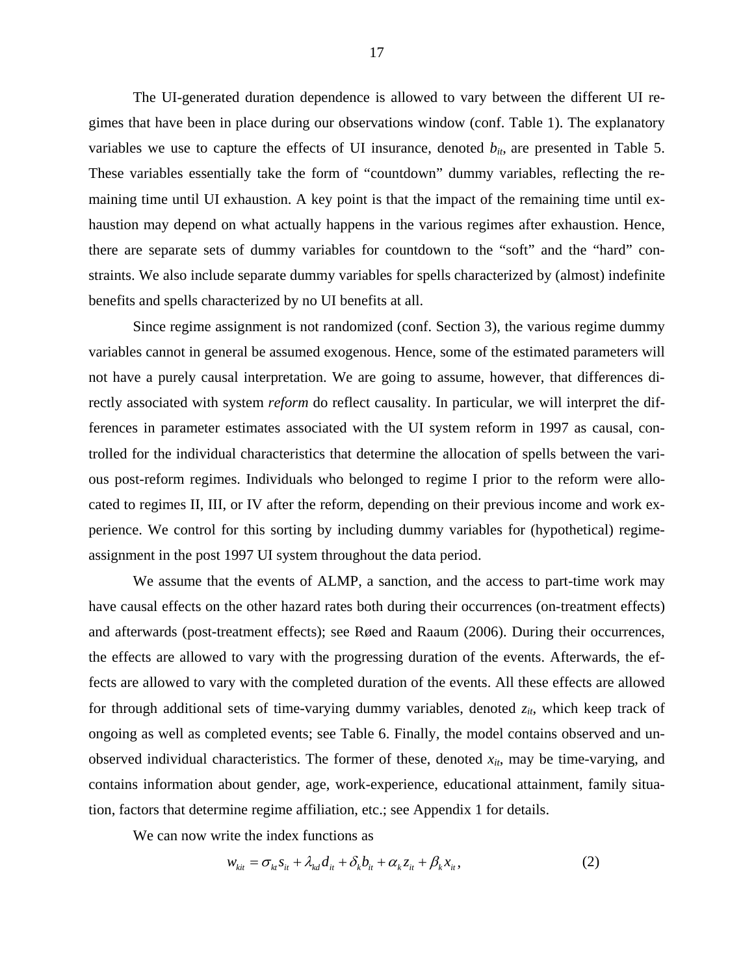The UI-generated duration dependence is allowed to vary between the different UI regimes that have been in place during our observations window (conf. Table 1). The explanatory variables we use to capture the effects of UI insurance, denoted  $b_{it}$ , are presented in Table 5. These variables essentially take the form of "countdown" dummy variables, reflecting the remaining time until UI exhaustion. A key point is that the impact of the remaining time until exhaustion may depend on what actually happens in the various regimes after exhaustion. Hence, there are separate sets of dummy variables for countdown to the "soft" and the "hard" constraints. We also include separate dummy variables for spells characterized by (almost) indefinite benefits and spells characterized by no UI benefits at all.

Since regime assignment is not randomized (conf. Section 3), the various regime dummy variables cannot in general be assumed exogenous. Hence, some of the estimated parameters will not have a purely causal interpretation. We are going to assume, however, that differences directly associated with system *reform* do reflect causality. In particular, we will interpret the differences in parameter estimates associated with the UI system reform in 1997 as causal, controlled for the individual characteristics that determine the allocation of spells between the various post-reform regimes. Individuals who belonged to regime I prior to the reform were allocated to regimes II, III, or IV after the reform, depending on their previous income and work experience. We control for this sorting by including dummy variables for (hypothetical) regimeassignment in the post 1997 UI system throughout the data period.

We assume that the events of ALMP, a sanction, and the access to part-time work may have causal effects on the other hazard rates both during their occurrences (on-treatment effects) and afterwards (post-treatment effects); see Røed and Raaum (2006). During their occurrences, the effects are allowed to vary with the progressing duration of the events. Afterwards, the effects are allowed to vary with the completed duration of the events. All these effects are allowed for through additional sets of time-varying dummy variables, denoted  $z_{it}$ , which keep track of ongoing as well as completed events; see Table 6. Finally, the model contains observed and unobserved individual characteristics. The former of these, denoted  $x_{it}$ , may be time-varying, and contains information about gender, age, work-experience, educational attainment, family situation, factors that determine regime affiliation, etc.; see Appendix 1 for details.

We can now write the index functions as

<span id="page-17-0"></span>
$$
w_{\rm kin} = \sigma_{\rm kt} s_{\rm it} + \lambda_{\rm kd} d_{\rm it} + \delta_k b_{\rm it} + \alpha_k z_{\rm it} + \beta_k x_{\rm it},\tag{2}
$$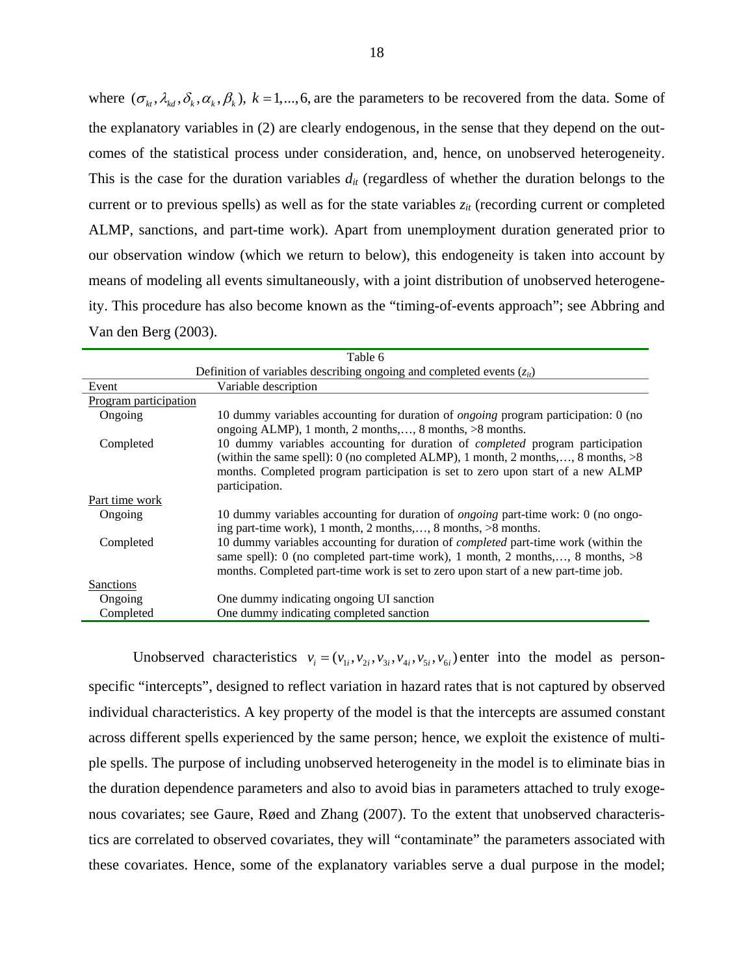where  $(\sigma_k, \lambda_k, \delta_k, \alpha_k, \beta_k)$ ,  $k = 1, \dots, 6$ , are the parameters to be recovered from the data. Some of the explanatory variables in [\(2\)](#page-17-0) are clearly endogenous, in the sense that they depend on the outcomes of the statistical process under consideration, and, hence, on unobserved heterogeneity. This is the case for the duration variables  $d_{it}$  (regardless of whether the duration belongs to the current or to previous spells) as well as for the state variables  $z_{it}$  (recording current or completed ALMP, sanctions, and part-time work). Apart from unemployment duration generated prior to our observation window (which we return to below), this endogeneity is taken into account by means of modeling all events simultaneously, with a joint distribution of unobserved heterogeneity. This procedure has also become known as the "timing-of-events approach"; see Abbring and Van den Berg (2003).

|                       | Table 6                                                                                                                                                                                                                                                                         |
|-----------------------|---------------------------------------------------------------------------------------------------------------------------------------------------------------------------------------------------------------------------------------------------------------------------------|
|                       | Definition of variables describing ongoing and completed events $(z_{it})$                                                                                                                                                                                                      |
| Event                 | Variable description                                                                                                                                                                                                                                                            |
| Program participation |                                                                                                                                                                                                                                                                                 |
| Ongoing               | 10 dummy variables accounting for duration of <i>ongoing</i> program participation: 0 (no<br>ongoing ALMP), 1 month, 2 months,, 8 months, $>8$ months.                                                                                                                          |
| Completed             | 10 dummy variables accounting for duration of <i>completed</i> program participation<br>(within the same spell): 0 (no completed ALMP), 1 month, 2 months,, 8 months, $>8$<br>months. Completed program participation is set to zero upon start of a new ALMP<br>participation. |
| Part time work        |                                                                                                                                                                                                                                                                                 |
| Ongoing               | 10 dummy variables accounting for duration of <i>ongoing</i> part-time work: 0 (no ongo-<br>ing part-time work), 1 month, 2 months,, 8 months, $>8$ months.                                                                                                                     |
| Completed             | 10 dummy variables accounting for duration of <i>completed</i> part-time work (within the<br>same spell): 0 (no completed part-time work), 1 month, 2 months,, 8 months, $>8$<br>months. Completed part-time work is set to zero upon start of a new part-time job.             |
| Sanctions             |                                                                                                                                                                                                                                                                                 |
| Ongoing               | One dummy indicating ongoing UI sanction                                                                                                                                                                                                                                        |
| Completed             | One dummy indicating completed sanction                                                                                                                                                                                                                                         |

Unobserved characteristics  $v_i = (v_{1i}, v_{2i}, v_{3i}, v_{4i}, v_{5i}, v_{6i})$  enter into the model as personspecific "intercepts", designed to reflect variation in hazard rates that is not captured by observed individual characteristics. A key property of the model is that the intercepts are assumed constant across different spells experienced by the same person; hence, we exploit the existence of multiple spells. The purpose of including unobserved heterogeneity in the model is to eliminate bias in the duration dependence parameters and also to avoid bias in parameters attached to truly exogenous covariates; see Gaure, Røed and Zhang (2007). To the extent that unobserved characteristics are correlated to observed covariates, they will "contaminate" the parameters associated with these covariates. Hence, some of the explanatory variables serve a dual purpose in the model;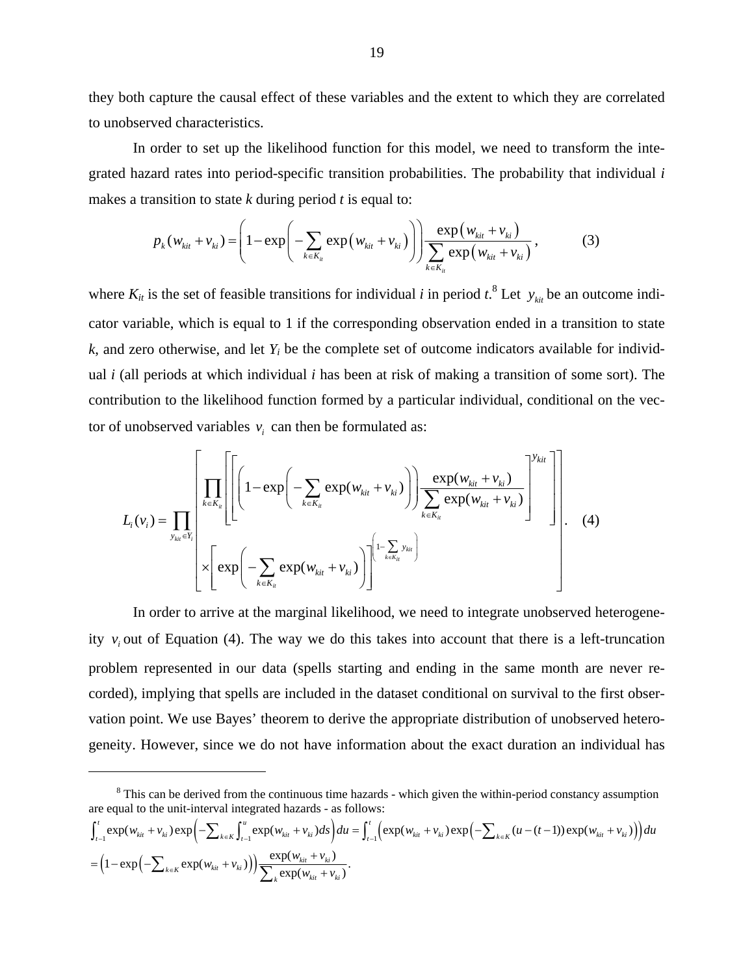they both capture the causal effect of these variables and the extent to which they are correlated to unobserved characteristics.

In order to set up the likelihood function for this model, we need to transform the integrated hazard rates into period-specific transition probabilities. The probability that individual *i*  makes a transition to state *k* during period *t* is equal to:

$$
p_{k}(w_{kit} + v_{ki}) = \left(1 - \exp\left(-\sum_{k \in K_{it}} \exp(w_{kit} + v_{ki})\right)\right) \frac{\exp(w_{kit} + v_{ki})}{\sum_{k \in K_{it}} \exp(w_{kit} + v_{ki})},
$$
(3)

where  $K_{it}$  is the set of feasible transitions for individual *i* in period  $t^2$ . Let  $y_{\text{kin}}$  be an outcome indicator variable, which is equal to 1 if the corresponding observation ended in a transition to state  $k$ , and zero otherwise, and let  $Y_i$  be the complete set of outcome indicators available for individual *i* (all periods at which individual *i* has been at risk of making a transition of some sort). The contribution to the likelihood function formed by a particular individual, conditional on the vector of unobserved variables  $v_i$  can then be formulated as:

<span id="page-19-0"></span>
$$
L_{i}(v_{i}) = \prod_{y_{\text{kin}} \in Y_{i}} \left[ \prod_{k \in K_{u}} \left[ \left( 1 - \exp\left( -\sum_{k \in K_{u}} \exp(w_{\text{kin}} + v_{\text{ki}}) \right) \right) \frac{\exp(w_{\text{kit}} + v_{\text{ki}})}{\sum_{k \in K_{u}} \exp(w_{\text{kit}} + v_{\text{ki}})} \right]^{y_{\text{kit}}} \right] \right].
$$
 (4)

In order to arrive at the marginal likelihood, we need to integrate unobserved heterogeneity  $v_i$  out of Equation [\(4\).](#page-19-0) The way we do this takes into account that there is a left-truncation problem represented in our data (spells starting and ending in the same month are never recorded), implying that spells are included in the dataset conditional on survival to the first observation point. We use Bayes' theorem to derive the appropriate distribution of unobserved heterogeneity. However, since we do not have information about the exact duration an individual has

 $\overline{a}$ 

$$
\int_{t-1}^{t} \exp(w_{kit} + v_{ki}) \exp\left(-\sum_{k \in K} \int_{t-1}^{u} \exp(w_{kit} + v_{ki}) ds\right) du = \int_{t-1}^{t} \left(\exp(w_{kit} + v_{ki}) \exp\left(-\sum_{k \in K} (u - (t-1)) \exp(w_{kit} + v_{ki})\right)\right) du
$$

$$
= \left(1 - \exp\left(-\sum_{k \in K} \exp(w_{kit} + v_{ki})\right)\right) \frac{\exp(w_{kit} + v_{ki})}{\sum_{k} \exp(w_{kit} + v_{ki})}.
$$

<span id="page-19-1"></span><sup>&</sup>lt;sup>8</sup> This can be derived from the continuous time hazards - which given the within-period constancy assumption are equal to the unit-interval integrated hazards - as follows: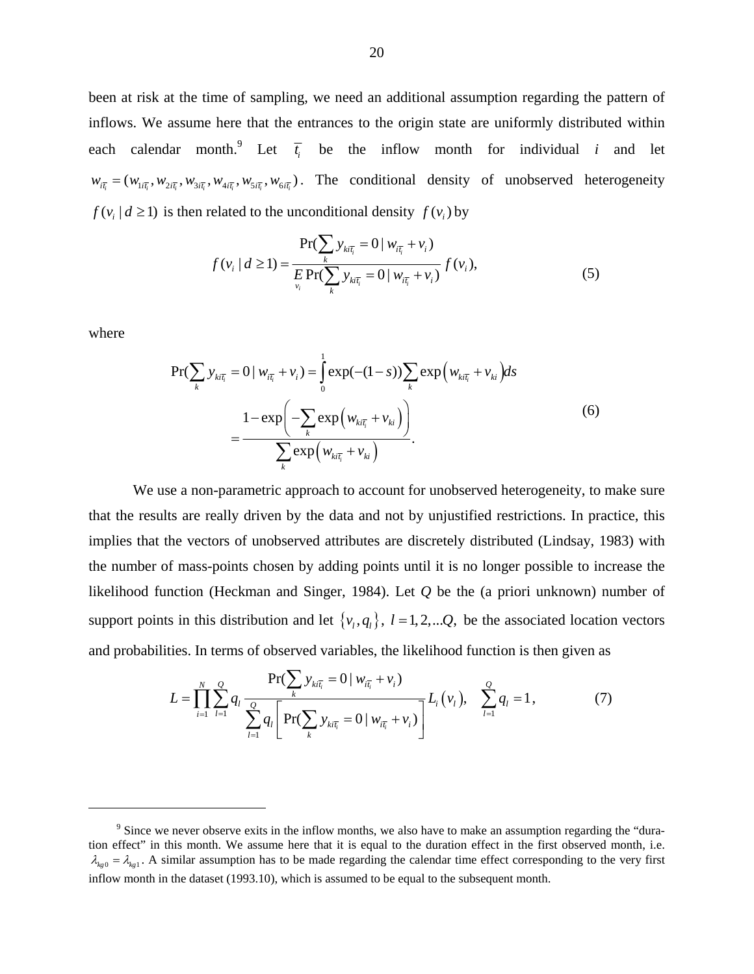been at risk at the time of sampling, we need an additional assumption regarding the pattern of inflows. We assume here that the entrances to the origin state are uniformly distributed within each calendar month.<sup>[9](#page-20-0)</sup> Let  $\overline{t_i}$  be the inflow month for individual *i* and let  $w_{i\bar{t}_i} = (w_{1i\bar{t}_i}, w_{2i\bar{t}_i}, w_{3i\bar{t}_i}, w_{4i\bar{t}_i}, w_{5i\bar{t}_i}, w_{6i\bar{t}_i})$ . The conditional density of unobserved heterogeneity  $f(v_i | d \ge 1)$  is then related to the unconditional density  $f(v_i)$  by

<span id="page-20-1"></span>
$$
f(v_i | d \ge 1) = \frac{\Pr(\sum_{k} y_{ki\bar{i}_i} = 0 | w_{i\bar{i}_i} + v_i)}{E \Pr(\sum_{v_i} y_{ki\bar{i}_i} = 0 | w_{i\bar{i}_i} + v_i)} f(v_i),
$$
 (5)

where

$$
\Pr(\sum_{k} y_{ki\overline{t}_{i}} = 0 \mid w_{i\overline{t}_{i}} + v_{i}) = \int_{0}^{1} \exp(-(1-s)) \sum_{k} \exp(w_{ki\overline{t}_{i}} + v_{ki}) ds
$$

$$
= \frac{1 - \exp\left(-\sum_{k} \exp(w_{ki\overline{t}_{i}} + v_{ki})\right)}{\sum_{k} \exp(w_{ki\overline{t}_{i}} + v_{ki})}.
$$
(6)

We use a non-parametric approach to account for unobserved heterogeneity, to make sure that the results are really driven by the data and not by unjustified restrictions. In practice, this implies that the vectors of unobserved attributes are discretely distributed (Lindsay, 1983) with the number of mass-points chosen by adding points until it is no longer possible to increase the likelihood function (Heckman and Singer, 1984). Let *Q* be the (a priori unknown) number of support points in this distribution and let  $\{v_i, q_i\}$ ,  $l = 1, 2, \ldots, Q$ , be the associated location vectors and probabilities. In terms of observed variables, the likelihood function is then given as

<span id="page-20-2"></span>
$$
L = \prod_{i=1}^{N} \sum_{l=1}^{Q} q_{l} \frac{\Pr(\sum_{k} y_{ki_{i}}) = 0 | w_{i\bar{i}_{i}} + v_{i})}{\sum_{l=1}^{Q} q_{l} \left[ \Pr(\sum_{k} y_{ki_{i}}) = 0 | w_{i\bar{i}_{i}} + v_{i}) \right]} L_{i}(v_{l}), \quad \sum_{l=1}^{Q} q_{l} = 1,
$$
 (7)

<span id="page-20-0"></span> $\lambda_{kg0} = \lambda_{kg1}$ . A similar assumption has to be made regarding the calendar time effect corresponding to the very first <sup>9</sup> Since we never observe exits in the inflow months, we also have to make an assumption regarding the "duration effect" in this month. We assume here that it is equal to the duration effect in the first observed month, i.e. inflow month in the dataset (1993.10), which is assumed to be equal to the subsequent month.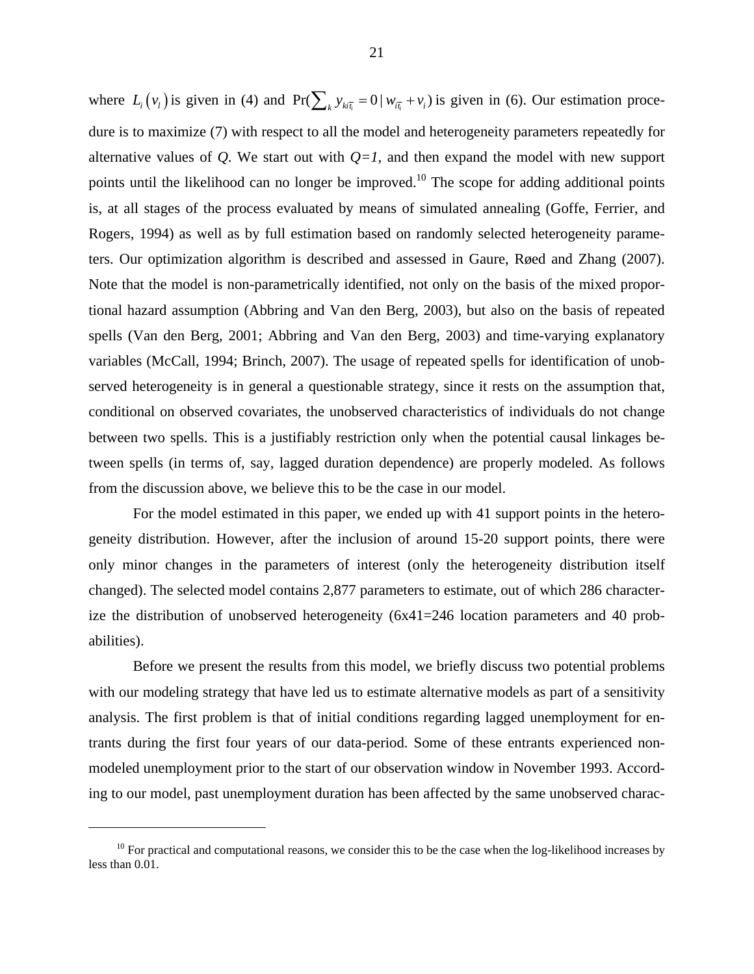where  $L_i(v_i)$  is given in [\(4\)](#page-19-0) and  $Pr(\sum_k y_{ki_i} = 0 | w_{i\overline{i}} + v_i)$  is given in [\(6\).](#page-20-1) Our estimation procedure is to maximize [\(7\)](#page-20-2) with respect to all the model and heterogeneity parameters repeatedly for alternative values of *Q*. We start out with  $Q=1$ , and then expand the model with new support points until the likelihood can no longer be improved.<sup>10</sup> The scope for adding additional points is, at all stages of the process evaluated by means of simulated annealing (Goffe, Ferrier, and Rogers, 1994) as well as by full estimation based on randomly selected heterogeneity parameters. Our optimization algorithm is described and assessed in Gaure, Røed and Zhang (2007). Note that the model is non-parametrically identified, not only on the basis of the mixed proportional hazard assumption (Abbring and Van den Berg, 2003), but also on the basis of repeated spells (Van den Berg, 2001; Abbring and Van den Berg, 2003) and time-varying explanatory variables (McCall, 1994; Brinch, 2007). The usage of repeated spells for identification of unobserved heterogeneity is in general a questionable strategy, since it rests on the assumption that, conditional on observed covariates, the unobserved characteristics of individuals do not change between two spells. This is a justifiably restriction only when the potential causal linkages between spells (in terms of, say, lagged duration dependence) are properly modeled. As follows from the discussion above, we believe this to be the case in our model.

For the model estimated in this paper, we ended up with 41 support points in the heterogeneity distribution. However, after the inclusion of around 15-20 support points, there were only minor changes in the parameters of interest (only the heterogeneity distribution itself changed). The selected model contains 2,877 parameters to estimate, out of which 286 characterize the distribution of unobserved heterogeneity (6x41=246 location parameters and 40 probabilities).

Before we present the results from this model, we briefly discuss two potential problems with our modeling strategy that have led us to estimate alternative models as part of a sensitivity analysis. The first problem is that of initial conditions regarding lagged unemployment for entrants during the first four years of our data-period. Some of these entrants experienced nonmodeled unemployment prior to the start of our observation window in November 1993. According to our model, past unemployment duration has been affected by the same unobserved charac-

 $\overline{a}$ 

<span id="page-21-0"></span> $10$  For practical and computational reasons, we consider this to be the case when the log-likelihood increases by less than 0.01.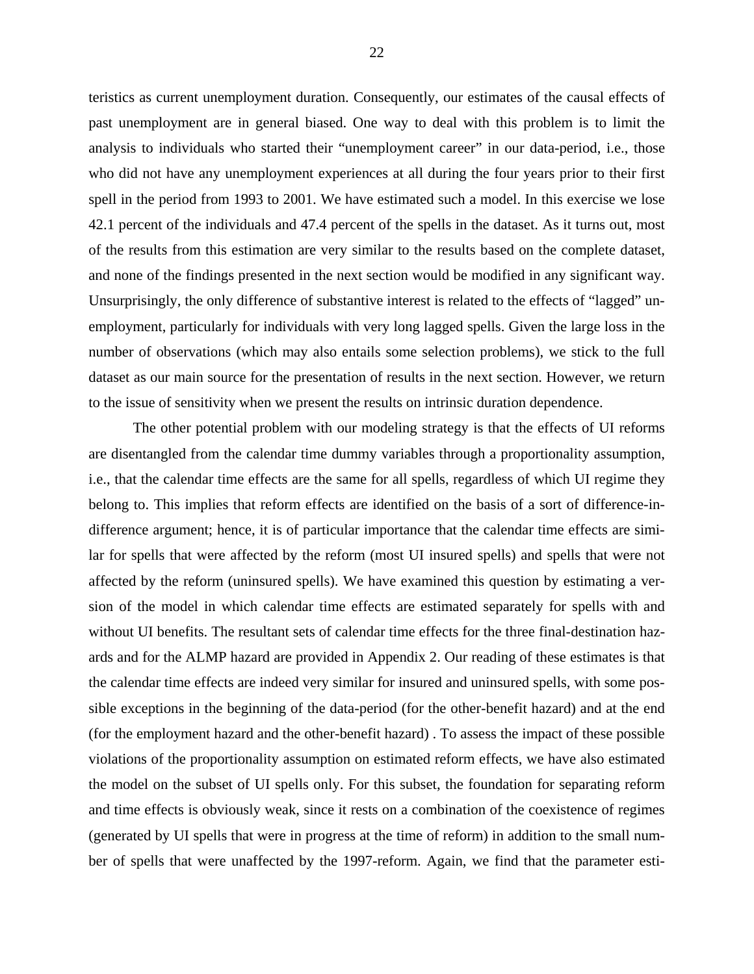teristics as current unemployment duration. Consequently, our estimates of the causal effects of past unemployment are in general biased. One way to deal with this problem is to limit the analysis to individuals who started their "unemployment career" in our data-period, i.e., those who did not have any unemployment experiences at all during the four years prior to their first spell in the period from 1993 to 2001. We have estimated such a model. In this exercise we lose 42.1 percent of the individuals and 47.4 percent of the spells in the dataset. As it turns out, most of the results from this estimation are very similar to the results based on the complete dataset, and none of the findings presented in the next section would be modified in any significant way. Unsurprisingly, the only difference of substantive interest is related to the effects of "lagged" unemployment, particularly for individuals with very long lagged spells. Given the large loss in the number of observations (which may also entails some selection problems), we stick to the full dataset as our main source for the presentation of results in the next section. However, we return to the issue of sensitivity when we present the results on intrinsic duration dependence.

 The other potential problem with our modeling strategy is that the effects of UI reforms are disentangled from the calendar time dummy variables through a proportionality assumption, i.e., that the calendar time effects are the same for all spells, regardless of which UI regime they belong to. This implies that reform effects are identified on the basis of a sort of difference-indifference argument; hence, it is of particular importance that the calendar time effects are similar for spells that were affected by the reform (most UI insured spells) and spells that were not affected by the reform (uninsured spells). We have examined this question by estimating a version of the model in which calendar time effects are estimated separately for spells with and without UI benefits. The resultant sets of calendar time effects for the three final-destination hazards and for the ALMP hazard are provided in Appendix 2. Our reading of these estimates is that the calendar time effects are indeed very similar for insured and uninsured spells, with some possible exceptions in the beginning of the data-period (for the other-benefit hazard) and at the end (for the employment hazard and the other-benefit hazard) . To assess the impact of these possible violations of the proportionality assumption on estimated reform effects, we have also estimated the model on the subset of UI spells only. For this subset, the foundation for separating reform and time effects is obviously weak, since it rests on a combination of the coexistence of regimes (generated by UI spells that were in progress at the time of reform) in addition to the small number of spells that were unaffected by the 1997-reform. Again, we find that the parameter esti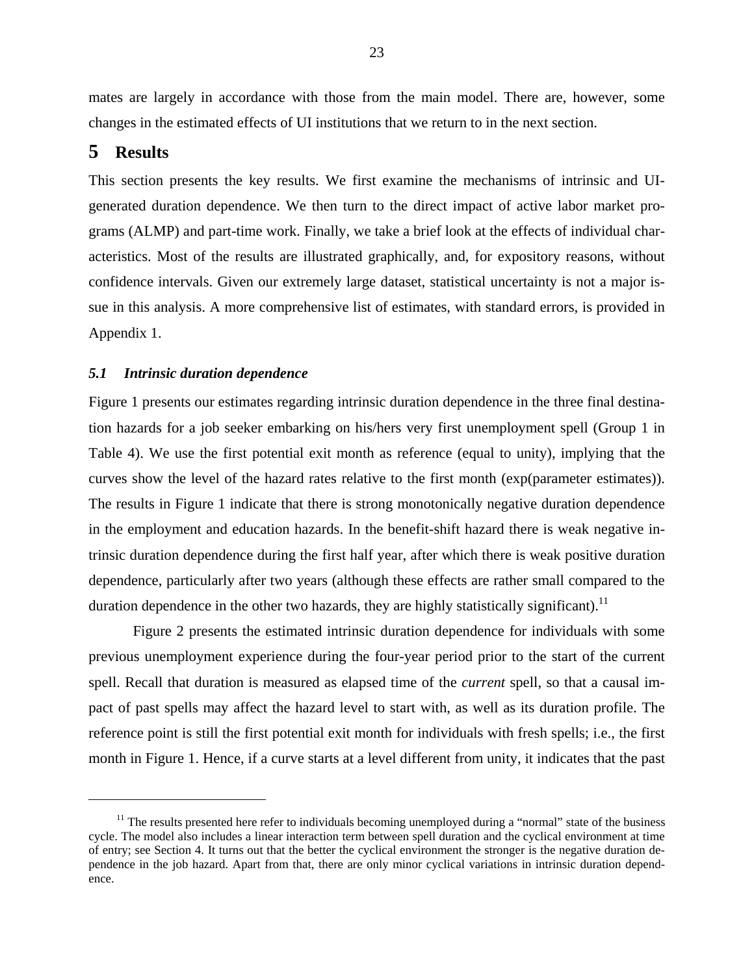mates are largely in accordance with those from the main model. There are, however, some changes in the estimated effects of UI institutions that we return to in the next section.

### **5 Results**

 $\overline{a}$ 

This section presents the key results. We first examine the mechanisms of intrinsic and UIgenerated duration dependence. We then turn to the direct impact of active labor market programs (ALMP) and part-time work. Finally, we take a brief look at the effects of individual characteristics. Most of the results are illustrated graphically, and, for expository reasons, without confidence intervals. Given our extremely large dataset, statistical uncertainty is not a major issue in this analysis. A more comprehensive list of estimates, with standard errors, is provided in Appendix 1.

#### *5.1 Intrinsic duration dependence*

Figure 1 presents our estimates regarding intrinsic duration dependence in the three final destination hazards for a job seeker embarking on his/hers very first unemployment spell (Group 1 in Table 4). We use the first potential exit month as reference (equal to unity), implying that the curves show the level of the hazard rates relative to the first month (exp(parameter estimates)). The results in Figure 1 indicate that there is strong monotonically negative duration dependence in the employment and education hazards. In the benefit-shift hazard there is weak negative intrinsic duration dependence during the first half year, after which there is weak positive duration dependence, particularly after two years (although these effects are rather small compared to the duration dependence in the other two hazards, they are highly statistically significant).<sup>11</sup>

 Figure 2 presents the estimated intrinsic duration dependence for individuals with some previous unemployment experience during the four-year period prior to the start of the current spell. Recall that duration is measured as elapsed time of the *current* spell, so that a causal impact of past spells may affect the hazard level to start with, as well as its duration profile. The reference point is still the first potential exit month for individuals with fresh spells; i.e., the first month in Figure 1. Hence, if a curve starts at a level different from unity, it indicates that the past

<span id="page-23-0"></span> $11$  The results presented here refer to individuals becoming unemployed during a "normal" state of the business cycle. The model also includes a linear interaction term between spell duration and the cyclical environment at time of entry; see Section 4. It turns out that the better the cyclical environment the stronger is the negative duration dependence in the job hazard. Apart from that, there are only minor cyclical variations in intrinsic duration dependence.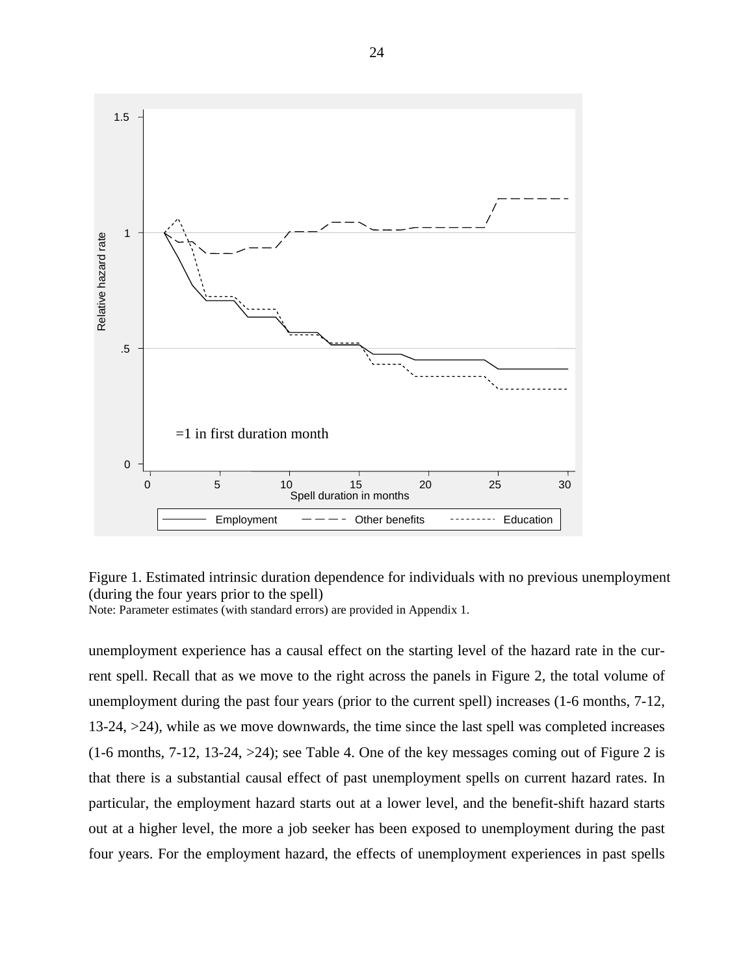

Figure 1. Estimated intrinsic duration dependence for individuals with no previous unemployment (during the four years prior to the spell)

Note: Parameter estimates (with standard errors) are provided in Appendix 1.

unemployment experience has a causal effect on the starting level of the hazard rate in the current spell. Recall that as we move to the right across the panels in Figure 2, the total volume of unemployment during the past four years (prior to the current spell) increases (1-6 months, 7-12, 13-24, >24), while as we move downwards, the time since the last spell was completed increases (1-6 months, 7-12, 13-24, >24); see Table 4. One of the key messages coming out of Figure 2 is that there is a substantial causal effect of past unemployment spells on current hazard rates. In particular, the employment hazard starts out at a lower level, and the benefit-shift hazard starts out at a higher level, the more a job seeker has been exposed to unemployment during the past four years. For the employment hazard, the effects of unemployment experiences in past spells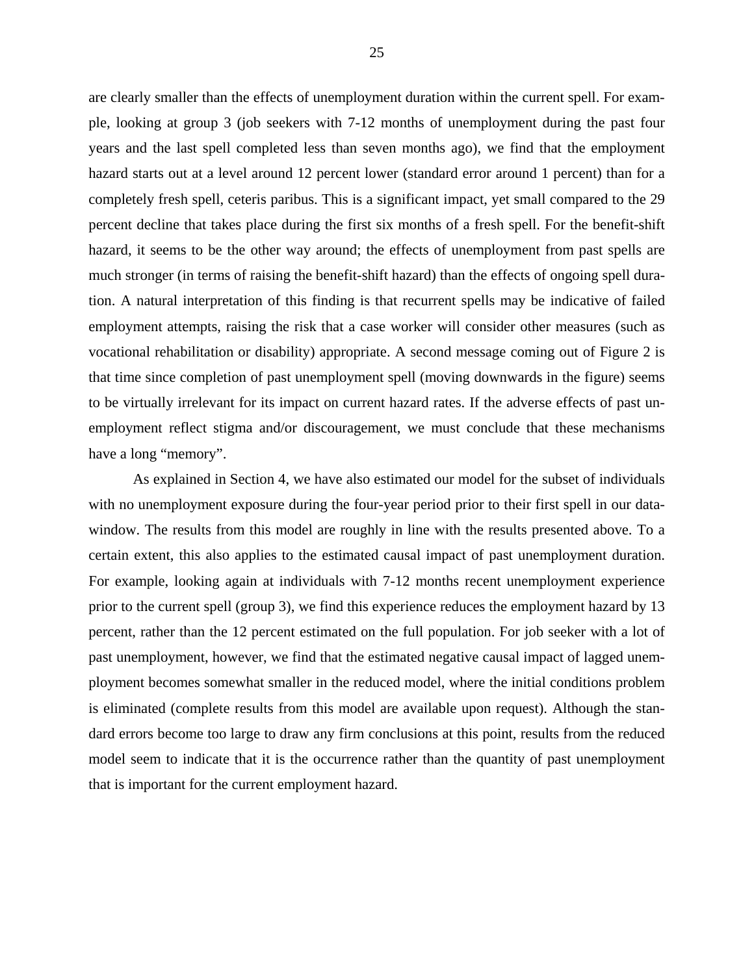are clearly smaller than the effects of unemployment duration within the current spell. For example, looking at group 3 (job seekers with 7-12 months of unemployment during the past four years and the last spell completed less than seven months ago), we find that the employment hazard starts out at a level around 12 percent lower (standard error around 1 percent) than for a completely fresh spell, ceteris paribus. This is a significant impact, yet small compared to the 29 percent decline that takes place during the first six months of a fresh spell. For the benefit-shift hazard, it seems to be the other way around; the effects of unemployment from past spells are much stronger (in terms of raising the benefit-shift hazard) than the effects of ongoing spell duration. A natural interpretation of this finding is that recurrent spells may be indicative of failed employment attempts, raising the risk that a case worker will consider other measures (such as vocational rehabilitation or disability) appropriate. A second message coming out of Figure 2 is that time since completion of past unemployment spell (moving downwards in the figure) seems to be virtually irrelevant for its impact on current hazard rates. If the adverse effects of past unemployment reflect stigma and/or discouragement, we must conclude that these mechanisms have a long "memory".

 As explained in Section 4, we have also estimated our model for the subset of individuals with no unemployment exposure during the four-year period prior to their first spell in our datawindow. The results from this model are roughly in line with the results presented above. To a certain extent, this also applies to the estimated causal impact of past unemployment duration. For example, looking again at individuals with 7-12 months recent unemployment experience prior to the current spell (group 3), we find this experience reduces the employment hazard by 13 percent, rather than the 12 percent estimated on the full population. For job seeker with a lot of past unemployment, however, we find that the estimated negative causal impact of lagged unemployment becomes somewhat smaller in the reduced model, where the initial conditions problem is eliminated (complete results from this model are available upon request). Although the standard errors become too large to draw any firm conclusions at this point, results from the reduced model seem to indicate that it is the occurrence rather than the quantity of past unemployment that is important for the current employment hazard.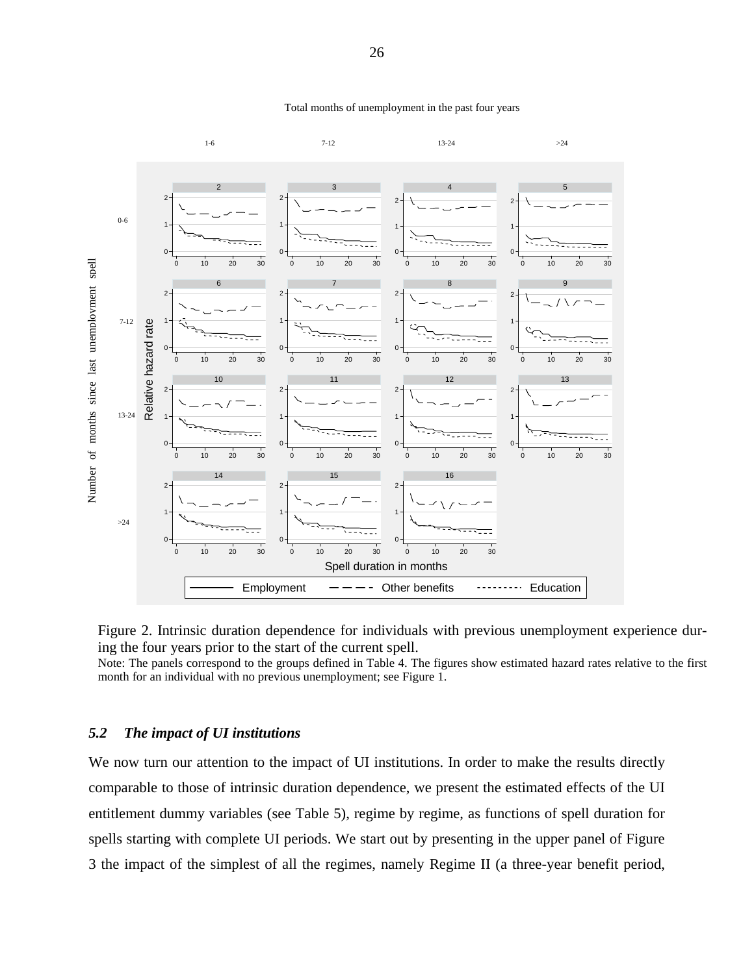

#### Total months of unemployment in the past four years

Figure 2. Intrinsic duration dependence for individuals with previous unemployment experience during the four years prior to the start of the current spell.

Note: The panels correspond to the groups defined in Table 4. The figures show estimated hazard rates relative to the first month for an individual with no previous unemployment; see Figure 1.

#### *5.2 The impact of UI institutions*

We now turn our attention to the impact of UI institutions. In order to make the results directly comparable to those of intrinsic duration dependence, we present the estimated effects of the UI entitlement dummy variables (see Table 5), regime by regime, as functions of spell duration for spells starting with complete UI periods. We start out by presenting in the upper panel of Figure 3 the impact of the simplest of all the regimes, namely Regime II (a three-year benefit period,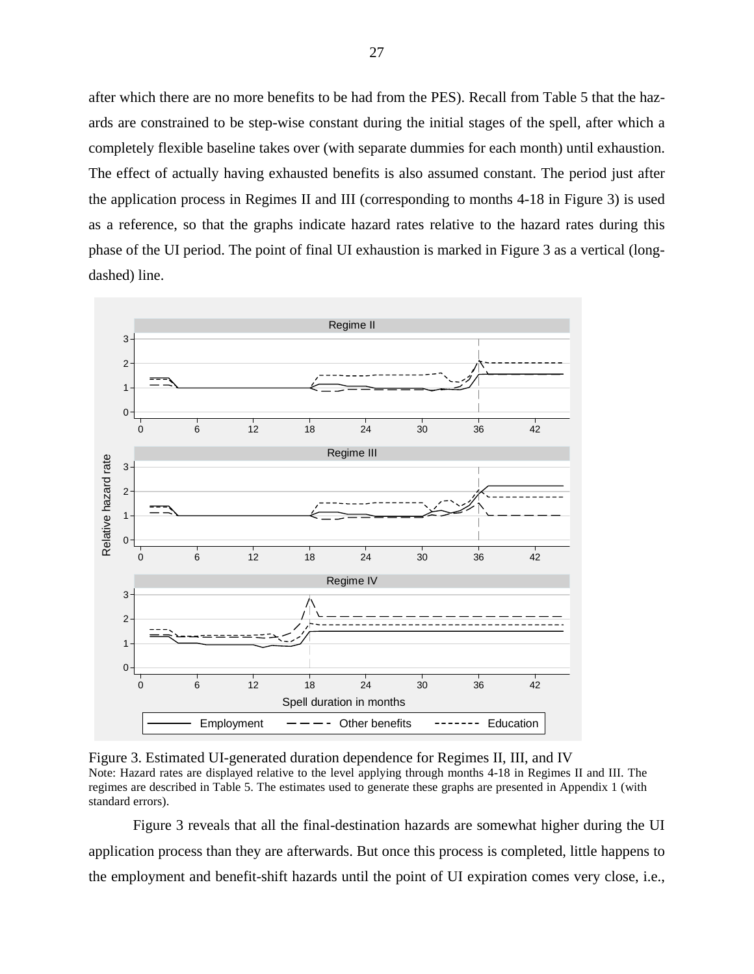after which there are no more benefits to be had from the PES). Recall from Table 5 that the hazards are constrained to be step-wise constant during the initial stages of the spell, after which a completely flexible baseline takes over (with separate dummies for each month) until exhaustion. The effect of actually having exhausted benefits is also assumed constant. The period just after the application process in Regimes II and III (corresponding to months 4-18 in Figure 3) is used as a reference, so that the graphs indicate hazard rates relative to the hazard rates during this phase of the UI period. The point of final UI exhaustion is marked in Figure 3 as a vertical (longdashed) line.



Figure 3. Estimated UI-generated duration dependence for Regimes II, III, and IV Note: Hazard rates are displayed relative to the level applying through months 4-18 in Regimes II and III. The regimes are described in Table 5. The estimates used to generate these graphs are presented in Appendix 1 (with standard errors).

Figure 3 reveals that all the final-destination hazards are somewhat higher during the UI application process than they are afterwards. But once this process is completed, little happens to the employment and benefit-shift hazards until the point of UI expiration comes very close, i.e.,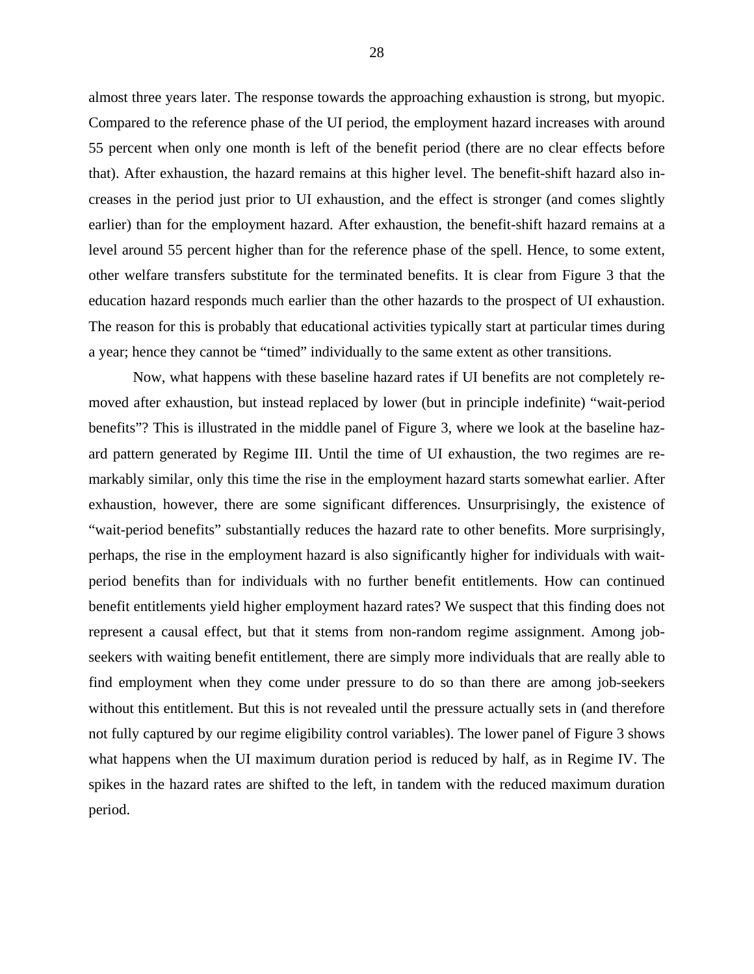almost three years later. The response towards the approaching exhaustion is strong, but myopic. Compared to the reference phase of the UI period, the employment hazard increases with around 55 percent when only one month is left of the benefit period (there are no clear effects before that). After exhaustion, the hazard remains at this higher level. The benefit-shift hazard also increases in the period just prior to UI exhaustion, and the effect is stronger (and comes slightly earlier) than for the employment hazard. After exhaustion, the benefit-shift hazard remains at a level around 55 percent higher than for the reference phase of the spell. Hence, to some extent, other welfare transfers substitute for the terminated benefits. It is clear from Figure 3 that the education hazard responds much earlier than the other hazards to the prospect of UI exhaustion. The reason for this is probably that educational activities typically start at particular times during a year; hence they cannot be "timed" individually to the same extent as other transitions.

 Now, what happens with these baseline hazard rates if UI benefits are not completely removed after exhaustion, but instead replaced by lower (but in principle indefinite) "wait-period benefits"? This is illustrated in the middle panel of Figure 3, where we look at the baseline hazard pattern generated by Regime III. Until the time of UI exhaustion, the two regimes are remarkably similar, only this time the rise in the employment hazard starts somewhat earlier. After exhaustion, however, there are some significant differences. Unsurprisingly, the existence of "wait-period benefits" substantially reduces the hazard rate to other benefits. More surprisingly, perhaps, the rise in the employment hazard is also significantly higher for individuals with waitperiod benefits than for individuals with no further benefit entitlements. How can continued benefit entitlements yield higher employment hazard rates? We suspect that this finding does not represent a causal effect, but that it stems from non-random regime assignment. Among jobseekers with waiting benefit entitlement, there are simply more individuals that are really able to find employment when they come under pressure to do so than there are among job-seekers without this entitlement. But this is not revealed until the pressure actually sets in (and therefore not fully captured by our regime eligibility control variables). The lower panel of Figure 3 shows what happens when the UI maximum duration period is reduced by half, as in Regime IV. The spikes in the hazard rates are shifted to the left, in tandem with the reduced maximum duration period.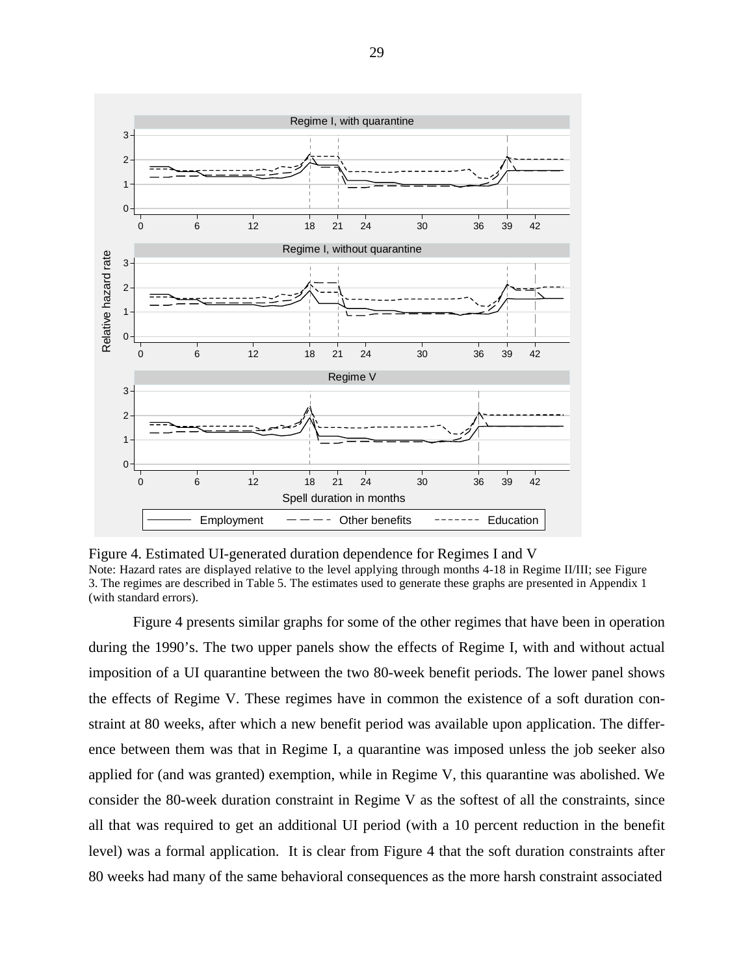

Figure 4. Estimated UI-generated duration dependence for Regimes I and V Note: Hazard rates are displayed relative to the level applying through months 4-18 in Regime II/III; see Figure 3. The regimes are described in Table 5. The estimates used to generate these graphs are presented in Appendix 1 (with standard errors).

Figure 4 presents similar graphs for some of the other regimes that have been in operation during the 1990's. The two upper panels show the effects of Regime I, with and without actual imposition of a UI quarantine between the two 80-week benefit periods. The lower panel shows the effects of Regime V. These regimes have in common the existence of a soft duration constraint at 80 weeks, after which a new benefit period was available upon application. The difference between them was that in Regime I, a quarantine was imposed unless the job seeker also applied for (and was granted) exemption, while in Regime V, this quarantine was abolished. We consider the 80-week duration constraint in Regime V as the softest of all the constraints, since all that was required to get an additional UI period (with a 10 percent reduction in the benefit level) was a formal application. It is clear from Figure 4 that the soft duration constraints after 80 weeks had many of the same behavioral consequences as the more harsh constraint associated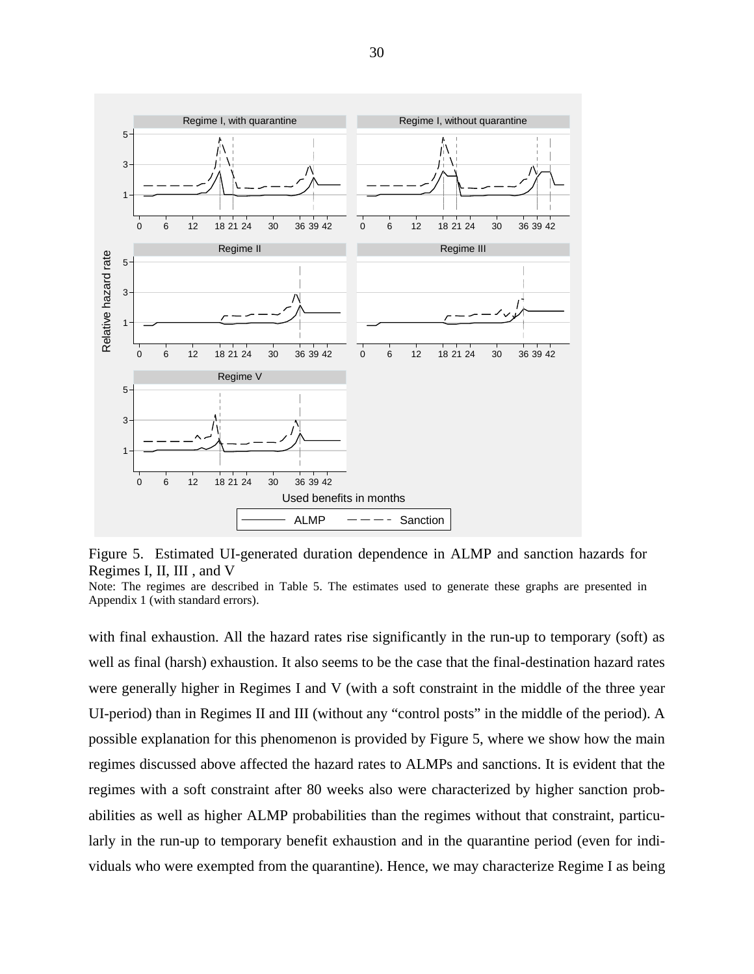

Figure 5. Estimated UI-generated duration dependence in ALMP and sanction hazards for Regimes I, II, III , and V

with final exhaustion. All the hazard rates rise significantly in the run-up to temporary (soft) as well as final (harsh) exhaustion. It also seems to be the case that the final-destination hazard rates were generally higher in Regimes I and V (with a soft constraint in the middle of the three year UI-period) than in Regimes II and III (without any "control posts" in the middle of the period). A possible explanation for this phenomenon is provided by Figure 5, where we show how the main regimes discussed above affected the hazard rates to ALMPs and sanctions. It is evident that the regimes with a soft constraint after 80 weeks also were characterized by higher sanction probabilities as well as higher ALMP probabilities than the regimes without that constraint, particularly in the run-up to temporary benefit exhaustion and in the quarantine period (even for individuals who were exempted from the quarantine). Hence, we may characterize Regime I as being

Note: The regimes are described in Table 5. The estimates used to generate these graphs are presented in Appendix 1 (with standard errors).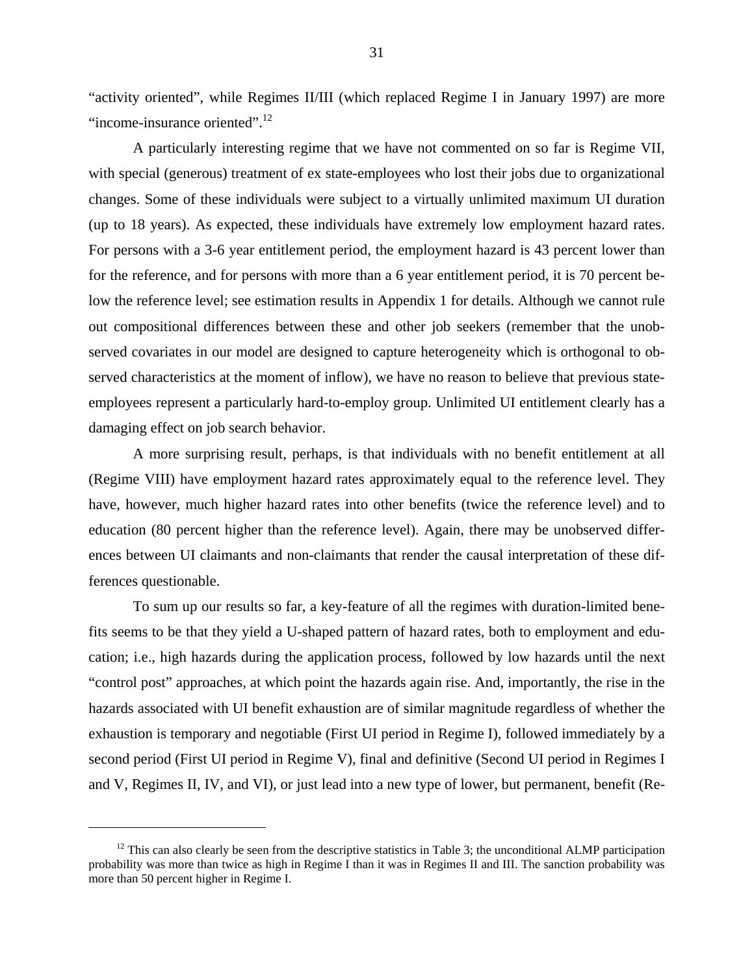"activity oriented", while Regimes II/III (which replaced Regime I in January 1997) are more "income-insurance oriented".<sup>12</sup>

 A particularly interesting regime that we have not commented on so far is Regime VII, with special (generous) treatment of ex state-employees who lost their jobs due to organizational changes. Some of these individuals were subject to a virtually unlimited maximum UI duration (up to 18 years). As expected, these individuals have extremely low employment hazard rates. For persons with a 3-6 year entitlement period, the employment hazard is 43 percent lower than for the reference, and for persons with more than a 6 year entitlement period, it is 70 percent below the reference level; see estimation results in Appendix 1 for details. Although we cannot rule out compositional differences between these and other job seekers (remember that the unobserved covariates in our model are designed to capture heterogeneity which is orthogonal to observed characteristics at the moment of inflow), we have no reason to believe that previous stateemployees represent a particularly hard-to-employ group. Unlimited UI entitlement clearly has a damaging effect on job search behavior.

A more surprising result, perhaps, is that individuals with no benefit entitlement at all (Regime VIII) have employment hazard rates approximately equal to the reference level. They have, however, much higher hazard rates into other benefits (twice the reference level) and to education (80 percent higher than the reference level). Again, there may be unobserved differences between UI claimants and non-claimants that render the causal interpretation of these differences questionable.

 To sum up our results so far, a key-feature of all the regimes with duration-limited benefits seems to be that they yield a U-shaped pattern of hazard rates, both to employment and education; i.e., high hazards during the application process, followed by low hazards until the next "control post" approaches, at which point the hazards again rise. And, importantly, the rise in the hazards associated with UI benefit exhaustion are of similar magnitude regardless of whether the exhaustion is temporary and negotiable (First UI period in Regime I), followed immediately by a second period (First UI period in Regime V), final and definitive (Second UI period in Regimes I and V, Regimes II, IV, and VI), or just lead into a new type of lower, but permanent, benefit (Re-

1

<span id="page-31-0"></span><sup>&</sup>lt;sup>12</sup> This can also clearly be seen from the descriptive statistics in Table 3; the unconditional ALMP participation probability was more than twice as high in Regime I than it was in Regimes II and III. The sanction probability was more than 50 percent higher in Regime I.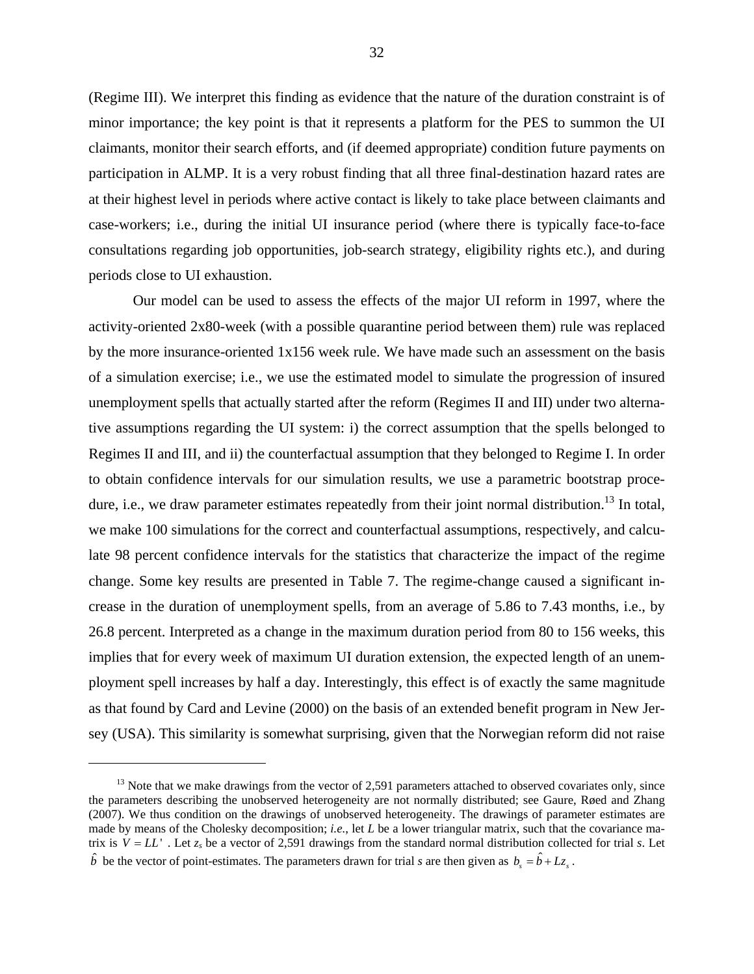(Regime III). We interpret this finding as evidence that the nature of the duration constraint is of minor importance; the key point is that it represents a platform for the PES to summon the UI claimants, monitor their search efforts, and (if deemed appropriate) condition future payments on participation in ALMP. It is a very robust finding that all three final-destination hazard rates are at their highest level in periods where active contact is likely to take place between claimants and case-workers; i.e., during the initial UI insurance period (where there is typically face-to-face consultations regarding job opportunities, job-search strategy, eligibility rights etc.), and during periods close to UI exhaustion.

Our model can be used to assess the effects of the major UI reform in 1997, where the activity-oriented 2x80-week (with a possible quarantine period between them) rule was replaced by the more insurance-oriented 1x156 week rule. We have made such an assessment on the basis of a simulation exercise; i.e., we use the estimated model to simulate the progression of insured unemployment spells that actually started after the reform (Regimes II and III) under two alternative assumptions regarding the UI system: i) the correct assumption that the spells belonged to Regimes II and III, and ii) the counterfactual assumption that they belonged to Regime I. In order to obtain confidence intervals for our simulation results, we use a parametric bootstrap procedure, i.e., we draw parameter estimates repeatedly from their joint normal distribution.<sup>13</sup> In total, we make 100 simulations for the correct and counterfactual assumptions, respectively, and calculate 98 percent confidence intervals for the statistics that characterize the impact of the regime change. Some key results are presented in Table 7. The regime-change caused a significant increase in the duration of unemployment spells, from an average of 5.86 to 7.43 months, i.e., by 26.8 percent. Interpreted as a change in the maximum duration period from 80 to 156 weeks, this implies that for every week of maximum UI duration extension, the expected length of an unemployment spell increases by half a day. Interestingly, this effect is of exactly the same magnitude as that found by Card and Levine (2000) on the basis of an extended benefit program in New Jersey (USA). This similarity is somewhat surprising, given that the Norwegian reform did not raise

 $\overline{a}$ 

<span id="page-32-0"></span> $13$  Note that we make drawings from the vector of 2,591 parameters attached to observed covariates only, since the parameters describing the unobserved heterogeneity are not normally distributed; see Gaure, Røed and Zhang (2007). We thus condition on the drawings of unobserved heterogeneity. The drawings of parameter estimates are made by means of the Cholesky decomposition; *i.e.*, let *L* be a lower triangular matrix, such that the covariance matrix is  $V = LL'$ . Let  $z_s$  be a vector of 2,591 drawings from the standard normal distribution collected for trial *s*. Let  $\hat{b}$  be the vector of point-estimates. The parameters drawn for trial *s* are then given as  $b_s = \hat{b} + Lz_s$ .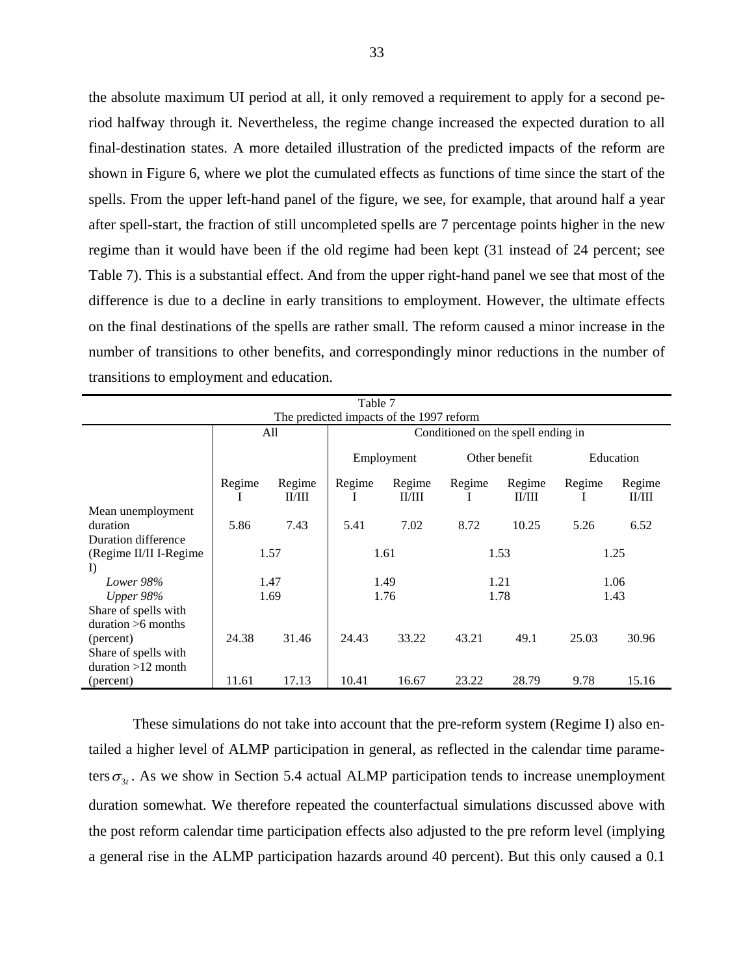the absolute maximum UI period at all, it only removed a requirement to apply for a second period halfway through it. Nevertheless, the regime change increased the expected duration to all final-destination states. A more detailed illustration of the predicted impacts of the reform are shown in Figure 6, where we plot the cumulated effects as functions of time since the start of the spells. From the upper left-hand panel of the figure, we see, for example, that around half a year after spell-start, the fraction of still uncompleted spells are 7 percentage points higher in the new regime than it would have been if the old regime had been kept (31 instead of 24 percent; see Table 7). This is a substantial effect. And from the upper right-hand panel we see that most of the difference is due to a decline in early transitions to employment. However, the ultimate effects on the final destinations of the spells are rather small. The reform caused a minor increase in the number of transitions to other benefits, and correspondingly minor reductions in the number of transitions to employment and education.

|                        | Table 7                                  |        |        |                                    |        |               |        |           |  |  |  |  |
|------------------------|------------------------------------------|--------|--------|------------------------------------|--------|---------------|--------|-----------|--|--|--|--|
|                        | The predicted impacts of the 1997 reform |        |        |                                    |        |               |        |           |  |  |  |  |
|                        |                                          | All    |        | Conditioned on the spell ending in |        |               |        |           |  |  |  |  |
|                        |                                          |        |        | Employment                         |        | Other benefit |        | Education |  |  |  |  |
|                        | Regime                                   | Regime | Regime | Regime                             | Regime | Regime        | Regime | Regime    |  |  |  |  |
|                        | -1                                       | II/III | 1      | II/III                             | -1     | II/III        | 1      | II/III    |  |  |  |  |
| Mean unemployment      |                                          |        |        |                                    |        |               |        |           |  |  |  |  |
| duration               | 5.86                                     | 7.43   | 5.41   | 7.02                               | 8.72   | 10.25         | 5.26   | 6.52      |  |  |  |  |
| Duration difference    |                                          |        |        |                                    |        |               |        |           |  |  |  |  |
| (Regime II/II I-Regime |                                          | 1.57   | 1.61   |                                    |        | 1.53          |        | 1.25      |  |  |  |  |
| $\Gamma$               |                                          |        |        |                                    |        |               |        |           |  |  |  |  |
| Lower 98%              |                                          | 1.47   |        | 1.49                               |        | 1.21          | 1.06   |           |  |  |  |  |
| Upper $98\%$           |                                          | 1.69   |        | 1.76                               |        | 1.78          |        | 1.43      |  |  |  |  |
| Share of spells with   |                                          |        |        |                                    |        |               |        |           |  |  |  |  |
| duration $>6$ months   |                                          |        |        |                                    |        |               |        |           |  |  |  |  |
| (percent)              | 24.38<br>31.46                           |        | 24.43  | 33.22                              | 43.21  | 49.1          | 25.03  | 30.96     |  |  |  |  |
| Share of spells with   |                                          |        |        |                                    |        |               |        |           |  |  |  |  |
| $duration > 12$ month  |                                          |        |        |                                    |        |               |        |           |  |  |  |  |
| (percent)              | 11.61                                    | 17.13  | 10.41  | 16.67                              | 23.22  | 28.79         | 9.78   | 15.16     |  |  |  |  |

These simulations do not take into account that the pre-reform system (Regime I) also entailed a higher level of ALMP participation in general, as reflected in the calendar time parameters  $\sigma_{3t}$ . As we show in Section 5.4 actual ALMP participation tends to increase unemployment duration somewhat. We therefore repeated the counterfactual simulations discussed above with the post reform calendar time participation effects also adjusted to the pre reform level (implying a general rise in the ALMP participation hazards around 40 percent). But this only caused a 0.1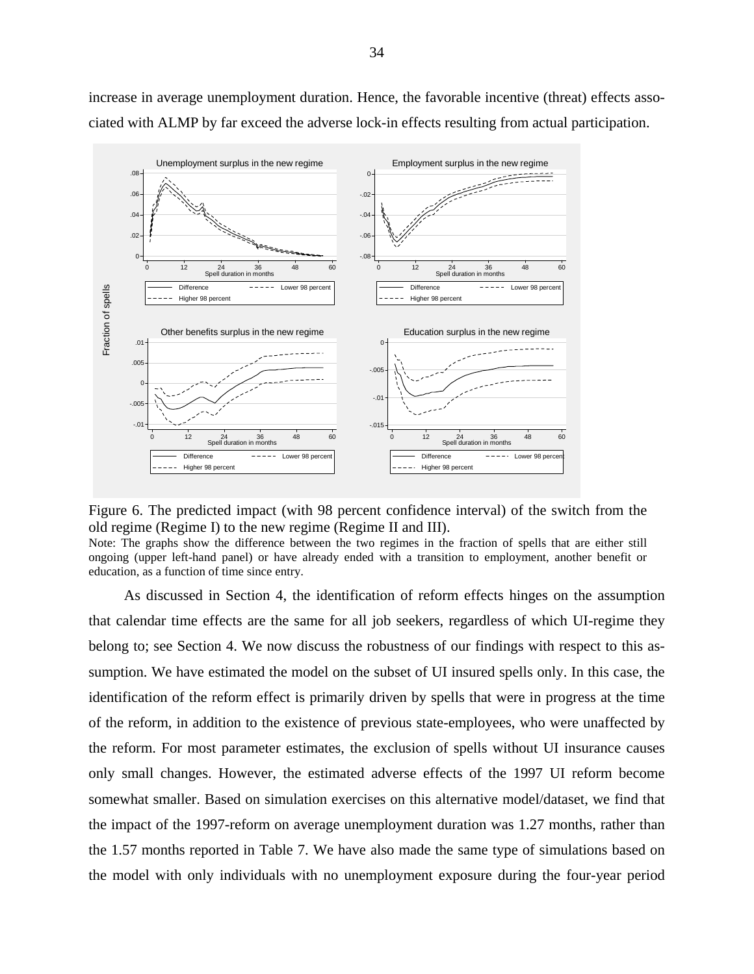

increase in average unemployment duration. Hence, the favorable incentive (threat) effects associated with ALMP by far exceed the adverse lock-in effects resulting from actual participation.

Figure 6. The predicted impact (with 98 percent confidence interval) of the switch from the old regime (Regime I) to the new regime (Regime II and III).

Note: The graphs show the difference between the two regimes in the fraction of spells that are either still ongoing (upper left-hand panel) or have already ended with a transition to employment, another benefit or education, as a function of time since entry.

As discussed in Section 4, the identification of reform effects hinges on the assumption that calendar time effects are the same for all job seekers, regardless of which UI-regime they belong to; see Section 4. We now discuss the robustness of our findings with respect to this assumption. We have estimated the model on the subset of UI insured spells only. In this case, the identification of the reform effect is primarily driven by spells that were in progress at the time of the reform, in addition to the existence of previous state-employees, who were unaffected by the reform. For most parameter estimates, the exclusion of spells without UI insurance causes only small changes. However, the estimated adverse effects of the 1997 UI reform become somewhat smaller. Based on simulation exercises on this alternative model/dataset, we find that the impact of the 1997-reform on average unemployment duration was 1.27 months, rather than the 1.57 months reported in Table 7. We have also made the same type of simulations based on the model with only individuals with no unemployment exposure during the four-year period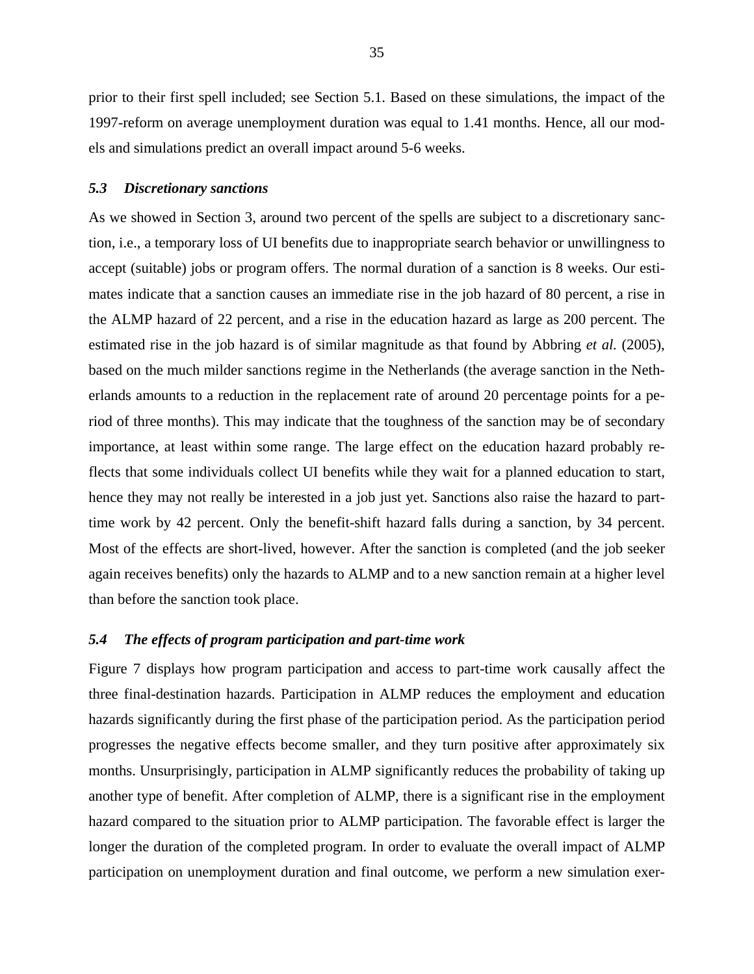prior to their first spell included; see Section 5.1. Based on these simulations, the impact of the 1997-reform on average unemployment duration was equal to 1.41 months. Hence, all our models and simulations predict an overall impact around 5-6 weeks.

#### *5.3 Discretionary sanctions*

As we showed in Section 3, around two percent of the spells are subject to a discretionary sanction, i.e., a temporary loss of UI benefits due to inappropriate search behavior or unwillingness to accept (suitable) jobs or program offers. The normal duration of a sanction is 8 weeks. Our estimates indicate that a sanction causes an immediate rise in the job hazard of 80 percent, a rise in the ALMP hazard of 22 percent, and a rise in the education hazard as large as 200 percent. The estimated rise in the job hazard is of similar magnitude as that found by Abbring *et al.* (2005), based on the much milder sanctions regime in the Netherlands (the average sanction in the Netherlands amounts to a reduction in the replacement rate of around 20 percentage points for a period of three months). This may indicate that the toughness of the sanction may be of secondary importance, at least within some range. The large effect on the education hazard probably reflects that some individuals collect UI benefits while they wait for a planned education to start, hence they may not really be interested in a job just yet. Sanctions also raise the hazard to parttime work by 42 percent. Only the benefit-shift hazard falls during a sanction, by 34 percent. Most of the effects are short-lived, however. After the sanction is completed (and the job seeker again receives benefits) only the hazards to ALMP and to a new sanction remain at a higher level than before the sanction took place.

#### *5.4 The effects of program participation and part-time work*

Figure 7 displays how program participation and access to part-time work causally affect the three final-destination hazards. Participation in ALMP reduces the employment and education hazards significantly during the first phase of the participation period. As the participation period progresses the negative effects become smaller, and they turn positive after approximately six months. Unsurprisingly, participation in ALMP significantly reduces the probability of taking up another type of benefit. After completion of ALMP, there is a significant rise in the employment hazard compared to the situation prior to ALMP participation. The favorable effect is larger the longer the duration of the completed program. In order to evaluate the overall impact of ALMP participation on unemployment duration and final outcome, we perform a new simulation exer-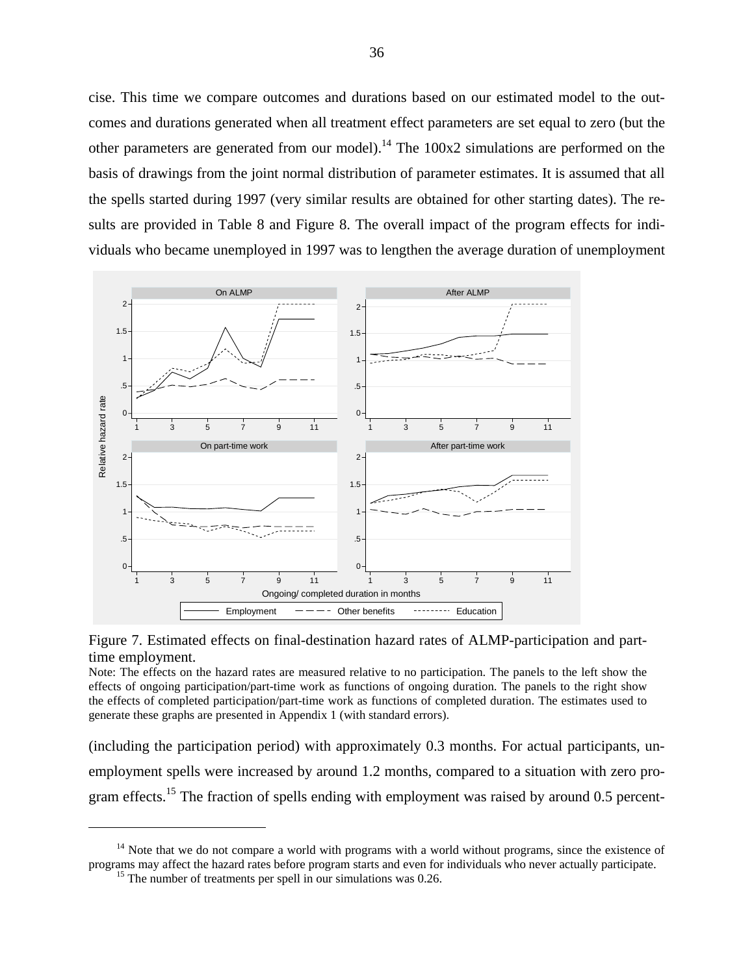cise. This time we compare outcomes and durations based on our estimated model to the outcomes and durations generated when all treatment effect parameters are set equal to zero (but the other parameters are generated from our model).<sup>14</sup> The  $100x2$  simulations are performed on the basis of drawings from the joint normal distribution of parameter estimates. It is assumed that all the spells started during 1997 (very similar results are obtained for other starting dates). The results are provided in Table 8 and Figure 8. The overall impact of the program effects for individuals who became unemployed in 1997 was to lengthen the average duration of unemployment





Note: The effects on the hazard rates are measured relative to no participation. The panels to the left show the effects of ongoing participation/part-time work as functions of ongoing duration. The panels to the right show the effects of completed participation/part-time work as functions of completed duration. The estimates used to generate these graphs are presented in Appendix 1 (with standard errors).

(including the participation period) with approximately 0.3 months. For actual participants, unemployment spells were increased by around 1.2 months, compared to a situation with zero program effects.<sup>15</sup> The fraction of spells ending with employment was raised by around 0.5 percent-

 $\overline{a}$ 

 $14$  Note that we do not compare a world with programs with a world without programs, since the existence of programs may affect the hazard rates before program starts and even for individuals who never actually participate. <sup>15</sup> The number of treatments per spell in our simulations was 0.26.

<span id="page-36-1"></span><span id="page-36-0"></span>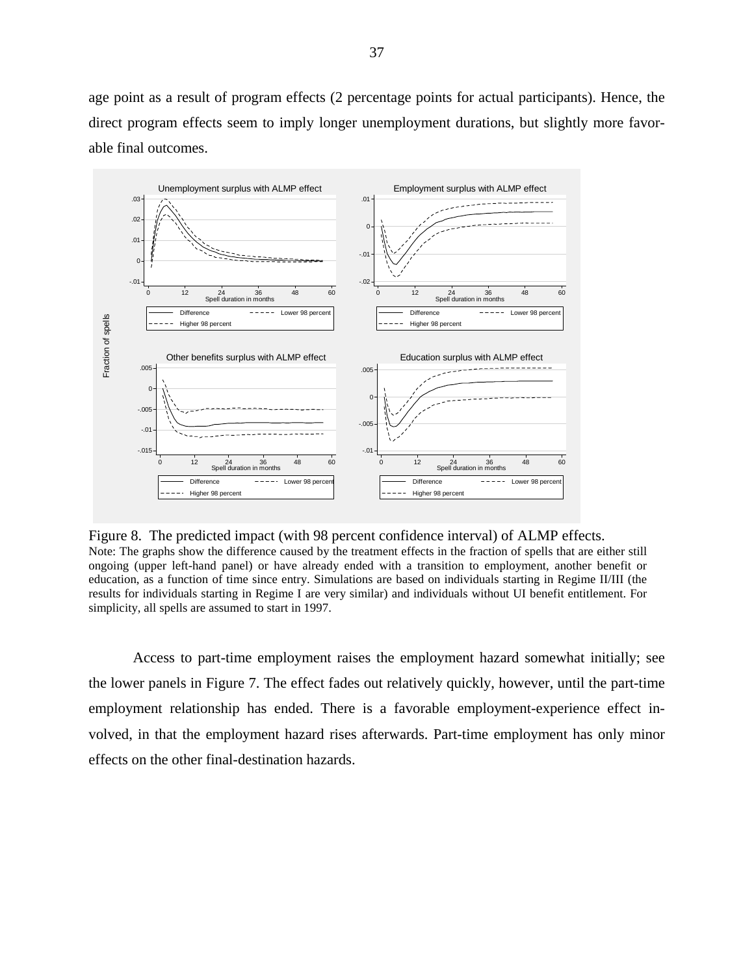age point as a result of program effects (2 percentage points for actual participants). Hence, the direct program effects seem to imply longer unemployment durations, but slightly more favorable final outcomes.



Figure 8. The predicted impact (with 98 percent confidence interval) of ALMP effects. Note: The graphs show the difference caused by the treatment effects in the fraction of spells that are either still ongoing (upper left-hand panel) or have already ended with a transition to employment, another benefit or education, as a function of time since entry. Simulations are based on individuals starting in Regime II/III (the results for individuals starting in Regime I are very similar) and individuals without UI benefit entitlement. For simplicity, all spells are assumed to start in 1997.

Access to part-time employment raises the employment hazard somewhat initially; see the lower panels in Figure 7. The effect fades out relatively quickly, however, until the part-time employment relationship has ended. There is a favorable employment-experience effect involved, in that the employment hazard rises afterwards. Part-time employment has only minor effects on the other final-destination hazards.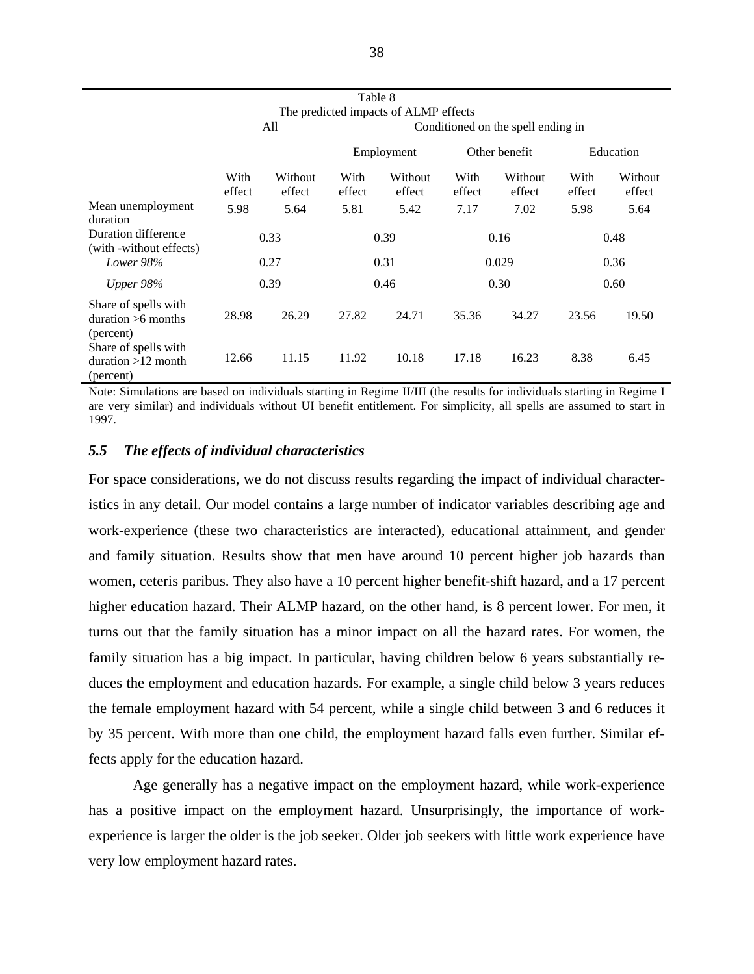|                                                           |                                       |                   | Table 8                            |                   |                |                   |                |                   |  |  |  |
|-----------------------------------------------------------|---------------------------------------|-------------------|------------------------------------|-------------------|----------------|-------------------|----------------|-------------------|--|--|--|
|                                                           | The predicted impacts of ALMP effects |                   |                                    |                   |                |                   |                |                   |  |  |  |
|                                                           |                                       | All               | Conditioned on the spell ending in |                   |                |                   |                |                   |  |  |  |
|                                                           |                                       |                   |                                    | Employment        |                | Other benefit     |                | Education         |  |  |  |
|                                                           | With<br>effect                        | Without<br>effect | With<br>effect                     | Without<br>effect | With<br>effect | Without<br>effect | With<br>effect | Without<br>effect |  |  |  |
| Mean unemployment<br>duration                             | 5.98                                  | 5.64              | 5.81                               | 5.42              | 7.17           | 7.02              | 5.98           | 5.64              |  |  |  |
| Duration difference<br>(with -without effects)            | 0.33                                  |                   | 0.39                               |                   |                | 0.16              | 0.48           |                   |  |  |  |
| Lower 98%                                                 |                                       | 0.27              | 0.31                               |                   |                | 0.029             | 0.36           |                   |  |  |  |
| Upper $98\%$                                              |                                       | 0.39              |                                    | 0.46              |                | 0.30              |                | 0.60              |  |  |  |
| Share of spells with<br>duration $>6$ months<br>(percent) | 28.98                                 | 26.29             | 27.82                              | 24.71             | 35.36          | 34.27             | 23.56          | 19.50             |  |  |  |
| Share of spells with<br>duration $>12$ month<br>(percent) | 12.66                                 | 11.15             | 11.92                              | 10.18             | 17.18          | 16.23             | 8.38           | 6.45              |  |  |  |

Note: Simulations are based on individuals starting in Regime II/III (the results for individuals starting in Regime I are very similar) and individuals without UI benefit entitlement. For simplicity, all spells are assumed to start in 1997.

#### *5.5 The effects of individual characteristics*

For space considerations, we do not discuss results regarding the impact of individual characteristics in any detail. Our model contains a large number of indicator variables describing age and work-experience (these two characteristics are interacted), educational attainment, and gender and family situation. Results show that men have around 10 percent higher job hazards than women, ceteris paribus. They also have a 10 percent higher benefit-shift hazard, and a 17 percent higher education hazard. Their ALMP hazard, on the other hand, is 8 percent lower. For men, it turns out that the family situation has a minor impact on all the hazard rates. For women, the family situation has a big impact. In particular, having children below 6 years substantially reduces the employment and education hazards. For example, a single child below 3 years reduces the female employment hazard with 54 percent, while a single child between 3 and 6 reduces it by 35 percent. With more than one child, the employment hazard falls even further. Similar effects apply for the education hazard.

 Age generally has a negative impact on the employment hazard, while work-experience has a positive impact on the employment hazard. Unsurprisingly, the importance of workexperience is larger the older is the job seeker. Older job seekers with little work experience have very low employment hazard rates.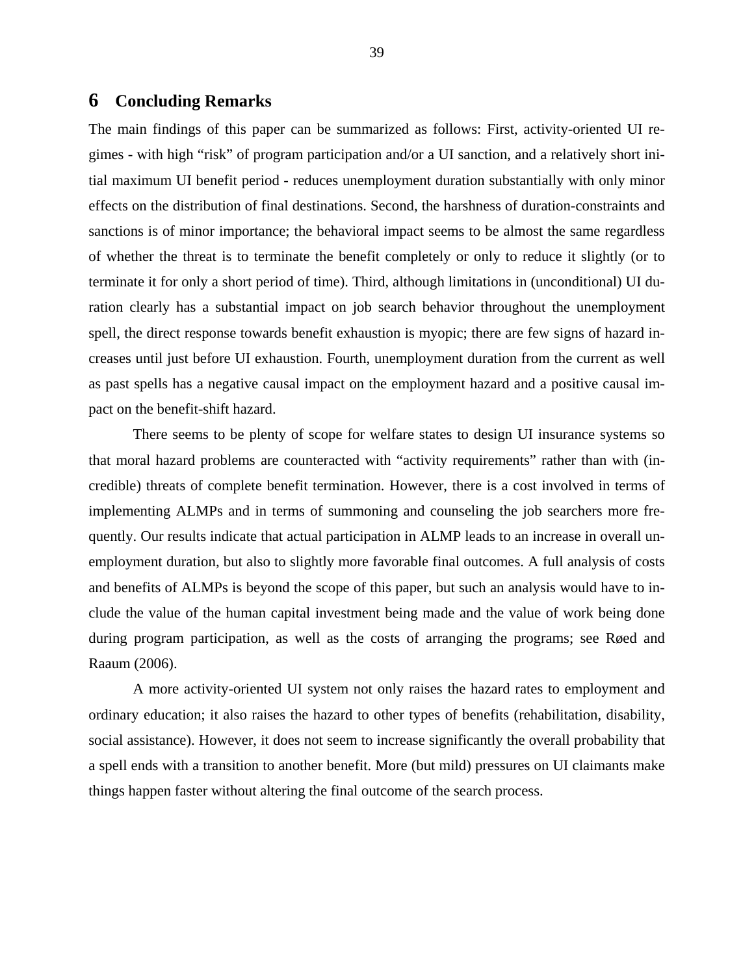### **6 Concluding Remarks**

The main findings of this paper can be summarized as follows: First, activity-oriented UI regimes - with high "risk" of program participation and/or a UI sanction, and a relatively short initial maximum UI benefit period - reduces unemployment duration substantially with only minor effects on the distribution of final destinations. Second, the harshness of duration-constraints and sanctions is of minor importance; the behavioral impact seems to be almost the same regardless of whether the threat is to terminate the benefit completely or only to reduce it slightly (or to terminate it for only a short period of time). Third, although limitations in (unconditional) UI duration clearly has a substantial impact on job search behavior throughout the unemployment spell, the direct response towards benefit exhaustion is myopic; there are few signs of hazard increases until just before UI exhaustion. Fourth, unemployment duration from the current as well as past spells has a negative causal impact on the employment hazard and a positive causal impact on the benefit-shift hazard.

 There seems to be plenty of scope for welfare states to design UI insurance systems so that moral hazard problems are counteracted with "activity requirements" rather than with (incredible) threats of complete benefit termination. However, there is a cost involved in terms of implementing ALMPs and in terms of summoning and counseling the job searchers more frequently. Our results indicate that actual participation in ALMP leads to an increase in overall unemployment duration, but also to slightly more favorable final outcomes. A full analysis of costs and benefits of ALMPs is beyond the scope of this paper, but such an analysis would have to include the value of the human capital investment being made and the value of work being done during program participation, as well as the costs of arranging the programs; see Røed and Raaum (2006).

A more activity-oriented UI system not only raises the hazard rates to employment and ordinary education; it also raises the hazard to other types of benefits (rehabilitation, disability, social assistance). However, it does not seem to increase significantly the overall probability that a spell ends with a transition to another benefit. More (but mild) pressures on UI claimants make things happen faster without altering the final outcome of the search process.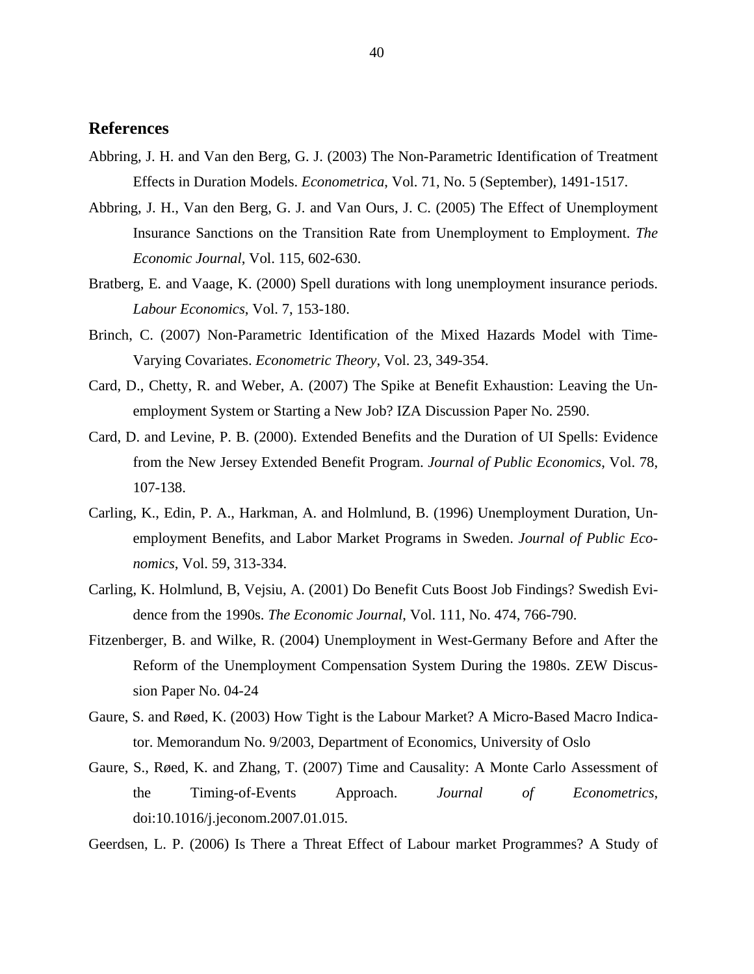#### **References**

- Abbring, J. H. and Van den Berg, G. J. (2003) The Non-Parametric Identification of Treatment Effects in Duration Models. *Econometrica*, Vol. 71, No. 5 (September), 1491-1517.
- Abbring, J. H., Van den Berg, G. J. and Van Ours, J. C. (2005) The Effect of Unemployment Insurance Sanctions on the Transition Rate from Unemployment to Employment. *The Economic Journal*, Vol. 115, 602-630.
- Bratberg, E. and Vaage, K. (2000) Spell durations with long unemployment insurance periods. *Labour Economics*, Vol. 7, 153-180.
- Brinch, C. (2007) Non-Parametric Identification of the Mixed Hazards Model with Time-Varying Covariates. *Econometric Theory*, Vol. 23, 349-354.
- Card, D., Chetty, R. and Weber, A. (2007) The Spike at Benefit Exhaustion: Leaving the Unemployment System or Starting a New Job? IZA Discussion Paper No. 2590.
- Card, D. and Levine, P. B. (2000). Extended Benefits and the Duration of UI Spells: Evidence from the New Jersey Extended Benefit Program. *Journal of Public Economics*, Vol. 78, 107-138.
- Carling, K., Edin, P. A., Harkman, A. and Holmlund, B. (1996) Unemployment Duration, Unemployment Benefits, and Labor Market Programs in Sweden. *Journal of Public Economics*, Vol. 59, 313-334.
- Carling, K. Holmlund, B, Vejsiu, A. (2001) Do Benefit Cuts Boost Job Findings? Swedish Evidence from the 1990s. *The Economic Journal*, Vol. 111, No. 474, 766-790.
- Fitzenberger, B. and Wilke, R. (2004) Unemployment in West-Germany Before and After the Reform of the Unemployment Compensation System During the 1980s. ZEW Discussion Paper No. 04-24
- Gaure, S. and Røed, K. (2003) How Tight is the Labour Market? A Micro-Based Macro Indicator. Memorandum No. 9/2003, Department of Economics, University of Oslo
- Gaure, S., Røed, K. and Zhang, T. (2007) Time and Causality: A Monte Carlo Assessment of the Timing-of-Events Approach. *Journal of Econometrics*, doi:10.1016/j.jeconom.2007.01.015.
- Geerdsen, L. P. (2006) Is There a Threat Effect of Labour market Programmes? A Study of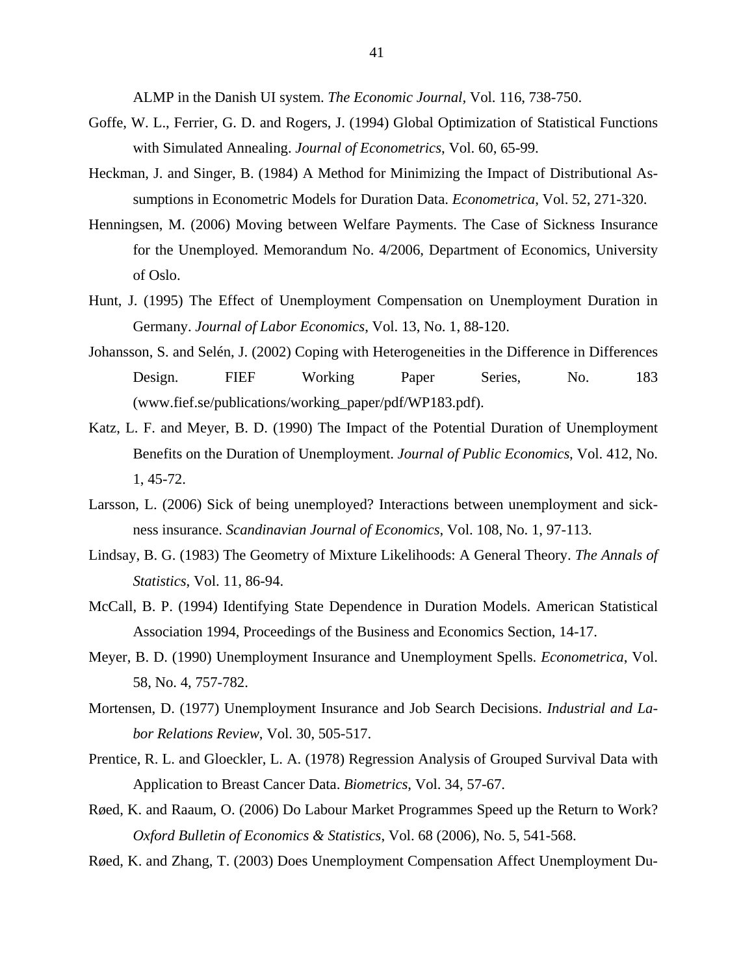ALMP in the Danish UI system. *The Economic Journal,* Vol. 116, 738-750.

- Goffe, W. L., Ferrier, G. D. and Rogers, J. (1994) Global Optimization of Statistical Functions with Simulated Annealing. *Journal of Econometrics*, Vol. 60, 65-99.
- Heckman, J. and Singer, B. (1984) A Method for Minimizing the Impact of Distributional Assumptions in Econometric Models for Duration Data. *Econometrica*, Vol. 52, 271-320.
- Henningsen, M. (2006) Moving between Welfare Payments. The Case of Sickness Insurance for the Unemployed. Memorandum No. 4/2006, Department of Economics, University of Oslo.
- Hunt, J. (1995) The Effect of Unemployment Compensation on Unemployment Duration in Germany. *Journal of Labor Economics*, Vol. 13, No. 1, 88-120.
- Johansson, S. and Selén, J. (2002) Coping with Heterogeneities in the Difference in Differences Design. FIEF Working Paper Series, No. 183 (www.fief.se/publications/working\_paper/pdf/WP183.pdf).
- Katz, L. F. and Meyer, B. D. (1990) The Impact of the Potential Duration of Unemployment Benefits on the Duration of Unemployment. *Journal of Public Economics*, Vol. 412, No. 1, 45-72.
- Larsson, L. (2006) Sick of being unemployed? Interactions between unemployment and sickness insurance. *Scandinavian Journal of Economics*, Vol. 108, No. 1, 97-113.
- Lindsay, B. G. (1983) The Geometry of Mixture Likelihoods: A General Theory. *The Annals of Statistics*, Vol. 11, 86-94.
- McCall, B. P. (1994) Identifying State Dependence in Duration Models. American Statistical Association 1994, Proceedings of the Business and Economics Section, 14-17.
- Meyer, B. D. (1990) Unemployment Insurance and Unemployment Spells. *Econometrica*, Vol. 58, No. 4, 757-782.
- Mortensen, D. (1977) Unemployment Insurance and Job Search Decisions. *Industrial and Labor Relations Review*, Vol. 30, 505-517.
- Prentice, R. L. and Gloeckler, L. A. (1978) Regression Analysis of Grouped Survival Data with Application to Breast Cancer Data. *Biometrics*, Vol. 34, 57-67.
- Røed, K. and Raaum, O. (2006) Do Labour Market Programmes Speed up the Return to Work? *Oxford Bulletin of Economics & Statistics*, Vol. 68 (2006), No. 5, 541-568.
- Røed, K. and Zhang, T. (2003) Does Unemployment Compensation Affect Unemployment Du-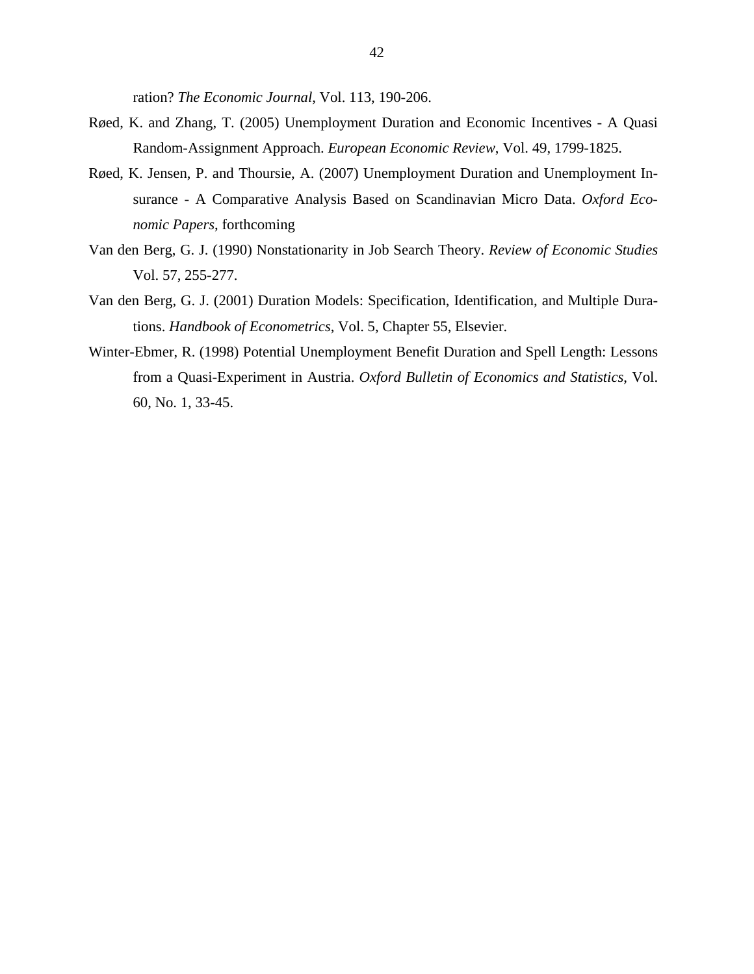ration? *The Economic Journal*, Vol. 113, 190-206.

- Røed, K. and Zhang, T. (2005) Unemployment Duration and Economic Incentives A Quasi Random-Assignment Approach. *European Economic Review*, Vol. 49, 1799-1825.
- Røed, K. Jensen, P. and Thoursie, A. (2007) Unemployment Duration and Unemployment Insurance - A Comparative Analysis Based on Scandinavian Micro Data. *Oxford Economic Papers*, forthcoming
- Van den Berg, G. J. (1990) Nonstationarity in Job Search Theory. *Review of Economic Studies* Vol. 57, 255-277.
- Van den Berg, G. J. (2001) Duration Models: Specification, Identification, and Multiple Durations. *Handbook of Econometrics*, Vol. 5, Chapter 55, Elsevier.
- Winter-Ebmer, R. (1998) Potential Unemployment Benefit Duration and Spell Length: Lessons from a Quasi-Experiment in Austria. *Oxford Bulletin of Economics and Statistics*, Vol. 60, No. 1, 33-45.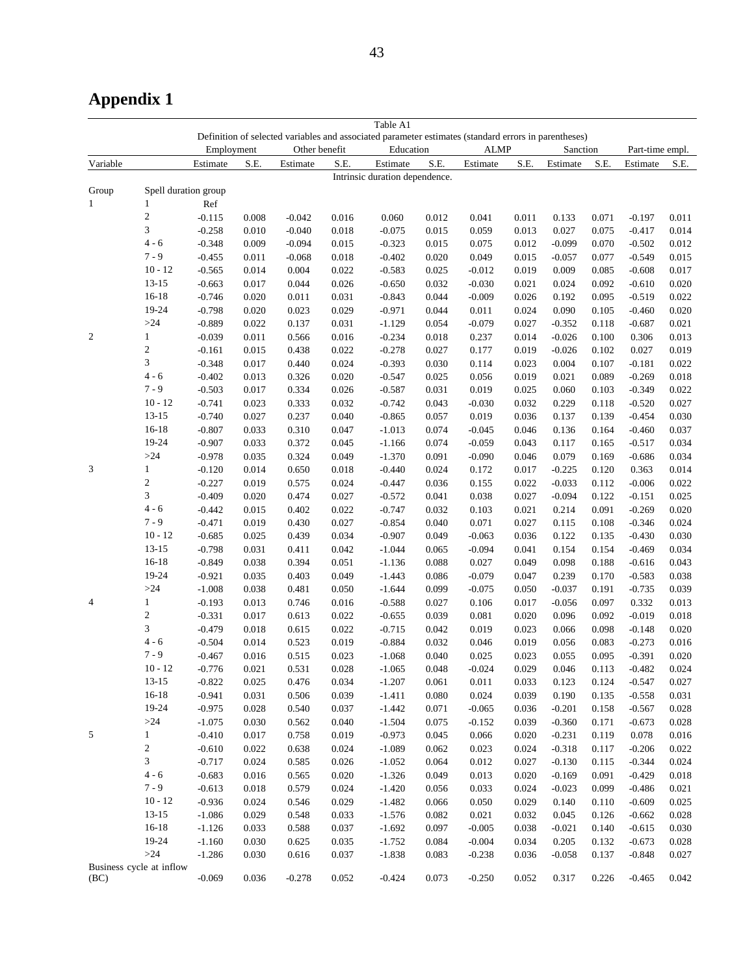# **Appendix 1**

|                |                          |            |           |               |       | Table A1                                                                                             |       |             |       |          |       |                 |       |
|----------------|--------------------------|------------|-----------|---------------|-------|------------------------------------------------------------------------------------------------------|-------|-------------|-------|----------|-------|-----------------|-------|
|                |                          |            |           |               |       | Definition of selected variables and associated parameter estimates (standard errors in parentheses) |       | <b>ALMP</b> |       |          |       |                 |       |
|                |                          | Employment |           | Other benefit |       | Education                                                                                            |       |             |       | Sanction |       | Part-time empl. |       |
| Variable       |                          | Estimate   | S.E.      | Estimate      | S.E.  | Estimate<br>Intrinsic duration dependence.                                                           | S.E.  | Estimate    | S.E.  | Estimate | S.E.  | Estimate        | S.E.  |
| Group          | Spell duration group     |            |           |               |       |                                                                                                      |       |             |       |          |       |                 |       |
| $\mathbf{1}$   | 1                        | Ref        |           |               |       |                                                                                                      |       |             |       |          |       |                 |       |
|                | $\overline{c}$           | $-0.115$   | 0.008     | $-0.042$      | 0.016 | 0.060                                                                                                | 0.012 | 0.041       | 0.011 | 0.133    | 0.071 | $-0.197$        | 0.011 |
|                | 3                        | $-0.258$   | 0.010     | $-0.040$      | 0.018 | $-0.075$                                                                                             | 0.015 | 0.059       | 0.013 | 0.027    | 0.075 | $-0.417$        | 0.014 |
|                | $4 - 6$                  | $-0.348$   | 0.009     | $-0.094$      | 0.015 | $-0.323$                                                                                             | 0.015 | 0.075       | 0.012 | $-0.099$ | 0.070 | $-0.502$        | 0.012 |
|                | $7 - 9$                  | $-0.455$   | 0.011     | $-0.068$      | 0.018 | $-0.402$                                                                                             | 0.020 | 0.049       | 0.015 | $-0.057$ | 0.077 | $-0.549$        | 0.015 |
|                | $10 - 12$                | $-0.565$   | 0.014     | 0.004         | 0.022 | $-0.583$                                                                                             | 0.025 | $-0.012$    | 0.019 | 0.009    | 0.085 | $-0.608$        | 0.017 |
|                | $13 - 15$                | $-0.663$   | 0.017     | 0.044         | 0.026 | $-0.650$                                                                                             | 0.032 | $-0.030$    | 0.021 | 0.024    | 0.092 | $-0.610$        | 0.020 |
|                | $16 - 18$                | $-0.746$   | 0.020     | 0.011         | 0.031 | $-0.843$                                                                                             | 0.044 | $-0.009$    | 0.026 | 0.192    | 0.095 | $-0.519$        | 0.022 |
|                | 19-24                    | $-0.798$   | 0.020     | 0.023         | 0.029 | $-0.971$                                                                                             | 0.044 | 0.011       | 0.024 | 0.090    | 0.105 | $-0.460$        | 0.020 |
|                | $>24$                    | $-0.889$   | 0.022     | 0.137         | 0.031 | $-1.129$                                                                                             | 0.054 | $-0.079$    | 0.027 | $-0.352$ | 0.118 | $-0.687$        | 0.021 |
| $\overline{c}$ | $\mathbf{1}$             | $-0.039$   | 0.011     | 0.566         | 0.016 | $-0.234$                                                                                             | 0.018 | 0.237       | 0.014 | $-0.026$ | 0.100 | 0.306           | 0.013 |
|                | $\overline{c}$           | $-0.161$   | 0.015     | 0.438         | 0.022 | $-0.278$                                                                                             | 0.027 | 0.177       | 0.019 | $-0.026$ | 0.102 | 0.027           | 0.019 |
|                | 3                        | $-0.348$   | 0.017     | 0.440         | 0.024 | $-0.393$                                                                                             | 0.030 | 0.114       | 0.023 | 0.004    | 0.107 | $-0.181$        | 0.022 |
|                | $4 - 6$                  | $-0.402$   | 0.013     | 0.326         | 0.020 | $-0.547$                                                                                             | 0.025 | 0.056       | 0.019 | 0.021    | 0.089 | $-0.269$        | 0.018 |
|                | $7 - 9$                  | $-0.503$   | 0.017     | 0.334         | 0.026 | $-0.587$                                                                                             | 0.031 | 0.019       | 0.025 | 0.060    | 0.103 | $-0.349$        | 0.022 |
|                | $10 - 12$                | $-0.741$   | 0.023     | 0.333         | 0.032 | $-0.742$                                                                                             | 0.043 | $-0.030$    | 0.032 | 0.229    | 0.118 | $-0.520$        | 0.027 |
|                | $13 - 15$                | $-0.740$   | 0.027     | 0.237         | 0.040 | $-0.865$                                                                                             | 0.057 | 0.019       | 0.036 | 0.137    | 0.139 | $-0.454$        | 0.030 |
|                | $16 - 18$                | $-0.807$   | 0.033     | 0.310         | 0.047 | $-1.013$                                                                                             | 0.074 | $-0.045$    | 0.046 | 0.136    | 0.164 | $-0.460$        | 0.037 |
|                | 19-24                    | $-0.907$   | 0.033     | 0.372         | 0.045 | $-1.166$                                                                                             | 0.074 | $-0.059$    | 0.043 | 0.117    | 0.165 | $-0.517$        | 0.034 |
|                | $>\!\!24$                | $-0.978$   | 0.035     | 0.324         | 0.049 | $-1.370$                                                                                             | 0.091 | $-0.090$    | 0.046 | 0.079    | 0.169 | $-0.686$        | 0.034 |
| 3              | $\mathbf{1}$             | $-0.120$   | 0.014     | 0.650         | 0.018 | $-0.440$                                                                                             | 0.024 | 0.172       | 0.017 | $-0.225$ | 0.120 | 0.363           | 0.014 |
|                | $\overline{c}$           | $-0.227$   | 0.019     | 0.575         | 0.024 | $-0.447$                                                                                             | 0.036 | 0.155       | 0.022 | $-0.033$ | 0.112 | $-0.006$        | 0.022 |
|                | 3                        | $-0.409$   | 0.020     | 0.474         | 0.027 | $-0.572$                                                                                             | 0.041 | 0.038       | 0.027 | $-0.094$ | 0.122 | $-0.151$        | 0.025 |
|                | $4 - 6$                  | $-0.442$   | 0.015     | 0.402         | 0.022 | $-0.747$                                                                                             | 0.032 | 0.103       | 0.021 | 0.214    | 0.091 | $-0.269$        | 0.020 |
|                | $7 - 9$                  | $-0.471$   | 0.019     | 0.430         | 0.027 | $-0.854$                                                                                             | 0.040 | 0.071       | 0.027 | 0.115    | 0.108 | $-0.346$        | 0.024 |
|                | $10 - 12$                | $-0.685$   | 0.025     | 0.439         | 0.034 | $-0.907$                                                                                             | 0.049 | $-0.063$    | 0.036 | 0.122    | 0.135 | $-0.430$        | 0.030 |
|                | $13 - 15$                | $-0.798$   | 0.031     | 0.411         | 0.042 | $-1.044$                                                                                             | 0.065 | $-0.094$    | 0.041 | 0.154    | 0.154 | $-0.469$        | 0.034 |
|                | $16 - 18$                | $-0.849$   | 0.038     | 0.394         | 0.051 | $-1.136$                                                                                             | 0.088 | 0.027       | 0.049 | 0.098    | 0.188 | $-0.616$        | 0.043 |
|                | 19-24                    | $-0.921$   | 0.035     | 0.403         | 0.049 | $-1.443$                                                                                             | 0.086 | $-0.079$    | 0.047 | 0.239    | 0.170 | $-0.583$        | 0.038 |
|                | $>\!\!24$                | $-1.008$   | 0.038     | 0.481         | 0.050 | $-1.644$                                                                                             | 0.099 | $-0.075$    | 0.050 | $-0.037$ | 0.191 | $-0.735$        | 0.039 |
| 4              | $\mathbf{1}$             | $-0.193$   | 0.013     | 0.746         | 0.016 | $-0.588$                                                                                             | 0.027 | 0.106       | 0.017 | $-0.056$ | 0.097 | 0.332           | 0.013 |
|                | $\overline{\mathbf{c}}$  | $-0.331$   | 0.017     | 0.613         | 0.022 | $-0.655$                                                                                             | 0.039 | 0.081       | 0.020 | 0.096    | 0.092 | $-0.019$        | 0.018 |
|                | 3                        | $-0.479$   | 0.018     | 0.615         | 0.022 | $-0.715$                                                                                             | 0.042 | 0.019       | 0.023 | 0.066    | 0.098 | $-0.148$        | 0.020 |
|                | $4 - 6$                  | $-0.504$   | 0.014     | 0.523         | 0.019 | $-0.884$                                                                                             | 0.032 | 0.046       | 0.019 | 0.056    | 0.083 | $-0.273$        | 0.016 |
|                | $7 - 9$                  | $-0.467$   | 0.016     | 0.515         | 0.023 | $-1.068$                                                                                             | 0.040 | 0.025       | 0.023 | 0.055    | 0.095 | $-0.391$        | 0.020 |
|                | $10 - 12$                | $-0.776$   | 0.021     | 0.531         | 0.028 | $-1.065$                                                                                             | 0.048 | $-0.024$    | 0.029 | 0.046    | 0.113 | $-0.482$        | 0.024 |
|                | $13 - 15$                | $-0.822$   | 0.025     | 0.476         | 0.034 | $-1.207$                                                                                             | 0.061 | 0.011       | 0.033 | 0.123    | 0.124 | $-0.547$        | 0.027 |
|                | $16 - 18$                | $-0.941$   | 0.031     | 0.506         | 0.039 | $-1.411$                                                                                             | 0.080 | 0.024       | 0.039 | 0.190    | 0.135 | $-0.558$        | 0.031 |
|                | 19-24                    | $-0.975$   | 0.028     | 0.540         | 0.037 | $-1.442$                                                                                             | 0.071 | $-0.065$    | 0.036 | $-0.201$ | 0.158 | $-0.567$        | 0.028 |
|                | $>\!\!24$                | $-1.075$   | 0.030     | 0.562         | 0.040 | $-1.504$                                                                                             | 0.075 | $-0.152$    | 0.039 | $-0.360$ | 0.171 | $-0.673$        | 0.028 |
| 5              | $\mathbf{1}$             | $-0.410$   | 0.017     | 0.758         | 0.019 | $-0.973$                                                                                             | 0.045 | 0.066       | 0.020 | $-0.231$ | 0.119 | 0.078           | 0.016 |
|                | $\overline{\mathbf{c}}$  | $-0.610$   | 0.022     | 0.638         | 0.024 | $-1.089$                                                                                             | 0.062 | 0.023       | 0.024 | $-0.318$ | 0.117 | $-0.206$        | 0.022 |
|                | 3                        | $-0.717$   | 0.024     | 0.585         | 0.026 | $-1.052$                                                                                             | 0.064 | 0.012       | 0.027 | $-0.130$ | 0.115 | $-0.344$        | 0.024 |
|                | $4-6\,$                  | $-0.683$   | 0.016     | 0.565         | 0.020 | $-1.326$                                                                                             | 0.049 | 0.013       | 0.020 | $-0.169$ | 0.091 | $-0.429$        | 0.018 |
|                | $7 - 9$                  | $-0.613$   | 0.018     | 0.579         | 0.024 | $-1.420$                                                                                             | 0.056 | 0.033       | 0.024 | $-0.023$ | 0.099 | $-0.486$        | 0.021 |
|                | $10 - 12$                | $-0.936$   | 0.024     | 0.546         | 0.029 | $-1.482$                                                                                             | 0.066 | 0.050       | 0.029 | 0.140    | 0.110 | $-0.609$        | 0.025 |
|                | $13 - 15$                | $-1.086$   | 0.029     | 0.548         | 0.033 | $-1.576$                                                                                             | 0.082 | 0.021       | 0.032 | 0.045    | 0.126 | $-0.662$        | 0.028 |
|                | $16 - 18$                | $-1.126$   | 0.033     | 0.588         | 0.037 | $-1.692$                                                                                             | 0.097 | $-0.005$    | 0.038 | $-0.021$ | 0.140 | $-0.615$        | 0.030 |
|                | 19-24                    | $-1.160$   | 0.030     | 0.625         | 0.035 | $-1.752$                                                                                             | 0.084 | $-0.004$    | 0.034 | 0.205    | 0.132 | $-0.673$        | 0.028 |
|                | $>\!\!24$                | $-1.286$   | 0.030     | 0.616         | 0.037 | $-1.838$                                                                                             | 0.083 | $-0.238$    | 0.036 | $-0.058$ | 0.137 | $-0.848$        | 0.027 |
| (BC)           | Business cycle at inflow | $-0.069$   | $0.036\,$ | $-0.278$      | 0.052 | $-0.424$                                                                                             | 0.073 | $-0.250$    | 0.052 | 0.317    | 0.226 | $-0.465$        | 0.042 |
|                |                          |            |           |               |       |                                                                                                      |       |             |       |          |       |                 |       |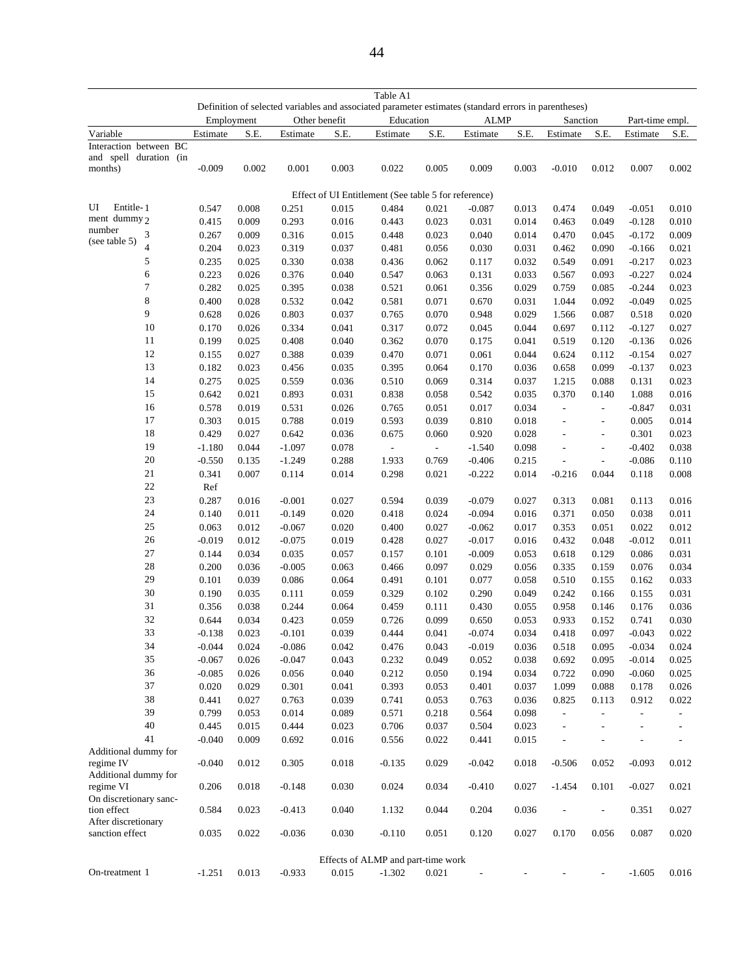|                                                  |                |                   |                |                      |                | Table A1                                                                                             |                          |                      |                |                          |                          |                   |                |
|--------------------------------------------------|----------------|-------------------|----------------|----------------------|----------------|------------------------------------------------------------------------------------------------------|--------------------------|----------------------|----------------|--------------------------|--------------------------|-------------------|----------------|
|                                                  |                |                   |                |                      |                | Definition of selected variables and associated parameter estimates (standard errors in parentheses) |                          |                      |                |                          |                          |                   |                |
|                                                  |                | Employment        |                | Other benefit        |                | Education                                                                                            |                          | <b>ALMP</b>          |                | Sanction                 |                          | Part-time empl.   |                |
| Variable                                         |                | Estimate          | S.E.           | Estimate             | S.E.           | Estimate                                                                                             | S.E.                     | Estimate             | S.E.           | Estimate                 | S.E.                     | Estimate          | S.E.           |
| Interaction between BC<br>and spell duration (in |                |                   |                |                      |                |                                                                                                      |                          |                      |                |                          |                          |                   |                |
| months)                                          |                | $-0.009$          | 0.002          | 0.001                | 0.003          | 0.022                                                                                                | 0.005                    | 0.009                | 0.003          | $-0.010$                 | 0.012                    | 0.007             | 0.002          |
|                                                  |                |                   |                |                      |                |                                                                                                      |                          |                      |                |                          |                          |                   |                |
|                                                  |                |                   |                |                      |                | Effect of UI Entitlement (See table 5 for reference)                                                 |                          |                      |                |                          |                          |                   |                |
| Entitle-1<br>UI                                  |                | 0.547             | 0.008          | 0.251                | 0.015          | 0.484                                                                                                | 0.021                    | $-0.087$             | 0.013          | 0.474                    | 0.049                    | $-0.051$          | 0.010          |
| ment dummy 2                                     |                | 0.415             | 0.009          | 0.293                | 0.016          | 0.443                                                                                                | 0.023                    | 0.031                | 0.014          | 0.463                    | 0.049                    | $-0.128$          | 0.010          |
| number                                           | 3              | 0.267             | 0.009          | 0.316                | 0.015          | 0.448                                                                                                | 0.023                    | 0.040                | 0.014          | 0.470                    | 0.045                    | $-0.172$          | 0.009          |
| (see table 5)                                    | $\overline{4}$ | 0.204             | 0.023          | 0.319                | 0.037          | 0.481                                                                                                | 0.056                    | 0.030                | 0.031          | 0.462                    | 0.090                    | $-0.166$          | 0.021          |
|                                                  | 5              | 0.235             | 0.025          | 0.330                | 0.038          | 0.436                                                                                                | 0.062                    | 0.117                | 0.032          | 0.549                    | 0.091                    | $-0.217$          | 0.023          |
|                                                  | 6              | 0.223             | 0.026          | 0.376                | 0.040          | 0.547                                                                                                | 0.063                    | 0.131                | 0.033          | 0.567                    | 0.093                    | $-0.227$          | 0.024          |
|                                                  | $\tau$         | 0.282             | 0.025          | 0.395                | 0.038          | 0.521                                                                                                | 0.061                    | 0.356                | 0.029          | 0.759                    | 0.085                    | $-0.244$          | 0.023          |
|                                                  | 8              | 0.400             | 0.028          | 0.532                | 0.042          | 0.581                                                                                                | 0.071                    | 0.670                | 0.031          | 1.044                    | 0.092                    | $-0.049$          | 0.025          |
|                                                  | 9              | 0.628             | 0.026          | 0.803                | 0.037          | 0.765                                                                                                | 0.070                    | 0.948                | 0.029          | 1.566                    | 0.087                    | 0.518             | 0.020          |
|                                                  | 10             | 0.170             | 0.026          | 0.334                | 0.041          | 0.317                                                                                                | 0.072                    | 0.045                | 0.044          | 0.697                    | 0.112                    | $-0.127$          | 0.027          |
|                                                  | 11             | 0.199             | 0.025          | 0.408                | 0.040          | 0.362                                                                                                | 0.070                    | 0.175                | 0.041          | 0.519                    | 0.120                    | $-0.136$          | 0.026          |
|                                                  | 12             | 0.155             | 0.027          | 0.388                | 0.039          | 0.470                                                                                                | 0.071                    | 0.061                | 0.044          | 0.624                    | 0.112                    | $-0.154$          | 0.027          |
|                                                  | 13             | 0.182             | 0.023          | 0.456                | 0.035          | 0.395                                                                                                | 0.064                    | 0.170                | 0.036          | 0.658                    | 0.099                    | $-0.137$          | 0.023          |
|                                                  | 14             | 0.275             | 0.025          | 0.559                | 0.036          | 0.510                                                                                                | 0.069                    | 0.314                | 0.037          | 1.215                    | 0.088                    | 0.131             | 0.023          |
|                                                  | 15             | 0.642             | 0.021          | 0.893                | 0.031          | 0.838                                                                                                | 0.058                    | 0.542                | 0.035          | 0.370                    | 0.140                    | 1.088             | 0.016          |
|                                                  | 16             | 0.578             | 0.019          | 0.531                | 0.026          | 0.765                                                                                                | 0.051                    | 0.017                | 0.034          | $\bar{\phantom{a}}$      | $\sim$                   | $-0.847$          | 0.031          |
|                                                  | 17             | 0.303             | 0.015          | 0.788                | 0.019          | 0.593                                                                                                | 0.039                    | 0.810                | 0.018          | $\overline{\phantom{a}}$ | $\overline{\phantom{a}}$ | 0.005             | 0.014          |
|                                                  | 18             | 0.429             | 0.027          | 0.642                | 0.036          | 0.675                                                                                                | 0.060                    | 0.920                | 0.028          | ÷,                       | $\overline{\phantom{a}}$ | 0.301             | 0.023          |
|                                                  | 19             | $-1.180$          | 0.044          | $-1.097$             | 0.078          | $\blacksquare$                                                                                       | $\overline{\phantom{a}}$ | $-1.540$             | 0.098          | ÷,                       | $\blacksquare$           | $-0.402$          | 0.038          |
|                                                  | $20\,$         | $-0.550$          | 0.135          | $-1.249$             | 0.288          | 1.933                                                                                                | 0.769                    | $-0.406$             | 0.215          | $\overline{a}$           | $\overline{\phantom{a}}$ | $-0.086$          | 0.110          |
|                                                  | $21\,$         | 0.341             | 0.007          | 0.114                | 0.014          | 0.298                                                                                                | 0.021                    | $-0.222$             | 0.014          | $-0.216$                 | 0.044                    | 0.118             | 0.008          |
|                                                  | $22\,$         | Ref               |                |                      |                |                                                                                                      |                          |                      |                |                          |                          |                   |                |
|                                                  | 23             |                   |                |                      |                |                                                                                                      | 0.039                    |                      |                |                          |                          |                   |                |
|                                                  | 24             | 0.287             | 0.016          | $-0.001$             | 0.027          | 0.594                                                                                                |                          | $-0.079$             | 0.027          | 0.313                    | 0.081                    | 0.113             | 0.016          |
|                                                  | $25\,$         | 0.140             | 0.011          | $-0.149$             | 0.020          | 0.418                                                                                                | 0.024                    | $-0.094$             | 0.016          | 0.371                    | 0.050                    | 0.038             | 0.011          |
|                                                  | 26             | 0.063<br>$-0.019$ | 0.012<br>0.012 | $-0.067$<br>$-0.075$ | 0.020<br>0.019 | 0.400<br>0.428                                                                                       | 0.027<br>0.027           | $-0.062$<br>$-0.017$ | 0.017<br>0.016 | 0.353<br>0.432           | 0.051<br>0.048           | 0.022<br>$-0.012$ | 0.012<br>0.011 |
|                                                  | 27             |                   |                |                      |                |                                                                                                      |                          |                      |                |                          |                          |                   |                |
|                                                  | 28             | 0.144             | 0.034          | 0.035                | 0.057          | 0.157                                                                                                | 0.101                    | $-0.009$             | 0.053          | 0.618                    | 0.129                    | 0.086             | 0.031          |
|                                                  |                | 0.200             | 0.036          | $-0.005$             | 0.063          | 0.466                                                                                                | 0.097                    | 0.029                | 0.056          | 0.335                    | 0.159                    | 0.076             | 0.034          |
|                                                  | 29             | 0.101             | 0.039          | 0.086                | 0.064          | 0.491                                                                                                | 0.101                    | 0.077                | 0.058          | 0.510                    | 0.155                    | 0.162             | 0.033          |
|                                                  | 30             | 0.190             | 0.035          | 0.111                | 0.059          | 0.329                                                                                                | 0.102                    | 0.290                | 0.049          | 0.242                    | 0.166                    | 0.155             | 0.031          |
|                                                  | 31             | 0.356             | 0.038          | 0.244                | 0.064          | 0.459                                                                                                | 0.111                    | 0.430                | 0.055          | 0.958                    | 0.146                    | 0.176             | 0.036          |
|                                                  | 32             | 0.644             | 0.034          | 0.423                | 0.059          | 0.726                                                                                                | 0.099                    | 0.650                | 0.053          | 0.933                    | 0.152                    | 0.741             | 0.030          |
|                                                  | 33             | $-0.138$          | 0.023          | $-0.101$             | 0.039          | 0.444                                                                                                | 0.041                    | $-0.074$             | 0.034          | 0.418                    | 0.097                    | $-0.043$          | 0.022          |
|                                                  | 34             | -0.044            | 0.024          | $-0.086$             | 0.042          | 0.476                                                                                                | 0.043                    | -0.019               | 0.036          | 0.518                    | 0.095                    | $-0.034$          | 0.024          |
|                                                  | 35             | $-0.067$          | 0.026          | $-0.047$             | 0.043          | 0.232                                                                                                | 0.049                    | 0.052                | 0.038          | 0.692                    | 0.095                    | $-0.014$          | 0.025          |
|                                                  | 36             | $-0.085$          | 0.026          | 0.056                | 0.040          | 0.212                                                                                                | 0.050                    | 0.194                | 0.034          | 0.722                    | 0.090                    | $-0.060$          | 0.025          |
|                                                  | 37             | 0.020             | 0.029          | 0.301                | 0.041          | 0.393                                                                                                | 0.053                    | 0.401                | 0.037          | 1.099                    | 0.088                    | 0.178             | 0.026          |
|                                                  | 38             | 0.441             | 0.027          | 0.763                | 0.039          | 0.741                                                                                                | 0.053                    | 0.763                | 0.036          | 0.825                    | 0.113                    | 0.912             | 0.022          |
|                                                  | 39             | 0.799             | 0.053          | 0.014                | 0.089          | 0.571                                                                                                | 0.218                    | 0.564                | 0.098          | $\overline{\phantom{a}}$ | $\overline{a}$           |                   |                |
|                                                  | $40\,$         | 0.445             | 0.015          | 0.444                | 0.023          | 0.706                                                                                                | 0.037                    | 0.504                | 0.023          | $\overline{\phantom{0}}$ |                          |                   | $\frac{1}{2}$  |
|                                                  | 41             | $-0.040$          | 0.009          | 0.692                | 0.016          | 0.556                                                                                                | 0.022                    | 0.441                | 0.015          | $\overline{a}$           |                          |                   | ÷,             |
| Additional dummy for<br>regime IV                |                | $-0.040$          | 0.012          | 0.305                | 0.018          | $-0.135$                                                                                             | 0.029                    | $-0.042$             | 0.018          | $-0.506$                 | 0.052                    | $-0.093$          | 0.012          |
| Additional dummy for                             |                |                   |                |                      |                |                                                                                                      |                          |                      |                |                          |                          |                   |                |
| regime VI                                        |                | 0.206             | 0.018          | $-0.148$             | 0.030          | 0.024                                                                                                | 0.034                    | $-0.410$             | 0.027          | $-1.454$                 | 0.101                    | $-0.027$          | 0.021          |
| On discretionary sanc-                           |                |                   |                |                      |                |                                                                                                      |                          |                      |                |                          |                          |                   |                |
| tion effect                                      |                | 0.584             | 0.023          | $-0.413$             | 0.040          | 1.132                                                                                                | 0.044                    | 0.204                | 0.036          |                          | $\overline{\phantom{a}}$ | 0.351             | 0.027          |
| After discretionary                              |                |                   |                |                      |                |                                                                                                      |                          |                      |                |                          |                          |                   |                |
| sanction effect                                  |                | 0.035             | 0.022          | $-0.036$             | 0.030          | $-0.110$                                                                                             | $0.051\,$                | 0.120                | 0.027          | 0.170                    | 0.056                    | 0.087             | 0.020          |
|                                                  |                |                   |                |                      |                |                                                                                                      |                          |                      |                |                          |                          |                   |                |
|                                                  |                |                   |                |                      |                | Effects of ALMP and part-time work                                                                   |                          |                      |                |                          |                          |                   |                |
| On-treatment 1                                   |                | $-1.251$          | 0.013          | $-0.933$             | 0.015          | $-1.302$                                                                                             | 0.021                    | $\overline{a}$       |                |                          |                          | $-1.605$          | 0.016          |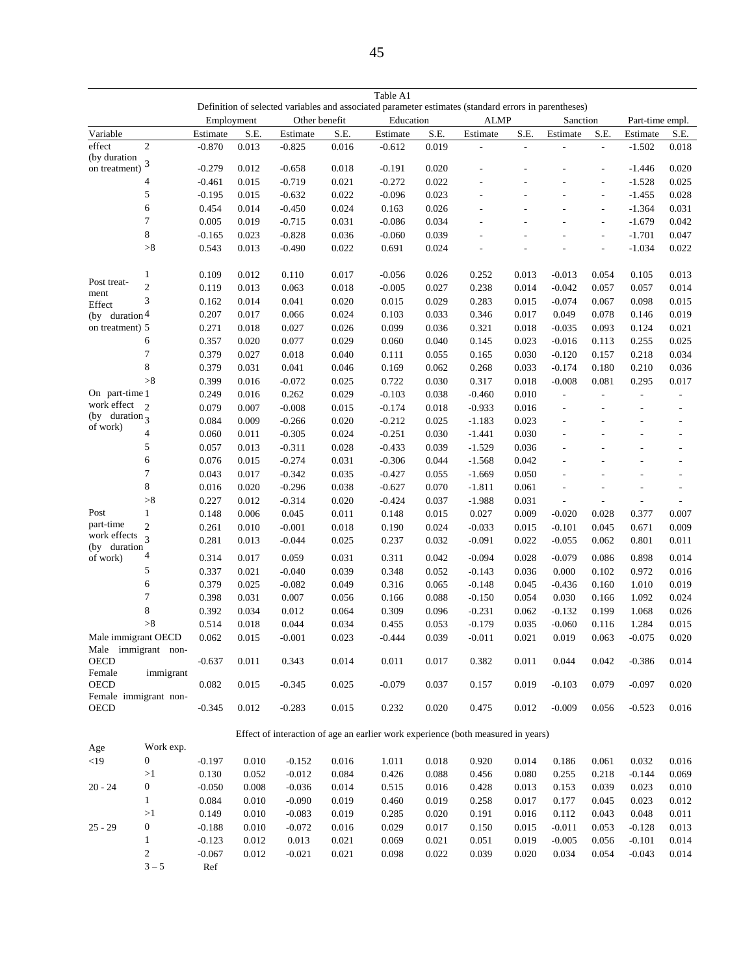|                                           |                                  |                      |                |                   |                | Table A1                                                                                             |                |                |                          |                   |                          |                          |                          |
|-------------------------------------------|----------------------------------|----------------------|----------------|-------------------|----------------|------------------------------------------------------------------------------------------------------|----------------|----------------|--------------------------|-------------------|--------------------------|--------------------------|--------------------------|
|                                           |                                  |                      |                |                   |                | Definition of selected variables and associated parameter estimates (standard errors in parentheses) |                |                |                          |                   |                          |                          |                          |
|                                           |                                  |                      | Employment     | Other benefit     |                | Education                                                                                            |                | <b>ALMP</b>    |                          | Sanction          |                          | Part-time empl.          |                          |
| Variable                                  |                                  | Estimate             | S.E.           | Estimate          | S.E.           | Estimate                                                                                             | S.E.           | Estimate       | S.E.                     | Estimate          | S.E.                     | Estimate                 | S.E.                     |
| effect<br>(by duration                    | $\overline{c}$                   | $-0.870$             | 0.013          | $-0.825$          | 0.016          | $-0.612$                                                                                             | 0.019          | L.             | $\overline{\phantom{a}}$ | ÷,                | ÷,                       | $-1.502$                 | 0.018                    |
| on treatment)                             | 3                                | $-0.279$             | 0.012          | $-0.658$          | 0.018          | $-0.191$                                                                                             | 0.020          |                |                          |                   | $\overline{a}$           | $-1.446$                 | 0.020                    |
|                                           | $\overline{4}$                   | $-0.461$             | 0.015          | $-0.719$          | 0.021          | $-0.272$                                                                                             | 0.022          |                |                          |                   | $\blacksquare$           | $-1.528$                 | 0.025                    |
|                                           | 5                                | $-0.195$             | 0.015          | $-0.632$          | 0.022          | $-0.096$                                                                                             | 0.023          |                |                          |                   | $\blacksquare$           | $-1.455$                 | 0.028                    |
|                                           | 6                                | 0.454                | 0.014          | $-0.450$          | 0.024          | 0.163                                                                                                | 0.026          |                |                          | ÷,                | $\overline{\phantom{a}}$ | $-1.364$                 | 0.031                    |
|                                           | $\tau$                           | 0.005                | 0.019          | $-0.715$          | 0.031          | $-0.086$                                                                                             | 0.034          |                |                          |                   | L,                       | $-1.679$                 | 0.042                    |
|                                           | 8                                | $-0.165$             | 0.023          | $-0.828$          | 0.036          | $-0.060$                                                                                             | 0.039          |                | $\overline{\phantom{a}}$ |                   | $\frac{1}{2}$            | $-1.701$                 | 0.047                    |
|                                           | $>\!\!8$                         | 0.543                | 0.013          | $-0.490$          | 0.022          | 0.691                                                                                                | 0.024          | $\overline{a}$ | L,                       | L.                | $\overline{\phantom{a}}$ | $-1.034$                 | 0.022                    |
|                                           | 1                                | 0.109                | 0.012          | 0.110             | 0.017          | $-0.056$                                                                                             | 0.026          | 0.252          | 0.013                    | $-0.013$          | 0.054                    | 0.105                    | 0.013                    |
| Post treat-<br>ment                       | $\overline{2}$                   | 0.119                | 0.013          | 0.063             | 0.018          | $-0.005$                                                                                             | 0.027          | 0.238          | 0.014                    | $-0.042$          | 0.057                    | 0.057                    | 0.014                    |
| Effect                                    | 3                                | 0.162                | 0.014          | 0.041             | 0.020          | 0.015                                                                                                | 0.029          | 0.283          | 0.015                    | $-0.074$          | 0.067                    | 0.098                    | 0.015                    |
| (by duration $4$                          |                                  | 0.207                | 0.017          | 0.066             | 0.024          | 0.103                                                                                                | 0.033          | 0.346          | 0.017                    | 0.049             | 0.078                    | 0.146                    | 0.019                    |
| on treatment) 5                           |                                  | 0.271                | 0.018          | 0.027             | 0.026          | 0.099                                                                                                | 0.036          | 0.321          | 0.018                    | $-0.035$          | 0.093                    | 0.124                    | 0.021                    |
|                                           | 6                                | 0.357                | 0.020          | 0.077             | 0.029          | 0.060                                                                                                | 0.040          | 0.145          | 0.023                    | $-0.016$          | 0.113                    | 0.255                    | 0.025                    |
|                                           | $\tau$                           | 0.379                | 0.027          | 0.018             | 0.040          | 0.111                                                                                                | 0.055          | 0.165          | 0.030                    | $-0.120$          | 0.157                    | 0.218                    | 0.034                    |
|                                           | 8                                | 0.379                | 0.031          | 0.041             | 0.046          | 0.169                                                                                                | 0.062          | 0.268          | 0.033                    | $-0.174$          | 0.180                    | 0.210                    | 0.036                    |
|                                           | $>\!\!8$                         | 0.399                | 0.016          | $-0.072$          | 0.025          | 0.722                                                                                                | 0.030          | 0.317          | 0.018                    | $-0.008$          | 0.081                    | 0.295                    | 0.017                    |
| On part-time 1                            |                                  | 0.249                | 0.016          | 0.262             | 0.029          | $-0.103$                                                                                             | 0.038          | $-0.460$       | 0.010                    | $\overline{a}$    | $\overline{a}$           | $\overline{a}$           |                          |
| work effect<br>(by duration $\frac{1}{3}$ | $\overline{2}$                   | 0.079                | 0.007          | $-0.008$          | 0.015          | $-0.174$                                                                                             | 0.018          | $-0.933$       | 0.016                    | ÷,                | $\overline{\phantom{a}}$ | $\overline{\phantom{a}}$ | $\overline{\phantom{a}}$ |
| of work)                                  |                                  | 0.084                | 0.009          | $-0.266$          | 0.020          | $-0.212$                                                                                             | 0.025          | $-1.183$       | 0.023                    |                   |                          |                          |                          |
|                                           | $\overline{4}$                   | 0.060                | 0.011          | $-0.305$          | 0.024          | $-0.251$                                                                                             | 0.030          | $-1.441$       | 0.030                    | ÷,                | L,                       | ÷,                       | $\overline{\phantom{a}}$ |
|                                           | 5                                | 0.057                | 0.013          | $-0.311$          | 0.028          | $-0.433$                                                                                             | 0.039          | $-1.529$       | 0.036                    | ÷,                | L,                       | L,                       | $\overline{a}$           |
|                                           | 6                                | 0.076                | 0.015          | $-0.274$          | 0.031          | $-0.306$                                                                                             | 0.044          | $-1.568$       | 0.042                    | ÷,                | L,                       | $\overline{a}$           | $\overline{\phantom{0}}$ |
|                                           | $\tau$                           | 0.043                | 0.017          | $-0.342$          | 0.035          | $-0.427$                                                                                             | 0.055          | $-1.669$       | 0.050                    |                   | L,                       |                          | $\overline{a}$           |
|                                           | $\,$ 8 $\,$                      | 0.016                | 0.020          | $-0.296$          | 0.038          | $-0.627$                                                                                             | 0.070          | $-1.811$       | 0.061                    | L,                |                          |                          |                          |
|                                           | $>\!\!8$                         | 0.227                | 0.012          | $-0.314$          | 0.020          | $-0.424$                                                                                             | 0.037          | $-1.988$       | 0.031                    | $\overline{a}$    | $\sim$                   |                          |                          |
| Post<br>part-time                         | $\mathbf{1}$                     | 0.148                | 0.006          | 0.045             | 0.011          | 0.148                                                                                                | 0.015          | 0.027          | 0.009                    | $-0.020$          | 0.028                    | 0.377                    | 0.007                    |
| work effects                              | $\overline{c}$<br>$\overline{3}$ | 0.261                | 0.010          | $-0.001$          | 0.018          | 0.190                                                                                                | 0.024          | $-0.033$       | 0.015                    | $-0.101$          | 0.045                    | 0.671                    | 0.009                    |
| (by duration                              |                                  | 0.281                | 0.013          | $-0.044$          | 0.025          | 0.237                                                                                                | 0.032          | $-0.091$       | 0.022                    | $-0.055$          | 0.062                    | 0.801                    | 0.011                    |
| of work)                                  | 4                                | 0.314                | 0.017          | 0.059             | 0.031          | 0.311                                                                                                | 0.042          | $-0.094$       | 0.028                    | $-0.079$          | 0.086                    | 0.898                    | 0.014                    |
|                                           | 5                                | 0.337                | 0.021          | $-0.040$          | 0.039          | 0.348                                                                                                | 0.052          | $-0.143$       | 0.036                    | 0.000             | 0.102                    | 0.972                    | 0.016                    |
|                                           | 6                                | 0.379                | 0.025          | $-0.082$          | 0.049          | 0.316                                                                                                | 0.065          | $-0.148$       | 0.045                    | $-0.436$          | 0.160                    | 1.010                    | 0.019                    |
|                                           | $\tau$                           | 0.398                | 0.031          | 0.007             | 0.056          | 0.166                                                                                                | 0.088          | $-0.150$       | 0.054                    | 0.030             | 0.166                    | 1.092                    | 0.024                    |
|                                           | 8                                | 0.392                | 0.034          | 0.012             | 0.064          | 0.309                                                                                                | 0.096          | $-0.231$       | 0.062                    | $-0.132$          | 0.199                    | 1.068                    | 0.026                    |
|                                           | >8                               | 0.514                | 0.018          | 0.044             | 0.034          | 0.455                                                                                                | 0.053          | $-0.179$       | 0.035                    | $-0.060$          | 0.116                    | 1.284                    | 0.015                    |
| Male immigrant OECD                       |                                  | 0.062                | 0.015          | $-0.001$          | 0.023          | $-0.444$                                                                                             | 0.039          | $-0.011$       | 0.021                    | 0.019             | 0.063                    | $-0.075$                 | 0.020                    |
| <b>OECD</b>                               | Male immigrant non-              | $-0.637$             | 0.011          | 0.343             | 0.014          | 0.011                                                                                                | 0.017          | 0.382          | 0.011                    | 0.044             | 0.042                    | $-0.386$                 | $0.014\,$                |
| Female<br><b>OECD</b>                     | immigrant                        | 0.082                | 0.015          | $-0.345$          | 0.025          | $-0.079$                                                                                             | 0.037          | 0.157          | 0.019                    | $-0.103$          | 0.079                    | $-0.097$                 | 0.020                    |
| OECD                                      | Female immigrant non-            | $-0.345$             | 0.012          | $-0.283$          | 0.015          | 0.232                                                                                                | 0.020          | 0.475          | 0.012                    | $-0.009$          | 0.056                    | $-0.523$                 | 0.016                    |
|                                           |                                  |                      |                |                   |                |                                                                                                      |                |                |                          |                   |                          |                          |                          |
|                                           |                                  |                      |                |                   |                | Effect of interaction of age an earlier work experience (both measured in years)                     |                |                |                          |                   |                          |                          |                          |
| Age                                       | Work exp.                        |                      |                |                   |                |                                                                                                      |                |                |                          |                   |                          |                          |                          |
| $<$ 19                                    | 0                                | $-0.197$             | 0.010          | $-0.152$          | 0.016          | 1.011                                                                                                | 0.018          | 0.920          | 0.014                    | 0.186             | 0.061                    | 0.032                    | 0.016                    |
|                                           | >1                               | 0.130                | 0.052          | $-0.012$          | 0.084          | 0.426                                                                                                | 0.088          | 0.456          | 0.080                    | 0.255             | 0.218                    | $-0.144$                 | 0.069                    |
| $20 - 24$                                 | $\boldsymbol{0}$                 | $-0.050$             | 0.008          | $-0.036$          | 0.014          | 0.515                                                                                                | 0.016          | 0.428          | 0.013                    | 0.153             | 0.039                    | 0.023                    | 0.010                    |
|                                           | $\mathbf{1}$                     | 0.084                | 0.010          | $-0.090$          | 0.019          | 0.460                                                                                                | 0.019          | 0.258          | 0.017                    | 0.177             | 0.045                    | 0.023                    | 0.012                    |
|                                           | >1                               | 0.149                | 0.010          | $-0.083$          | 0.019          | 0.285                                                                                                | 0.020          | 0.191          | 0.016                    | 0.112             | 0.043                    | 0.048                    | 0.011                    |
| $25 - 29$                                 | $\boldsymbol{0}$                 | $-0.188$             | 0.010          | $-0.072$          | 0.016          | 0.029                                                                                                | 0.017          | 0.150          | 0.015                    | $-0.011$          | 0.053                    | $-0.128$                 | 0.013                    |
|                                           | 1<br>$\sqrt{2}$                  | $-0.123$<br>$-0.067$ | 0.012<br>0.012 | 0.013<br>$-0.021$ | 0.021<br>0.021 | 0.069<br>0.098                                                                                       | 0.021<br>0.022 | 0.051<br>0.039 | 0.019<br>0.020           | $-0.005$<br>0.034 | 0.056<br>0.054           | $-0.101$<br>$-0.043$     | 0.014<br>0.014           |
|                                           |                                  |                      |                |                   |                |                                                                                                      |                |                |                          |                   |                          |                          |                          |

2  $-0.067$ <br>3 - 5 Ref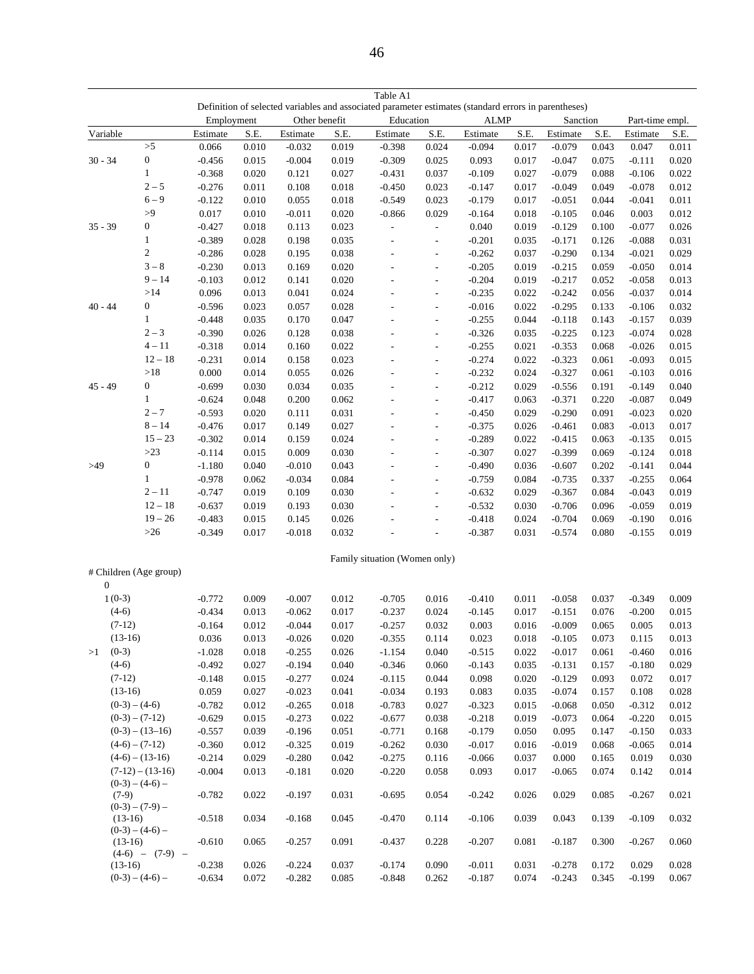|                                         |                        | Employment |       | Other benefit |       | Definition of selected variables and associated parameter estimates (standard errors in parentheses)<br>Education |                          | <b>ALMP</b> |       | Sanction |       | Part-time empl. |       |
|-----------------------------------------|------------------------|------------|-------|---------------|-------|-------------------------------------------------------------------------------------------------------------------|--------------------------|-------------|-------|----------|-------|-----------------|-------|
| Variable                                |                        | Estimate   | S.E.  | Estimate      | S.E.  | Estimate                                                                                                          | S.E.                     | Estimate    | S.E.  | Estimate | S.E.  | Estimate        | S.E.  |
|                                         | >5                     | 0.066      | 0.010 | $-0.032$      | 0.019 | $-0.398$                                                                                                          | 0.024                    | $-0.094$    | 0.017 | $-0.079$ | 0.043 | 0.047           | 0.011 |
| $30 - 34$                               | $\boldsymbol{0}$       | $-0.456$   | 0.015 | $-0.004$      | 0.019 | $-0.309$                                                                                                          | 0.025                    | 0.093       | 0.017 | $-0.047$ | 0.075 | $-0.111$        | 0.020 |
|                                         | $\mathbf{1}$           | $-0.368$   | 0.020 | 0.121         | 0.027 | $-0.431$                                                                                                          | 0.037                    | $-0.109$    | 0.027 | $-0.079$ | 0.088 | $-0.106$        | 0.022 |
|                                         | $2 - 5$                | $-0.276$   | 0.011 | 0.108         | 0.018 | $-0.450$                                                                                                          | 0.023                    | $-0.147$    | 0.017 | $-0.049$ | 0.049 | $-0.078$        | 0.012 |
|                                         | $6 - 9$                | $-0.122$   | 0.010 | 0.055         | 0.018 | $-0.549$                                                                                                          | 0.023                    | $-0.179$    | 0.017 | $-0.051$ | 0.044 | $-0.041$        | 0.011 |
|                                         | >9                     | 0.017      | 0.010 | $-0.011$      | 0.020 | $-0.866$                                                                                                          | 0.029                    | $-0.164$    | 0.018 | $-0.105$ | 0.046 | 0.003           | 0.012 |
| $35 - 39$                               | $\boldsymbol{0}$       | $-0.427$   | 0.018 | 0.113         | 0.023 | $\overline{\phantom{a}}$                                                                                          | ÷,                       | 0.040       | 0.019 | $-0.129$ | 0.100 | $-0.077$        | 0.026 |
|                                         | $\mathbf{1}$           | $-0.389$   | 0.028 | 0.198         | 0.035 | L,                                                                                                                | $\overline{\phantom{a}}$ | $-0.201$    | 0.035 | $-0.171$ | 0.126 | $-0.088$        | 0.031 |
|                                         | $\sqrt{2}$             | $-0.286$   | 0.028 | 0.195         | 0.038 |                                                                                                                   | $\overline{\phantom{a}}$ | $-0.262$    | 0.037 | $-0.290$ | 0.134 | $-0.021$        | 0.029 |
|                                         | $3-8$                  | $-0.230$   | 0.013 | 0.169         | 0.020 | L,                                                                                                                | $\overline{a}$           | $-0.205$    | 0.019 | $-0.215$ | 0.059 | $-0.050$        | 0.014 |
|                                         | $9 - 14$               | $-0.103$   | 0.012 | 0.141         | 0.020 | L,                                                                                                                | $\blacksquare$           | $-0.204$    | 0.019 | $-0.217$ | 0.052 | $-0.058$        | 0.013 |
|                                         | >14                    | 0.096      | 0.013 | 0.041         | 0.024 | $\overline{a}$                                                                                                    | $\overline{a}$           | $-0.235$    | 0.022 | $-0.242$ | 0.056 | $-0.037$        | 0.014 |
| $40 - 44$                               | $\boldsymbol{0}$       | $-0.596$   | 0.023 | 0.057         | 0.028 |                                                                                                                   | $\overline{a}$           | $-0.016$    | 0.022 | $-0.295$ | 0.133 | $-0.106$        | 0.032 |
|                                         | $\mathbf{1}$           | $-0.448$   | 0.035 | 0.170         | 0.047 |                                                                                                                   | ÷,                       | $-0.255$    | 0.044 | $-0.118$ | 0.143 | $-0.157$        | 0.039 |
|                                         | $2 - 3$                | $-0.390$   | 0.026 | 0.128         | 0.038 | L,                                                                                                                | ÷,                       | $-0.326$    | 0.035 | $-0.225$ | 0.123 | $-0.074$        | 0.028 |
|                                         | $4 - 11$               | $-0.318$   | 0.014 | 0.160         | 0.022 | L,                                                                                                                | $\overline{a}$           | $-0.255$    | 0.021 | $-0.353$ | 0.068 | $-0.026$        | 0.015 |
|                                         | $12 - 18$              | $-0.231$   | 0.014 | 0.158         | 0.023 | L,                                                                                                                | $\overline{a}$           | $-0.274$    | 0.022 | $-0.323$ | 0.061 | $-0.093$        | 0.015 |
|                                         | >18                    | 0.000      | 0.014 | 0.055         | 0.026 |                                                                                                                   | $\overline{a}$           | $-0.232$    | 0.024 | $-0.327$ | 0.061 | $-0.103$        | 0.016 |
| $45 - 49$                               | $\boldsymbol{0}$       | $-0.699$   | 0.030 | 0.034         | 0.035 |                                                                                                                   | ÷,                       | $-0.212$    | 0.029 | $-0.556$ | 0.191 | $-0.149$        | 0.040 |
|                                         | $\mathbf{1}$           | $-0.624$   | 0.048 | 0.200         | 0.062 | L,                                                                                                                | ÷,                       | $-0.417$    | 0.063 | $-0.371$ | 0.220 | $-0.087$        | 0.049 |
|                                         | $2 - 7$                | $-0.593$   | 0.020 | 0.111         | 0.031 | ÷,                                                                                                                | $\overline{a}$           | $-0.450$    | 0.029 | $-0.290$ | 0.091 | $-0.023$        | 0.020 |
|                                         | $8 - 14$               | $-0.476$   | 0.017 | 0.149         | 0.027 | L,                                                                                                                | $\overline{a}$           | $-0.375$    | 0.026 | $-0.461$ | 0.083 | $-0.013$        | 0.017 |
|                                         | $15 - 23$              | $-0.302$   | 0.014 | 0.159         | 0.024 |                                                                                                                   | $\overline{a}$           | $-0.289$    | 0.022 | $-0.415$ | 0.063 | $-0.135$        | 0.015 |
|                                         | $>23$                  | $-0.114$   | 0.015 | 0.009         | 0.030 |                                                                                                                   | ÷,                       | $-0.307$    | 0.027 | $-0.399$ | 0.069 | $-0.124$        | 0.018 |
| >49                                     | $\boldsymbol{0}$       | $-1.180$   | 0.040 | $-0.010$      | 0.043 |                                                                                                                   | ÷,                       | $-0.490$    | 0.036 | $-0.607$ | 0.202 | $-0.141$        | 0.044 |
|                                         | $\mathbf{1}$           | $-0.978$   | 0.062 | $-0.034$      | 0.084 |                                                                                                                   | $\overline{a}$           | $-0.759$    | 0.084 | $-0.735$ | 0.337 | $-0.255$        | 0.064 |
|                                         | $2 - 11$               | $-0.747$   | 0.019 | 0.109         | 0.030 | $\overline{a}$                                                                                                    | $\overline{a}$           | $-0.632$    | 0.029 | $-0.367$ | 0.084 | $-0.043$        | 0.019 |
|                                         | $12 - 18$              | $-0.637$   | 0.019 | 0.193         | 0.030 |                                                                                                                   | $\overline{a}$           | $-0.532$    | 0.030 | $-0.706$ | 0.096 | $-0.059$        | 0.019 |
|                                         | $19 - 26$              | $-0.483$   | 0.015 | 0.145         | 0.026 |                                                                                                                   | L,                       | $-0.418$    | 0.024 | $-0.704$ | 0.069 | $-0.190$        | 0.016 |
|                                         | $>26$                  | $-0.349$   | 0.017 | $-0.018$      | 0.032 |                                                                                                                   |                          | $-0.387$    | 0.031 | $-0.574$ | 0.080 | $-0.155$        | 0.019 |
|                                         |                        |            |       |               |       |                                                                                                                   |                          |             |       |          |       |                 |       |
|                                         |                        |            |       |               |       | Family situation (Women only)                                                                                     |                          |             |       |          |       |                 |       |
| $\boldsymbol{0}$                        | # Children (Age group) |            |       |               |       |                                                                                                                   |                          |             |       |          |       |                 |       |
| $1(0-3)$                                |                        | $-0.772$   | 0.009 | $-0.007$      | 0.012 | $-0.705$                                                                                                          | 0.016                    | $-0.410$    | 0.011 | $-0.058$ | 0.037 | $-0.349$        | 0.009 |
| $(4-6)$                                 |                        | $-0.434$   | 0.013 | $-0.062$      | 0.017 | $-0.237$                                                                                                          | 0.024                    | $-0.145$    | 0.017 | $-0.151$ | 0.076 | $-0.200$        | 0.015 |
| $(7-12)$                                |                        | $-0.164$   | 0.012 | $-0.044$      | 0.017 | $-0.257$                                                                                                          | 0.032                    | 0.003       | 0.016 | $-0.009$ | 0.065 | 0.005           | 0.013 |
| $(13-16)$                               |                        | 0.036      | 0.013 | $-0.026$      | 0.020 | $-0.355$                                                                                                          | 0.114                    | 0.023       | 0.018 | $-0.105$ | 0.073 | 0.115           | 0.013 |
| $(0-3)$<br>>1                           |                        | $-1.028$   | 0.018 | $-0.255$      | 0.026 | $-1.154$                                                                                                          | 0.040                    | $-0.515$    | 0.022 | $-0.017$ | 0.061 | $-0.460$        | 0.016 |
| $(4-6)$                                 |                        | $-0.492$   | 0.027 | $-0.194$      | 0.040 | $-0.346$                                                                                                          | 0.060                    | $-0.143$    | 0.035 | $-0.131$ | 0.157 | $-0.180$        | 0.029 |
| $(7-12)$                                |                        | $-0.148$   | 0.015 | $-0.277$      | 0.024 | $-0.115$                                                                                                          | 0.044                    | 0.098       | 0.020 | $-0.129$ | 0.093 | 0.072           | 0.017 |
| $(13-16)$                               |                        | 0.059      | 0.027 | $-0.023$      | 0.041 | $-0.034$                                                                                                          | 0.193                    | 0.083       | 0.035 | $-0.074$ | 0.157 | 0.108           | 0.028 |
|                                         | $(0-3) - (4-6)$        | $-0.782$   | 0.012 | $-0.265$      | 0.018 | $-0.783$                                                                                                          | 0.027                    | $-0.323$    | 0.015 | $-0.068$ | 0.050 | $-0.312$        | 0.012 |
|                                         | $(0-3) - (7-12)$       | $-0.629$   | 0.015 | $-0.273$      | 0.022 | $-0.677$                                                                                                          | 0.038                    | $-0.218$    | 0.019 | $-0.073$ | 0.064 | $-0.220$        | 0.015 |
|                                         | $(0-3) - (13-16)$      | $-0.557$   | 0.039 | $-0.196$      | 0.051 | $-0.771$                                                                                                          | 0.168                    | $-0.179$    | 0.050 | 0.095    | 0.147 | $-0.150$        | 0.033 |
| $(4-6) - (7-12)$                        |                        | $-0.360$   | 0.012 | $-0.325$      | 0.019 | $-0.262$                                                                                                          | 0.030                    | $-0.017$    | 0.016 | $-0.019$ | 0.068 | $-0.065$        | 0.014 |
| $(4-6) - (13-16)$                       |                        | $-0.214$   | 0.029 | $-0.280$      | 0.042 | $-0.275$                                                                                                          | 0.116                    | $-0.066$    | 0.037 | 0.000    | 0.165 | 0.019           | 0.030 |
| $(7-12) - (13-16)$<br>$(0-3) - (4-6) -$ |                        | $-0.004$   | 0.013 | $-0.181$      | 0.020 | $-0.220$                                                                                                          | 0.058                    | 0.093       | 0.017 | $-0.065$ | 0.074 | 0.142           | 0.014 |
| $(7-9)$                                 | $(0-3) - (7-9) -$      | $-0.782$   | 0.022 | $-0.197$      | 0.031 | $-0.695$                                                                                                          | 0.054                    | $-0.242$    | 0.026 | 0.029    | 0.085 | $-0.267$        | 0.021 |
| $(13-16)$                               | $(0-3) - (4-6) -$      | $-0.518$   | 0.034 | $-0.168$      | 0.045 | $-0.470$                                                                                                          | 0.114                    | $-0.106$    | 0.039 | 0.043    | 0.139 | $-0.109$        | 0.032 |
| $(13-16)$                               | $(4-6) - (7-9) -$      | $-0.610$   | 0.065 | $-0.257$      | 0.091 | $-0.437$                                                                                                          | 0.228                    | $-0.207$    | 0.081 | $-0.187$ | 0.300 | $-0.267$        | 0.060 |
| $(13-16)$                               |                        | $-0.238$   | 0.026 | $-0.224$      | 0.037 | $-0.174$                                                                                                          | 0.090                    | $-0.011$    | 0.031 | $-0.278$ | 0.172 | 0.029           | 0.028 |
|                                         | $(0-3) - (4-6) -$      | $-0.634$   | 0.072 | $-0.282$      | 0.085 | $-0.848$                                                                                                          | 0.262                    | $-0.187$    | 0.074 | $-0.243$ | 0.345 | $-0.199$        | 0.067 |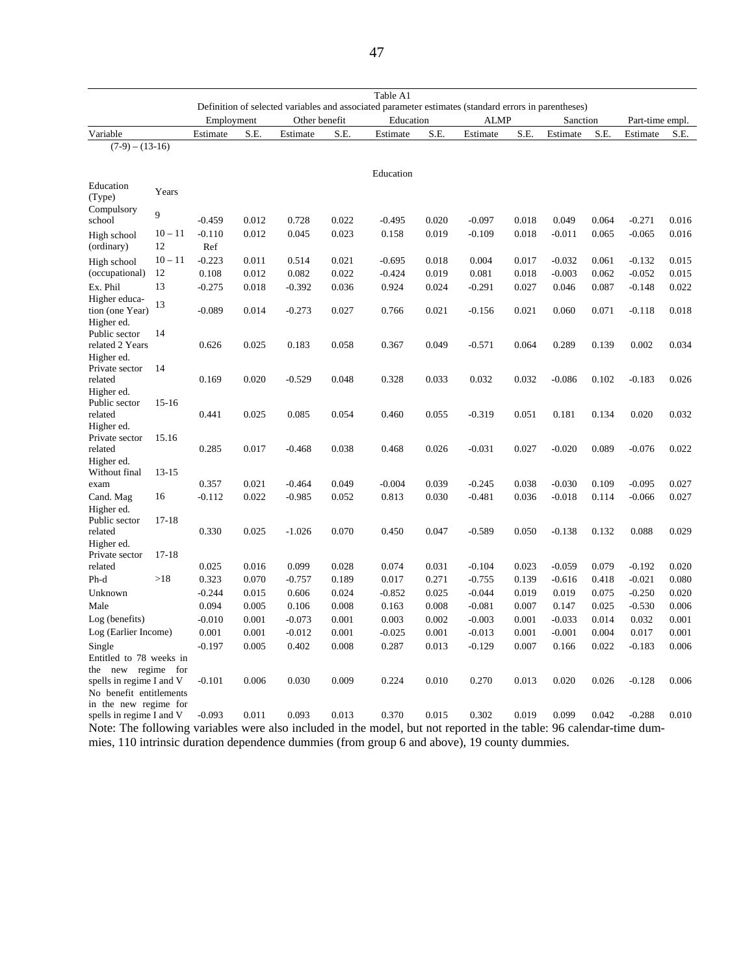|                                                                                                                     |           | Definition of selected variables and associated parameter estimates (standard errors in parentheses) |       |               |       |           |       |             |       |          |       |                 |       |
|---------------------------------------------------------------------------------------------------------------------|-----------|------------------------------------------------------------------------------------------------------|-------|---------------|-------|-----------|-------|-------------|-------|----------|-------|-----------------|-------|
|                                                                                                                     |           | Employment                                                                                           |       | Other benefit |       | Education |       | <b>ALMP</b> |       | Sanction |       | Part-time empl. |       |
| Variable                                                                                                            |           | Estimate                                                                                             | S.E.  | Estimate      | S.E.  | Estimate  | S.E.  | Estimate    | S.E.  | Estimate | S.E.  | Estimate        | S.E.  |
| $(7-9) - (13-16)$                                                                                                   |           |                                                                                                      |       |               |       |           |       |             |       |          |       |                 |       |
|                                                                                                                     |           |                                                                                                      |       |               |       |           |       |             |       |          |       |                 |       |
| Education                                                                                                           |           |                                                                                                      |       |               |       | Education |       |             |       |          |       |                 |       |
| (Type)                                                                                                              | Years     |                                                                                                      |       |               |       |           |       |             |       |          |       |                 |       |
| Compulsory<br>school                                                                                                | 9         | $-0.459$                                                                                             | 0.012 | 0.728         | 0.022 | $-0.495$  | 0.020 | $-0.097$    | 0.018 | 0.049    | 0.064 | $-0.271$        | 0.016 |
| High school                                                                                                         | $10 - 11$ | $-0.110$                                                                                             | 0.012 | 0.045         | 0.023 | 0.158     | 0.019 | $-0.109$    | 0.018 | $-0.011$ | 0.065 | $-0.065$        | 0.016 |
| (ordinary)                                                                                                          | 12        | Ref                                                                                                  |       |               |       |           |       |             |       |          |       |                 |       |
| High school                                                                                                         | $10 - 11$ | $-0.223$                                                                                             | 0.011 | 0.514         | 0.021 | $-0.695$  | 0.018 | 0.004       | 0.017 | $-0.032$ | 0.061 | $-0.132$        | 0.015 |
| (occupational)                                                                                                      | 12        | 0.108                                                                                                | 0.012 | 0.082         | 0.022 | $-0.424$  | 0.019 | 0.081       | 0.018 | $-0.003$ | 0.062 | $-0.052$        | 0.015 |
| Ex. Phil                                                                                                            | 13        | $-0.275$                                                                                             | 0.018 | $-0.392$      | 0.036 | 0.924     | 0.024 | $-0.291$    | 0.027 | 0.046    | 0.087 | $-0.148$        | 0.022 |
| Higher educa-                                                                                                       | 13        |                                                                                                      |       |               |       |           |       |             |       |          |       |                 |       |
| tion (one Year)                                                                                                     |           | $-0.089$                                                                                             | 0.014 | $-0.273$      | 0.027 | 0.766     | 0.021 | $-0.156$    | 0.021 | 0.060    | 0.071 | $-0.118$        | 0.018 |
| Higher ed.                                                                                                          |           |                                                                                                      |       |               |       |           |       |             |       |          |       |                 |       |
| Public sector<br>related 2 Years                                                                                    | 14        | 0.626                                                                                                | 0.025 | 0.183         | 0.058 | 0.367     | 0.049 | $-0.571$    | 0.064 | 0.289    | 0.139 | 0.002           | 0.034 |
| Higher ed.                                                                                                          |           |                                                                                                      |       |               |       |           |       |             |       |          |       |                 |       |
| Private sector                                                                                                      | 14        |                                                                                                      |       |               |       |           |       |             |       |          |       |                 |       |
| related                                                                                                             |           | 0.169                                                                                                | 0.020 | $-0.529$      | 0.048 | 0.328     | 0.033 | 0.032       | 0.032 | $-0.086$ | 0.102 | $-0.183$        | 0.026 |
| Higher ed.                                                                                                          |           |                                                                                                      |       |               |       |           |       |             |       |          |       |                 |       |
| Public sector                                                                                                       | $15-16$   |                                                                                                      |       |               |       |           |       |             |       |          |       |                 |       |
| related                                                                                                             |           | 0.441                                                                                                | 0.025 | 0.085         | 0.054 | 0.460     | 0.055 | $-0.319$    | 0.051 | 0.181    | 0.134 | 0.020           | 0.032 |
| Higher ed.                                                                                                          |           |                                                                                                      |       |               |       |           |       |             |       |          |       |                 |       |
| Private sector                                                                                                      | 15.16     |                                                                                                      |       |               |       |           |       |             |       |          |       |                 |       |
| related                                                                                                             |           | 0.285                                                                                                | 0.017 | $-0.468$      | 0.038 | 0.468     | 0.026 | $-0.031$    | 0.027 | $-0.020$ | 0.089 | $-0.076$        | 0.022 |
| Higher ed.                                                                                                          |           |                                                                                                      |       |               |       |           |       |             |       |          |       |                 |       |
| Without final                                                                                                       | 13-15     |                                                                                                      |       |               |       |           |       |             |       |          |       |                 |       |
| exam                                                                                                                |           | 0.357                                                                                                | 0.021 | $-0.464$      | 0.049 | $-0.004$  | 0.039 | $-0.245$    | 0.038 | $-0.030$ | 0.109 | $-0.095$        | 0.027 |
| Cand. Mag                                                                                                           | 16        | $-0.112$                                                                                             | 0.022 | $-0.985$      | 0.052 | 0.813     | 0.030 | $-0.481$    | 0.036 | $-0.018$ | 0.114 | $-0.066$        | 0.027 |
| Higher ed.                                                                                                          |           |                                                                                                      |       |               |       |           |       |             |       |          |       |                 |       |
| Public sector                                                                                                       | $17-18$   |                                                                                                      |       |               |       |           |       |             |       |          |       |                 |       |
| related<br>Higher ed.                                                                                               |           | 0.330                                                                                                | 0.025 | $-1.026$      | 0.070 | 0.450     | 0.047 | $-0.589$    | 0.050 | $-0.138$ | 0.132 | 0.088           | 0.029 |
| Private sector                                                                                                      | $17-18$   |                                                                                                      |       |               |       |           |       |             |       |          |       |                 |       |
| related                                                                                                             |           | 0.025                                                                                                | 0.016 | 0.099         | 0.028 | 0.074     | 0.031 | $-0.104$    | 0.023 | $-0.059$ | 0.079 | $-0.192$        | 0.020 |
| Ph-d                                                                                                                | >18       | 0.323                                                                                                | 0.070 | $-0.757$      | 0.189 | 0.017     | 0.271 | $-0.755$    | 0.139 | $-0.616$ | 0.418 | $-0.021$        | 0.080 |
| Unknown                                                                                                             |           | $-0.244$                                                                                             | 0.015 | 0.606         | 0.024 | $-0.852$  | 0.025 | $-0.044$    | 0.019 | 0.019    | 0.075 | $-0.250$        | 0.020 |
| Male                                                                                                                |           | 0.094                                                                                                | 0.005 | 0.106         | 0.008 | 0.163     | 0.008 | $-0.081$    | 0.007 | 0.147    | 0.025 | $-0.530$        | 0.006 |
| Log (benefits)                                                                                                      |           | $-0.010$                                                                                             | 0.001 | $-0.073$      | 0.001 | 0.003     | 0.002 | $-0.003$    | 0.001 | $-0.033$ | 0.014 | 0.032           | 0.001 |
|                                                                                                                     |           |                                                                                                      | 0.001 | $-0.012$      | 0.001 | $-0.025$  | 0.001 | $-0.013$    | 0.001 | $-0.001$ | 0.004 | 0.017           | 0.001 |
| Log (Earlier Income)                                                                                                |           | 0.001                                                                                                |       |               |       |           |       |             |       |          |       |                 |       |
| Single<br>Entitled to 78 weeks in                                                                                   |           | $-0.197$                                                                                             | 0.005 | 0.402         | 0.008 | 0.287     | 0.013 | $-0.129$    | 0.007 | 0.166    | 0.022 | $-0.183$        | 0.006 |
|                                                                                                                     |           |                                                                                                      |       |               |       |           |       |             |       |          |       |                 |       |
| new regime for<br>the<br>spells in regime I and V                                                                   |           | $-0.101$                                                                                             | 0.006 | 0.030         | 0.009 | 0.224     | 0.010 | 0.270       | 0.013 | 0.020    | 0.026 | $-0.128$        | 0.006 |
| No benefit entitlements                                                                                             |           |                                                                                                      |       |               |       |           |       |             |       |          |       |                 |       |
| in the new regime for                                                                                               |           |                                                                                                      |       |               |       |           |       |             |       |          |       |                 |       |
| spells in regime I and V                                                                                            |           | $-0.093$                                                                                             | 0.011 | 0.093         | 0.013 | 0.370     | 0.015 | 0.302       | 0.019 | 0.099    | 0.042 | $-0.288$        | 0.010 |
| Note: The following variables were also included in the model, but not reported in the table: 96 calendar-time dum- |           |                                                                                                      |       |               |       |           |       |             |       |          |       |                 |       |

Table A1

Note: The following variables were also included in the model, but not reported in the table: 96 calendar-time dummies, 110 intrinsic duration dependence dummies (from group 6 and above), 19 county dummies.